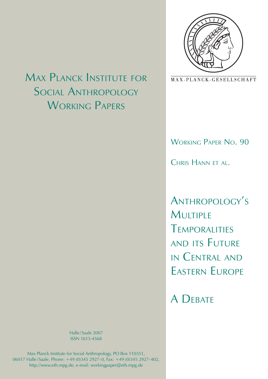

MAX-PLANCK-GESELLSCHAFT

Working Paper No. 90

CHRIS HANN FT AL.

Anthropology's **MULTIPLE** Temporalities and its Future in Central and Eastern Europe

A DEBATE

Max Planck Institute for Social **ANTHROPOLOGY** WORKING PAPERS

> Halle / Saale 2007 ISSN 1615-4568

Max Planck Institute for Social Anthropology, PO Box 110351, 06017 Halle / Saale, Phone: +49 (0)345 2927- 0, Fax: +49 (0)345 2927- 402, http://www.eth.mpg.de, e-mail: workingpaper@eth.mpg.de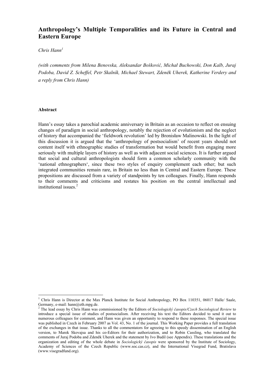# **Anthropology's Multiple Temporalities and its Future in Central and Eastern Europe**

*Chris Hann<sup>1</sup>*

*(with comments from Milena Benovska, Aleksandar Bošković, Michał Buchowski, Don Kalb, Juraj Podoba, David Z. Scheffel, Petr Skalník, Michael Stewart, Zdeněk Uherek, Katherine Verdery and a reply from Chris Hann)* 

### **Abstract**

<u>.</u>

Hann's essay takes a parochial academic anniversary in Britain as an occasion to reflect on ensuing changes of paradigm in social anthropology, notably the rejection of evolutionism and the neglect of history that accompanied the 'fieldwork revolution' led by Bronisław Malinowski. In the light of this discussion it is argued that the 'anthropology of postsocialism' of recent years should not content itself with ethnographic studies of transformation but would benefit from engaging more seriously with multiple layers of history as well as with adjacent social sciences. It is further argued that social and cultural anthropologists should form a common scholarly community with the 'national ethnographers', since these two styles of enquiry complement each other; but such integrated communities remain rare, in Britain no less than in Central and Eastern Europe. These propositions are discussed from a variety of standpoints by ten colleagues. Finally, Hann responds to their comments and criticisms and restates his position on the central intellectual and institutional issues.<sup>2</sup>

<sup>&</sup>lt;sup>1</sup> Chris Hann is Director at the Max Planck Institute for Social Anthropology, PO Box 110351, 06017 Halle/ Saale, Germany, e-mail: hann@eth.mpg.de.

<sup>2</sup> The lead essay by Chris Hann was commissioned by the Editors of *Sociologický časopis/Czech Sociological Review* to introduce a special issue of studies of postsocialism. After receiving his text the Editors decided to send it out to numerous colleagues for comment, and Hann was given an opportunity to respond to these responses. The special issue was published in Czech in February 2007 as Vol. 43, No. 1 of the journal. This Working Paper provides a full translation of the exchanges in that issue. Thanks to all the commentators for agreeing to this speedy dissemination of an English version, to Marek Skovajsa and his co-Editors for their authorization, and to Robin Cassling, who translated the comments of Juraj Podoba and Zdeněk Uherek and the statement by Ivo Budil (see Appendix). These translations and the organization and editing of the whole debate in *Sociologický časopis* were sponsored by the Institute of Sociology, Academy of Sciences of the Czech Republic (www.soc.cas.cz), and the International Visegrad Fund, Bratislava (www.visegradfund.org).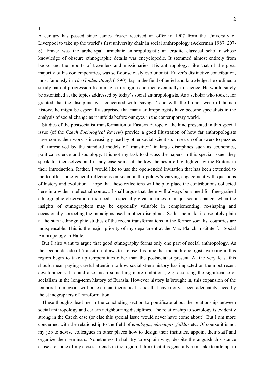A century has passed since James Frazer received an offer in 1907 from the University of Liverpool to take up the world's first university chair in social anthropology (Ackerman 1987: 207- 8). Frazer was the archetypal 'armchair anthropologist': an erudite classical scholar whose knowledge of obscure ethnographic details was encyclopedic. It stemmed almost entirely from books and the reports of travellers and missionaries. His anthropology, like that of the great majority of his contemporaries, was self-consciously evolutionist. Frazer's distinctive contribution, most famously in *The Golden Bough* (1890), lay in the field of belief and knowledge: he outlined a steady path of progression from magic to religion and then eventually to science. He would surely be astonished at the topics addressed by today's social anthropologists. As a scholar who took it for granted that the discipline was concerned with 'savages' and with the broad sweep of human history, he might be especially surprised that many anthropologists have become specialists in the analysis of social change as it unfolds before our eyes in the contemporary world.

**I** 

Studies of the postsocialist transformation of Eastern Europe of the kind presented in this special issue (of the *Czech Sociological Review*) provide a good illustration of how far anthropologists have come: their work is increasingly read by other social scientists in search of answers to puzzles left unresolved by the standard models of 'transition' in large disciplines such as economics, political science and sociology. It is not my task to discuss the papers in this special issue: they speak for themselves, and in any case some of the key themes are highlighted by the Editors in their introduction. Rather, I would like to use the open-ended invitation that has been extended to me to offer some general reflections on social anthropology's varying engagement with questions of history and evolution. I hope that these reflections will help to place the contributions collected here in a wider intellectual context. I shall argue that there will always be a need for fine-grained ethnographic observation; the need is especially great in times of major social change, when the insights of ethnographers may be especially valuable in complementing, re-shaping and occasionally correcting the paradigms used in other disciplines. So let me make it absolutely plain at the start: ethnographic studies of the recent transformations in the former socialist countries are indispensable. This is the major priority of my department at the Max Planck Institute for Social Anthropology in Halle.

But I also want to argue that good ethnography forms only one part of social anthropology. As the second decade of 'transition' draws to a close it is time that the anthropologists working in this region begin to take up temporalities other than the postsocialist present. At the very least this should mean paying careful attention to how socialist-era history has impacted on the most recent developments. It could also mean something more ambitious, e.g. assessing the significance of socialism in the long-term history of Eurasia. However history is brought in, this expansion of the temporal framework will raise crucial theoretical issues that have not yet been adequately faced by the ethnographers of transformation.

These thoughts lead me in the concluding section to pontificate about the relationship between social anthropology and certain neighbouring disciplines. The relationship to sociology is evidently strong in the Czech case (or else this special issue would never have come about). But I am more concerned with the relationship to the field of *etnologia*, *národopis*, *folklor* etc. Of course it is not my job to advise colleagues in other places how to design their institutes, appoint their staff and organize their seminars. Nonetheless I shall try to explain why, despite the anguish this stance causes to some of my closest friends in the region, I think that it is generally a mistake to attempt to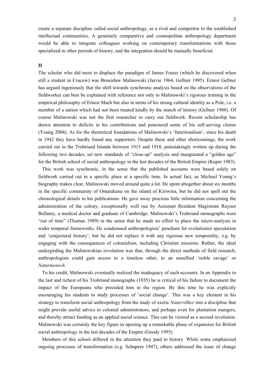create a separate discipline called social anthropology, as a rival and competitor to the established intellectual communities. A genuinely comparative and cosmopolitan anthropology department would be able to integrate colleagues working on contemporary transformations with those specialized in other periods of history, and the integration should be mutually beneficial.

#### **II**

The scholar who did most to displace the paradigm of James Frazer (which he discovered when still a student in Cracow) was Bronisław Malinowski (Jarvie 1964, Gellner 1995). Ernest Gellner has argued ingeniously that the shift towards synchronic analysis based on the observations of the fieldworker can best be explained with reference not only to Malinowski's rigorous training in the empirical philosophy of Ernest Mach but also in terms of his strong cultural identity as a Pole, i.e. a member of a nation which had not been treated kindly by the march of history (Gellner 1988). Of course Malinowski was not the first researcher to carry out fieldwork. Recent scholarship has drawn attention to deficits in his contributions and punctured some of his self-serving claims (Young 2004). As for the theoretical foundations of Malinowski's 'functionalism', since his death in 1942 they have hardly found any supporters. Despite these and other shortcomings, the work carried out in the Trobriand Islands between 1915 and 1918, painstakingly written up during the following two decades, set new standards of "close-up" analysis and inaugurated a "golden age" for the British school of social anthropology in the last decades of the British Empire (Kuper 1983).

This work was synchronic, in the sense that the published accounts were based solely on fieldwork carried out in a specific place at a specific time. In actual fact, as Michael Young's biography makes clear, Malinowski moved around quite a lot. He spent altogether about six months in the specific community of Omarakana on the island of Kiriwina, but he did not spell out the chronological details in his publications. He gave away precious little information concerning the administration of the colony, exceptionally well run by Assistant Resident Magistrate Raynor Bellamy, a medical doctor and graduate of Cambridge. Malinowski's Trobriand monographs were "out of time" (Thomas 1989) in the sense that he made no effort to place the micro-analysis in wider temporal frameworks. He condemned anthropologists' penchant for evolutionist speculation and 'conjectural history', but he did not replace it with any rigorous new temporality, e.g. by engaging with the consequences of colonialism, including Christian missions. Rather, the ideal undergirding the Malinowskian revolution was that, through the direct methods of field research, anthropologists could gain access to a timeless other, to an unsullied 'noble savage' or *Naturmensch*.

To his credit, Malinowski eventually realized the inadequacy of such accounts. In an Appendix to the last and richest of his Trobriand monographs (1935) he is critical of his failure to document the impact of the Europeans who preceded him in the region. By this time he was explicitly encouraging his students to study processes of 'social change'. This was a key element in his strategy to transform social anthropology from the study of exotic *Naturvölker* into a discipline that might provide useful advice to colonial administrators, and perhaps even for plantation mangers, and thereby attract funding as an applied social science. This can be viewed as a second revolution. Malinowski was certainly the key figure in opening up a remarkable phase of expansion for British social anthropology in the last decades of the Empire (Goody 1995).

Members of this school differed in the attention they paid to history. While some emphasized ongoing processes of transformation (e.g. Schapera 1947), others addressed the issue of change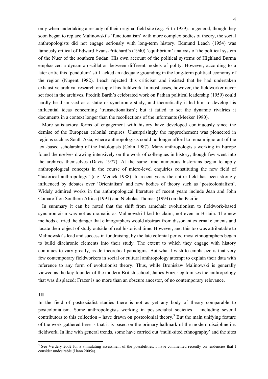only when undertaking a restudy of their original field site (e.g. Firth 1959). In general, though they soon began to replace Malinowski's 'functionalism' with more complex bodies of theory, the social anthropologists did not engage seriously with long-term history. Edmund Leach (1954) was famously critical of Edward Evans-Pritchard's (1940) 'equilibrium' analysis of the political system of the Nuer of the southern Sudan. His own account of the political systems of Highland Burma emphasized a dynamic oscillation between different models of polity. However, according to a later critic this 'pendulum' still lacked an adequate grounding in the long-term political economy of the region (Nugent 1982). Leach rejected this criticism and insisted that he had undertaken exhaustive archival research on top of his fieldwork. In most cases, however, the fieldworker never set foot in the archives. Fredrik Barth's celebrated work on Pathan political leadership (1959) could hardly be dismissed as a static or synchronic study, and theoretically it led him to develop his influential ideas concerning 'transactionalism'; but it failed to set the dynamic rivalries it documents in a context longer than the recollections of the informants (Meeker 1980).

More satisfactory forms of engagement with history have developed continuously since the demise of the European colonial empires. Unsurprisingly the rapprochement was pioneered in regions such as South Asia, where anthropologists could no longer afford to remain ignorant of the text-based scholarship of the Indologists (Cohn 1987). Many anthropologists working in Europe found themselves drawing intensively on the work of colleagues in history, though few went into the archives themselves (Davis 1977). At the same time numerous historians began to apply anthropological concepts in the course of micro-level enquiries constituting the new field of "historical anthropology" (e.g. Medick 1988). In recent years the entire field has been strongly influenced by debates over 'Orientalism' and new bodies of theory such as 'postcolonialism'. Widely admired works in the anthropological literature of recent years include Jean and John Comaroff on Southern Africa (1991) and Nicholas Thomas (1994) on the Pacific.

In summary it can be noted that the shift from armchair evolutionism to fieldwork-based synchronicism was not as dramatic as Malinowski liked to claim, not even in Britain. The new methods carried the danger that ethnographers would abstract from dissonant external elements and locate their object of study outside of real historical time. However, and this too was attributable to Malinowski's lead and success in fundraising, by the late colonial period most ethnographers began to build diachronic elements into their study. The extent to which they engage with history continues to vary greatly, as do theoretical paradigms. But what I wish to emphasize is that very few contemporary fieldworkers in social or cultural anthropology attempt to explain their data with reference to any form of evolutionist theory. Thus, while Bronisław Malinowski is generally viewed as the key founder of the modern British school, James Frazer epitomises the anthropology that was displaced; Frazer is no more than an obscure ancestor, of no contemporary relevance.

### **III**

In the field of postsocialist studies there is not as yet any body of theory comparable to postcolonialism. Some anthropologists working in postsocialist societies – including several contributors to this collection – have drawn on postcolonial theory.<sup>3</sup> But the main unifying feature of the work gathered here is that it is based on the primary hallmark of the modern discipline i.e. fieldwork. In line with general trends, some have carried out 'multi-sited ethnography' and the sites

<sup>&</sup>lt;sup>3</sup> See Verdery 2002 for a stimulating assessment of the possibilities. I have commented recently on tendencies that I consider undesirable (Hann 2005a).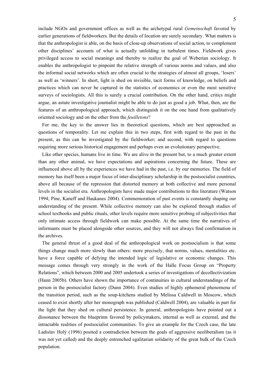include NGOs and government offices as well as the archetypal rural *Gemeinschaft* favored by earlier generations of fieldworkers. But the details of location are surely secondary. What matters is that the anthropologist is able, on the basis of close-up observations of social action, to complement other disciplines' accounts of what is actually unfolding in turbulent times. Fieldwork gives privileged access to social meanings and thereby to realize the goal of Weberian sociology. It enables the anthropologist to pinpoint the relative strength of various norms and values, and also the informal social networks which are often crucial to the strategies of almost all groups, 'losers' as well as 'winners'. In short, light is shed on invisible, tacit forms of knowledge, on beliefs and practices which can never be captured in the statistics of economics or even the most sensitive surveys of sociologists. All this is surely a crucial contribution. On the other hand, critics might argue, an astute investigative journalist might be able to do just as good a job. What, then, are the features of an anthropological approach, which distinguish it on the one hand from qualitatively oriented sociology and on the other from the *feuilletons*?

For me, the key to the answer lies in theoretical questions, which are best approached as questions of temporality. Let me explain this in two steps, first with regard to the past in the present, as this can be investigated by the fieldworker; and second, with regard to questions requiring more serious historical engagement and perhaps even an evolutionary perspective.

Like other species, humans live in time. We are alive in the present but, to a much greater extent than any other animal, we have expectations and aspirations concerning the future. These are influenced above all by the experiences we have had in the past, i.e. by our memories. The field of memory has itself been a major focus of inter-disciplinary scholarship in the postsocialist countries, above all because of the repression that distorted memory at both collective and more personal levels in the socialist era. Anthropologists have made major contributions to this literature (Watson 1994; Pine, Kaneff and Haukanes 2004). Commemoration of past events is constantly shaping our understanding of the present. While collective memory can also be explored through studies of school textbooks and public rituals, other levels require more sensitive probing of subjectivities that only intimate access through fieldwork can make possible. At the same time the narratives of informants must be placed alongside other sources, and they will not always find confirmation in the archives.

The general thrust of a good deal of the anthropological work on postsocialism is that some things change much more slowly than others: more precisely, that norms, values, mentalities etc. have a force capable of defying the intended logic of legislative or economic changes. This message comes through very strongly in the work of the Halle Focus Group on "Property Relations", which between 2000 and 2005 undertook a series of investigations of decollectivization (Hann 2005b). Others have shown the importance of continuities in cultural understandings of the person in the postsocialist factory (Dunn 2004). Even studies of highly ephemeral phenomena of the transition period, such as the soup-kitchens studied by Melissa Caldwell in Moscow, which ceased to exist shortly after her monograph was published (Caldwell 2004), are valuable in part for the light that they shed on cultural persistence. In general, anthropologists have pointed out a dissonance between the blueprints favored by policymakers, internal as well as external, and the intractable realities of postsocialist communities. To give an example for the Czech case, the late Ladislav Holý (1996) posited a contradiction between the goals of aggressive neoliberalism (as it was not yet called) and the deeply entrenched egalitarian solidarity of the great bulk of the Czech population.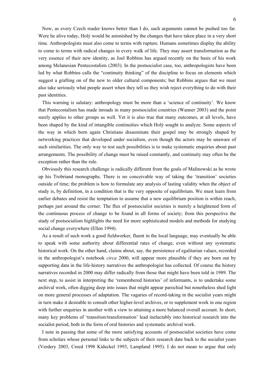Now, as every Czech reader knows better than I do, such arguments cannot be pushed too far. Were he alive today, Holý would be astonished by the changes that have taken place in a very short time. Anthropologists must also come to terms with rupture. Humans sometimes display the ability to come to terms with radical changes in every walk of life. They may assert transformation as the very essence of their new identity, as Joel Robbins has argued recently on the basis of his work among Melanesian Pentecostalists (2003). In the postsocialist case, too, anthropologists have been led by what Robbins calls the "continuity thinking" of the discipline to focus on elements which suggest a grafting on of the new to older cultural components; but Robbins argues that we must also take seriously what people assert when they tell us they wish reject everything to do with their past identities.

This warning is salutary: anthropology must be more than a 'science of continuity'. We know that Pentecostalism has made inroads in many postsocialist countries (Wanner 2003) and the point surely applies to other groups as well. Yet it is also true that many outcomes, at all levels, have been shaped by the kind of intangible continuities which Holý sought to analyze. Some aspects of the way in which born again Christians disseminate their gospel may be strongly shaped by networking practices that developed under socialism, even though the actors may be unaware of such similarities. The only way to test such possibilities is to make systematic enquiries about past arrangements. The possibility of change must be raised constantly, and continuity may often be the exception rather than the rule.

Obviously this research challenge is radically different from the goals of Malinowski as he wrote up his Trobriand monographs. There is no conceivable way of taking the 'transition' societies outside of time; the problem is how to formulate any analysis of lasting validity when the object of study is, by definition, in a condition that is the very opposite of equilibrium. We must learn from earlier debates and resist the temptation to assume that a new equilibrium position is within reach, perhaps just around the corner. The flux of postsocialist societies is merely a heightened form of the continuous process of change to be found in all forms of society; from this perspective the study of postsocialism highlights the need for more sophisticated models and methods for studying social change everywhere (Ellen 1994).

As a result of such work a good fieldworker, fluent in the local language, may eventually be able to speak with some authority about differential rates of change, even without any systematic historical work. On the other hand, claims about, say, the persistence of egalitarian values, recorded in the anthropologist's notebook *circa* 2000, will appear more plausible if they are born out by supporting data in the life-history narratives the anthropologist has collected. Of course the history narratives recorded in 2000 may differ radically from those that might have been told in 1989. The next step, to assist in interpreting the 'remembered histories' of informants, is to undertake some archival work, often digging deep into issues that might appear parochial but nonetheless shed light on more general processes of adaptation. The vagaries of record-taking in the socialist years might in turn make it desirable to consult other higher-level archives, or to supplement work in one region with further enquiries in another with a view to attaining a more balanced overall account. In short, many key problems of 'transition/transformation' lead ineluctably into historical research into the socialist period, both in the form of oral histories and systematic archival work.

I note in passing that some of the more satisfying accounts of postsocialist societies have come from scholars whose personal links to the subjects of their research date back to the socialist years (Verdery 2003, Creed 1998 Kideckel 1993, Lampland 1995). I do not mean to argue that only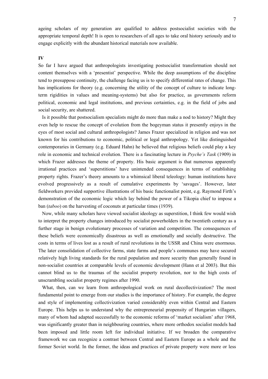ageing scholars of my generation are qualified to address postsocialist societies with the appropriate temporal depth! It is open to researchers of all ages to take oral history seriously and to engage explicitly with the abundant historical materials now available.

### **IV**

So far I have argued that anthropologists investigating postsocialist transformation should not content themselves with a 'presentist' perspective. While the deep assumptions of the discipline tend to presuppose continuity, the challenge facing us is to specify differential rates of change. This has implications for theory (e.g. concerning the utility of the concept of culture to indicate longterm rigidities in values and meaning-systems) but also for practice, as governments reform political, economic and legal institutions, and previous certainties, e.g. in the field of jobs and social security, are shattered.

Is it possible that postsocialism specialists might do more than make a nod to history? Might they even help to rescue the concept of evolution from the bogeyman status it presently enjoys in the eyes of most social and cultural anthropologists? James Frazer specialized in religion and was not known for his contributions to economic, political or legal anthropology. Yet like distinguished contemporaries in Germany (e.g. Eduard Hahn) he believed that religious beliefs could play a key role in economic and technical evolution. There is a fascinating lecture in *Psyche's Task* (1909) in which Frazer addresses the theme of property. His basic argument is that numerous apparently irrational practices and 'superstitions' have unintended consequences in terms of establishing property rights. Frazer's theory amounts to a whimsical liberal teleology: human institutions have evolved progressively as a result of cumulative experiments by 'savages'. However, later fieldworkers provided supportive illustrations of his basic functionalist point, e.g. Raymond Firth's demonstration of the economic logic which lay behind the power of a Tikopia chief to impose a ban (*taboo*) on the harvesting of coconuts at particular times (1939).

Now, while many scholars have viewed socialist ideology as superstition, I think few would wish to interpret the property changes introduced by socialist powerholders in the twentieth century as a further stage in benign evolutionary processes of variation and competition. The consequences of these beliefs were economically disastrous as well as emotionally and socially destructive. The costs in terms of lives lost as a result of rural revolutions in the USSR and China were enormous. The later consolidation of collective farms, state farms and people's communes may have secured relatively high living standards for the rural population and more security than generally found in non-socialist countries at comparable levels of economic development (Hann et al 2003). But this cannot blind us to the traumas of the socialist property revolution, nor to the high costs of unscrambling socialist property regimes after 1990.

What, then, can we learn from anthropological work on rural decollectivization? The most fundamental point to emerge from our studies is the importance of history. For example, the degree and style of implementing collectivization varied considerably even within Central and Eastern Europe. This helps us to understand why the entrepreneurial propensity of Hungarian villagers, many of whom had adapted successfully to the economic reforms of 'market socialism' after 1968, was significantly greater than in neighbouring countries, where more orthodox socialist models had been imposed and little room left for individual initiative. If we broaden the comparative framework we can recognize a contrast between Central and Eastern Europe as a whole and the former Soviet world. In the former, the ideas and practices of private property were more or less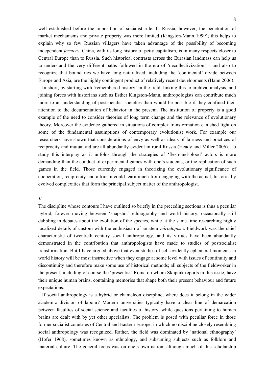well established before the imposition of socialist rule. In Russia, however, the penetration of market mechanisms and private property was more limited (Kingston-Mann 1999); this helps to explain why so few Russian villagers have taken advantage of the possibility of becoming independent *fermery*. China, with its long history of petty capitalism, is in many respects closer to Central Europe than to Russia. Such historical contrasts across the Eurasian landmass can help us to understand the very different paths followed in the era of 'decollectivization' – and also to recognize that boundaries we have long naturalized, including the 'continental' divide between Europe and Asia, are the highly contingent product of relatively recent developments (Hann 2006).

In short, by starting with 'remembered history' in the field, linking this to archival analysis, and joining forces with historians such as Esther Kingston-Mann, anthropologists can contribute much more to an understanding of postsocialist societies than would be possible if they confined their attention to the documentation of behavior in the present. The institution of property is a good example of the need to consider theories of long term change and the relevance of evolutionary theory. Moreover the evidence gathered in situations of complex transformation can shed light on some of the fundamental assumptions of contemporary evolutionist work. For example our researchers have shown that considerations of envy as well as ideals of fairness and practices of reciprocity and mutual aid are all abundantly evident in rural Russia (Heady and Miller 2006). To study this interplay as it unfolds through the strategies of 'flesh-and-blood' actors is more demanding than the conduct of experimental games with one's students, or the replication of such games in the field. Those currently engaged in theorizing the evolutionary significance of cooperation, reciprocity and altruism could learn much from engaging with the actual, historically evolved complexities that form the principal subject matter of the anthropologist.

### **V**

The discipline whose contours I have outlined so briefly in the preceding sections is thus a peculiar hybrid, forever moving between 'snapshot' ethnography and world history, occasionally still dabbling in debates about the evolution of the species, while at the same time researching highly localized details of custom with the enthusiasm of amateur *národopisci*. Fieldwork was the chief characteristic of twentieth century social anthropology, and its virtues have been abundantly demonstrated in the contribution that anthropologists have made to studies of postsocialist transformation. But I have argued above that even studies of self-evidently ephemeral moments in world history will be most instructive when they engage at some level with issues of continuity and discontinuity and therefore make some use of historical methods; all subjects of the fieldworker in the present, including of course the 'presentist' Roma on whom Skupnik reports in this issue, have their unique human brains, containing memories that shape both their present behaviour and future expectations.

If social anthropology is a hybrid or chameleon discipline, where does it belong in the wider academic division of labour? Modern universities typically have a clear line of demarcation between faculties of social science and faculties of history, while questions pertaining to human brains are dealt with by yet other specialists. The problem is posed with peculiar force in those former socialist countries of Central and Eastern Europe, in which no discipline closely resembling social anthropology was recognized. Rather, the field was dominated by 'national ethnography' (Hofer 1968), sometimes known as ethnology, and subsuming subjects such as folklore and material culture. The general focus was on one's own nation; although much of this scholarship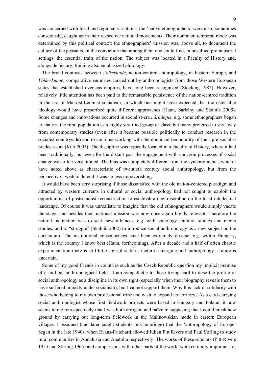was concerned with local and regional variations, the 'native ethnographers' were also, sometimes consciously, caught up in their respective national movements. Their dominant temporal mode was determined by this political context: the ethnographers' mission was, above all, to document the culture of the peasants, in the conviction that among them one could find, in unsullied preindustrial settings, the essential traits of the nation. The subject was located in a Faculty of History and, alongside history, training also emphasized philology.

The broad contrasts between *Volkskunde*, nation-centred anthropology, in Eastern Europe, and *Völkerkunde*, comparative enquiries carried out by anthropologists from those Western European states that established overseas empires, have long been recognized (Stocking 1982). However, relatively little attention has been paid to the remarkable persistence of the nation-centred tradition in the era of Marxist-Leninist socialism, in which one might have expected that the ostensible ideology would have prescribed quite different approaches (Hann, Sárkány and Skalník 2005). Some changes and innovations occurred in socialist-era *národopis*, e.g. some ethnographers began to analyze the rural population as a highly stratified group or class; but many preferred to shy away from contemporary studies (even after it became possible politically to conduct research in the socialist countryside) and to continue working with the dominant temporality of their pre-socialist predecessors (Kuti 2005). The discipline was typically located in a Faculty of History, where it had been traditionally, but even for the distant past the engagement with concrete processes of social change was often very limited. The bias was completely different from the synchronic bias which I have noted above as characteristic of twentieth century social anthropology, but from the perspective I wish to defend it was no less impoverishing.

It would have been very surprising if those dissatisfied with the old nation-centered paradigm and attracted by western currents in cultural or social anthropology had not sought to exploit the opportunities of postsocialist reconstruction to establish a new discipline on the local intellectual landscape. Of course it was unrealistic to imagine that the old ethnographers would simply vacate the stage, and besides their national mission was now once again highly relevant. Therefore the natural inclination was to seek new alliances, e.g. with sociology, cultural studies and media studies, and to "struggle" (Skalník 2002) to introduce social anthropology as a new subject on the curriculum. The institutional consequences have been extremely diverse, e.g. within Hungary, which is the country I know best (Hann, forthcoming). After a decade and a half of often chaotic experimentation there is still little sign of stable structures emerging and anthropology's future is uncertain.

Some of my good friends in countries such as the Czech Republic question my implicit premise of a unified 'anthropological field'. I am sympathetic to those trying hard to raise the profile of social anthropology as a discipline in its own right (especially when their biography reveals them to have suffered unjustly under socialism); but I cannot support them. Why this lack of solidarity with those who belong to my own professional tribe and wish to expand its territory? As a card-carrying social anthropologist whose first fieldwork projects were based in Hungary and Poland, it now seems to me retrospectively that I was both arrogant and naïve in supposing that I could break new ground by carrying out long-term fieldwork in the Malinowskian mode in eastern European villages. I assumed (and later taught students in Cambridge) that the 'anthropology of Europe' began in the late 1940s, when Evans-Pritchard allowed Julian Pitt Rivers and Paul Stirling to study rural communities in Andalusia and Anatolia respectively. The works of these scholars (Pitt-Rivers 1954 and Stirling 1965) and comparisons with other parts of the world were certainly important for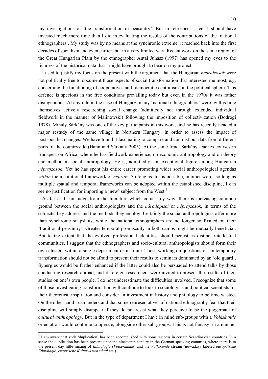my investigations of 'the transformation of peasantry'. But in retrospect I feel I should have invested much more time than I did in evaluating the results of the contributions of the 'national ethnographers'. My study was by no means at the synchronic extreme: it reached back into the first decades of socialism and even earlier, but in a very limited way. Recent work on the same region of the Great Hungarian Plain by the ethnographer Antal Juhász (1997) has opened my eyes to the richness of the historical data that I might have brought to bear on my project.

I used to justify my focus on the present with the argument that the Hungarian *néprajzosok* were not politically free to document those aspects of social transformation that interested me most, e.g. concerning the functioning of cooperatives and 'democratic centralism' in the political sphere. This defence is specious in the free conditions prevailing today but even in the 1970s it was rather disingenuous. At any rate in the case of Hungary, many 'national ethnographers' were by this time themselves actively researching social change (admittedly not through extended individual fieldwork in the manner of Malinowski) following the imposition of collectivization (Bodrogi 1978). Mihály Sárkány was one of the key participants in this work, and he has recently headed a major restudy of the same village in Northern Hungary, in order to assess the impact of postsocialist changes. We have found it fascinating to compare and contrast our data from different parts of the countryside (Hann and Sárkány 2005). At the same time, Sárkány teaches courses in Budapest on Africa, where he has fieldwork experience, on economic anthropology and on theory and method in social anthropology. He is, admittedly, an exceptional figure among Hungarian *néprajzosok*. Yet he has spent his entire career promoting wider social anthropological agendas *within* the institutional framework of *néprajz*. So long as this is possible, in other words so long as multiple spatial and temporal frameworks can be adopted within the established discipline, I can see no justification for importing a 'new' subject from the West.<sup>4</sup>

As far as I can judge from the literature which comes my way, there is increasing common ground between the social anthropologists and the *národopisci* or *néprajzosok*, in terms of the subjects they address and the methods they employ. Certainly the social anthropologists offer more than synchronic snapshots, while the national ethnographers are no longer so fixated on their 'traditional peasantry'. Greater temporal promiscuity in both camps might be mutually beneficial. But to the extent that the evolved professional identities should persist as distinct intellectual communities, I suggest that the ethnographers and socio-cultural anthropologists should form their own clusters within a single department or institute. Those working on questions of contemporary transformation should not be afraid to present their results to seminars dominated by an 'old guard'. Synergies would be further enhanced if the latter could also be persuaded to attend talks by those conducting research abroad, and if foreign researchers were invited to present the results of their studies on one's own people. I do not underestimate the difficulties involved. I recognize that some of those investigating transformation will continue to look to sociologists and political scientists for their theoretical inspiration and consider an investment in history and philology to be time wasted. On the other hand I can understand that some representatives of national ethnography fear that their discipline will simply disappear if they do not resist what they perceive to be the juggernaut of *cultural anthropology*. But in the type of department I have in mind sub-groups with a *Volkskunde* orientation would continue to operate, alongside other sub-groups. This is not fantasy: in a number

<sup>&</sup>lt;sup>4</sup> I am aware that such 'duplication' has been accomplished with some success in certain Scandinavian countries. In a sense the duplication has been present since the nineteenth century in the German-speaking countries, where there is to the present day little mixing of *Ethnologie* (*Völkerkunde*) and the *Volkskunde* stream (nowadays labeled *europäische Ethnologie*, *empirische Kulturwissenschaft* etc.).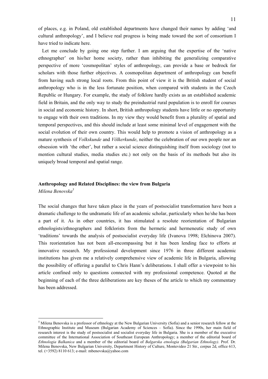of places, e.g. in Poland, old established departments have changed their names by adding 'and cultural anthropology', and I believe real progress is being made toward the sort of consortium I have tried to indicate here.

Let me conclude by going one step further. I am arguing that the expertise of the 'native ethnographer' on his/her home society, rather than inhibiting the generalizing comparative perspective of more 'cosmopolitan' styles of anthropology, can provide a base or bedrock for scholars with those further objectives. A cosmopolitan department of anthropology can benefit from having such strong local roots. From this point of view it is the British student of social anthropology who is in the less fortunate position, when compared with students in the Czech Republic or Hungary. For example, the study of folklore hardly exists as an established academic field in Britain, and the only way to study the preindustrial rural population is to enroll for courses in social and economic history. In short, British anthropology students have little or no opportunity to engage with their own traditions. In my view they would benefit from a plurality of spatial and temporal perspectives, and this should include at least some minimal level of engagement with the social evolution of their own country. This would help to promote a vision of anthropology as a mature synthesis of *Volkskunde* and *Völkerkunde*, neither the celebration of our own people nor an obsession with 'the other', but rather a social science distinguishing itself from sociology (not to mention cultural studies, media studies etc.) not only on the basis of its methods but also its uniquely broad temporal and spatial range.

# **Anthropology and Related Disciplines: the view from Bulgaria**

*Milena Benovska<sup>5</sup>*

<u>.</u>

The social changes that have taken place in the years of postsocialist transformation have been a dramatic challenge to the undramatic life of an academic scholar, particularly when he/she has been a part of it. As in other countries, it has stimulated a resolute reorientation of Bulgarian ethnologists/ethnographers and folklorists from the hermetic and hermeneutic study of own 'traditions' towards the analysis of postsocialist everyday life (Ivanova 1998; Elchinova 2007). This reorientation has not been all-encompassing but it has been lending face to efforts at innovative research. My professional development since 1976 in three different academic institutions has given me a relatively comprehensive view of academic life in Bulgaria, allowing the possibility of offering a parallel to Chris Hann's deliberations. I shall offer a viewpoint to his article confined only to questions connected with my professional competence. Quoted at the beginning of each of the three deliberations are key theses of the article to which my commentary has been addressed.

 $<sup>5</sup>$  Milena Benovska is a professor of ethnology at the New Bulgarian University (Sofia) and a senior research fellow at the</sup> Ethnographic Institute and Museum (Bulgarian Academy of Sciences – Sofia). Since the 1990s, her main field of research interest is the study of postsocialist and socialist everyday life in Bulgaria. She is a member of the executive committee of the International Association of Southeast European Anthropology; a member of the editorial board of *Ethnologia Balkanica* and a member of the editorial board of *Balgarska etnologia (Bulgarian Ethnology)*. Prof. Dr. Milena Benovska, New Bulgarian University, Department History of Culture, Montevideo 21 Str., corpus 2d, office 613, tel. (+3592) 8110 613; e-mail: mbenovska@yahoo.com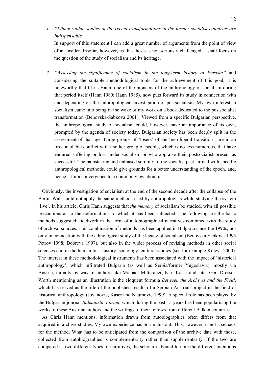*1. "Ethnographic studies of the recent transformations in the former socialist countries are indispensable".* 

In support of this statement I can add a great number of arguments from the point of view of an insider. Insofar, however, as this thesis is not seriously challenged, I shall focus on the question of the study of socialism and its heritage.

*2. "Assessing the significance of socialism in the long-term history of Eurasia"* and considering the suitable methodological tools for the achievement of this goal, it is noteworthy that Chris Hann, one of the pioneers of the anthropology of socialism during that period itself (Hann 1980; Hann 1985), now puts forward its study in connection with and depending on the anthropological investigation of postsocialism. My own interest in socialism came into being in the wake of my work on a book dedicated to the postsocialist transformation (Benovska-Sabkova 2001). Viewed from a specific Bulgarian perspective, the anthropological study of socialism could, however, have an importance of its own, prompted by the agenda of society today. Bulgarian society has been deeply split in the assessment of that age. Large groups of 'losers' of the 'neo-liberal transition', are in an irreconcilable conflict with another group of people, which is no less numerous, that have endured suffering or loss under socialism or who appraise their postsocialist present as successful. The painstaking and unbiased scrutiny of the socialist past, armed with specific anthropological methods, could give grounds for a better understanding of the epoch, and, hence – for a convergence to a common view about it.

Obviously, the investigation of socialism at the end of the second decade after the collapse of the Berlin Wall could not apply the same methods used by anthropologists while studying the system 'live'. In his article, Chris Hann suggests that *the memory* of socialism be studied, with all possible precautions as to the deformations to which it has been subjected. The following are the basic methods suggested: fieldwork in the form of autobiographical narratives combined with the study of archival sources. This combination of methods has been applied in Bulgaria since the 1990s, not only in connection with the ethnological study of the legacy of socialism (Benovska-Sabkova 1995 Petrov 1998; Dobreva 1997), but also in the wider process of revising methods in other social sciences and in the humanities: history, sociology, cultural studies (see for example Koleva 2000). The interest in these methodological instruments has been associated with the impact of 'historical anthropology', which infiltrated Bulgaria (as well as Serbia/former Yugoslavia), mostly via Austria, initially by way of authors like Michael Mitterauer, Karl Kaser and later Gert Dressel. Worth mentioning as an illustration is the eloquent formula *Between the Archives and the Field*, which has served as the title of the published results of a Serbian-Austrian project in the field of historical anthropology (Jovanovic, Kaser and Naumovic 1999). A special role has been played by the Bulgarian journal *Balkanistic Forum*, which during the past 15 years has been popularising the works of these Austrian authors and the writings of their fellows from different Balkan countries.

As Chris Hann mentions, information drawn from autobiographies often differs from that acquired in archive studies. My own experience has borne this out. This, however, is not a setback for the method. What has to be anticipated from the comparison of the archive data with those, collected from autobiographies is complementarity rather than supplementarity. If the two are compared as two different types of narratives, the scholar is bound to note the different intentions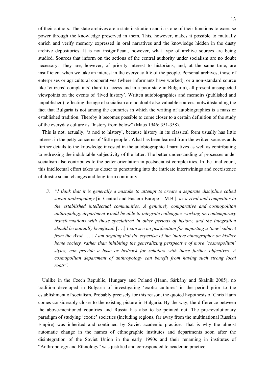of their authors. The state archives are a state institution and it is one of their functions to exercise power through the knowledge preserved in them. This, however, makes it possible to mutually enrich and verify memory expressed in oral narratives and the knowledge hidden in the dusty archive depositories. It is not insignificant, however, what type of archive sources are being studied. Sources that inform on the actions of the central authority under socialism are no doubt necessary. They are, however, of priority interest to historians, and, at the same time, are insufficient when we take an interest in the everyday life of the people. Personal archives, those of enterprises or agricultural cooperatives (where informants have worked), or a non-standard source like 'citizens' complaints' (hard to access and in a poor state in Bulgaria), all present unsuspected viewpoints on the events of 'lived history'. Written autobiographies and memoirs (published and unpublished) reflecting the age of socialism are no doubt also valuable sources, notwithstanding the fact that Bulgaria is not among the countries in which the writing of autobiographies is a mass or established tradition. Thereby it becomes possible to come closer to a certain definition of the study of the everyday culture as "history from below" (Maus 1946: 351-358).

This is not, actually, 'a nod to history', because history in its classical form usually has little interest in the petty concerns of 'little people'. What has been learned from the written sources adds further details to the knowledge invested in the autobiographical narratives as well as contributing to redressing the indubitable subjectivity of the latter. The better understanding of processes under socialism also contributes to the better orientation in postsocialist complexities. In the final count, this intellectual effort takes us closer to penetrating into the intricate intertwinings and coexistence of drastic social changes and long-term continuity.

*3. "I think that it is generally a mistake to attempt to create a separate discipline called social anthropology* [in Central and Eastern Europe – M.B.], *as a rival and competitor to the established intellectual communities. A genuinely comparative and cosmopolitan anthropology department would be able to integrate colleagues working on contemporary transformations with those specialized in other periods of history, and the integration should be mutually beneficial.* [….] *I can see no justification for importing a 'new' subject from the West.* […] *I am arguing that the expertise of the 'native ethnographer on his/her home society, rather than inhibiting the generalizing perspective of more 'cosmopolitan' styles, can provide a base or bedrock for scholars with those further objectives. A cosmopolitan department of anthropology can benefit from having such strong local roots".* 

Unlike in the Czech Republic, Hungary and Poland (Hann, Sárkány and Skalník 2005), no tradition developed in Bulgaria of investigating 'exotic cultures' in the period prior to the establishment of socialism. Probably precisely for this reason, the quoted hypothesis of Chris Hann comes considerably closer to the existing picture in Bulgaria. By the way, the difference between the above-mentioned countries and Russia has also to be pointed out. The pre-revolutionary paradigm of studying 'exotic' societies (including regions, far away from the multinational Russian Empire) was inherited and continued by Soviet academic practice. That is why the almost automatic change in the names of ethnographic institutes and departments soon after the disintegration of the Soviet Union in the early 1990s and their renaming in institutes of "Anthropology and Ethnology" was justified and corresponded to academic practice.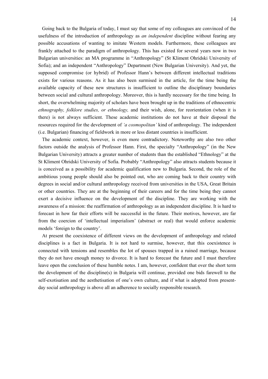Going back to the Bulgaria of today, I must say that some of my colleagues are convinced of the usefulness of the introduction of anthropology as *an independent* discipline without fearing any possible accusations of wanting to imitate Western models. Furthermore, these colleagues are frankly attached to the paradigm of anthropology. This has existed for several years now in two Bulgarian universities: an MA programme in "Anthropology" (St Kliment Ohridski University of Sofia); and an independent "Anthropology" Department (New Bulgarian University). And yet, the supposed compromise (or hybrid) of Professor Hann's between different intellectual traditions exists for various reasons. As it has also been surmised in the article, for the time being the available capacity of these new structures is insufficient to outline the disciplinary boundaries between social and cultural anthropology. Moreover, this is hardly necessary for the time being. In short, the overwhelming majority of scholars have been brought up in the traditions of ethnocentric *ethnography, folklore studies, or ethnology,* and their wish, alone, for reorientation (when it is there) is not always sufficient. These academic institutions do not have at their disposal the resources required for the development of *'a cosmopolitan'* kind of anthropology. The independent (i.e. Bulgarian) financing of fieldwork in more or less distant countries is insufficient.

The academic context, however, is even more contradictory. Noteworthy are also two other factors outside the analysis of Professor Hann. First, the specialty "Anthropology" (in the New Bulgarian University) attracts a greater number of students than the established "Ethnology" at the St Kliment Ohridski University of Sofia. Probably "Anthropology" also attracts students because it is conceived as a possibility for academic qualification new to Bulgaria. Second, the role of the ambitious young people should also be pointed out, who are coming back to their country with degrees in social and/or cultural anthropology received from universities in the USA, Great Britain or other countries. They are at the beginning of their careers and for the time being they cannot exert a decisive influence on the development of the discipline. They are working with the awareness of a mission: the reaffirmation of anthropology as an independent discipline. It is hard to forecast in how far their efforts will be successful in the future. Their motives, however, are far from the coercion of 'intellectual imperialism' (abstract or real) that would enforce academic models 'foreign to the country'.

At present the coexistence of different views on the development of anthropology and related disciplines is a fact in Bulgaria. It is not hard to surmise, however, that this coexistence is connected with tensions and resembles the lot of spouses trapped in a ruined marriage, because they do not have enough money to divorce. It is hard to forecast the future and I must therefore leave open the conclusion of these humble notes. I am, however, confident that over the short term the development of the discipline(s) in Bulgaria will continue, provided one bids farewell to the self-exotisation and the aesthetisation of one's own culture, and if what is adopted from presentday social anthropology is above all an adherence to socially responsible research.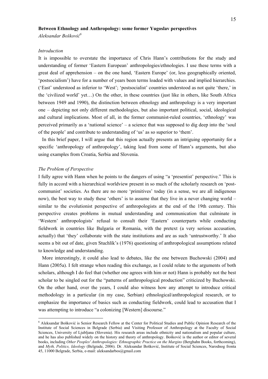### **Between Ethnology and Anthropology: some former Yugoslav perspectives**

*Aleksandar Bošković 6*

### *Introduction*

It is impossible to overstate the importance of Chris Hann's contributions for the study and understanding of former 'Eastern European' anthropologies/ethnologies. I use these terms with a great deal of apprehension – on the one hand, 'Eastern Europe' (or, less geographically oriented, 'postsocialism') have for a number of years been terms loaded with values and implied hierarchies. ('East' understood as inferior to 'West'; 'postsocialist' countries understood as not quite 'there,' in the 'civilized world' yet…) On the other, in these countries (just like in others, like South Africa between 1949 and 1990), the distinction between ethnology and anthropology is a very important one – depicting not only different methodologies, but also important political, social, ideological and cultural implications. Most of all, in the former communist-ruled countries, 'ethnology' was perceived primarily as a 'national science' – a science that was supposed to dig deep into the 'soul of the people' and contribute to understanding of 'us' as so superior to 'them'.

In this brief paper, I will argue that this region actually presents an intriguing opportunity for a specific 'anthropology of anthropology', taking lead from some of Hann's arguments, but also using examples from Croatia, Serbia and Slovenia.

### *The Problem of Perspective*

<u>.</u>

I fully agree with Hann when he points to the dangers of using "a 'presentist' perspective." This is fully in accord with a hierarchical worldview present in so much of the scholarly research on 'postcommunist' societies. As there are no more 'primitives' today (in a sense, we are all indigenous now), the best way to study these 'others' is to assume that they live in a never changing world – similar to the evolutionist perspective of anthropologists at the end of the 19th century. This perspective creates problems in mutual understanding and communication that culminate in 'Western' anthropologists' refusal to consult their 'Eastern' counterparts while conducting fieldwork in countries like Bulgaria or Romania, with the pretext (a very serious accusation, actually) that 'they' collaborate with the state institutions and are as such 'untrustworthy.' It also seems a bit out of date, given Stuchlík's (1976) questioning of anthropological assumptions related to knowledge and understanding.

More interestingly, it could also lead to debates, like the one between Buchowski (2004) and Hann (2005a). I felt strange when reading this exchange, as I could relate to the arguments of both scholars, although I do feel that (whether one agrees with him or not) Hann is probably not the best scholar to be singled out for the "patterns of anthropological production" criticized by Buchowski. On the other hand, over the years, I could also witness how any attempt to introduce critical methodology in a particular (in my case, Serbian) ethnological/anthropological research, or to emphasize the importance of basics such as conducting fieldwork, could lead to accusation that I was attempting to introduce "a colonizing [Western] discourse."

<sup>6</sup> Aleksandar Bošković is Senior Research Fellow at the Center for Political Studies and Public Opinion Research of the Institute of Social Sciences in Belgrade (Serbia) and Visiting Professor of Anthropology at the Faculty of Social Sciences, University of Ljubljana (Slovenia). His research areas include ethnicity and nationalism and popular culture, and he has also published widely on the history and theory of anthropology. Bošković is the author or editor of several books, including *Other Peoples' Anthropologies: Ethnographic Practice on the Margins* (Berghahn Books, forthcoming), and *Myth, Politics, Ideology* (Belgrade, 2006). Dr. Aleksandar Bošković, Institute of Social Sciences, Narodnog fronta 45, 11000 Belgrade, Serbia, e-mail: aleksandarbos@gmail.com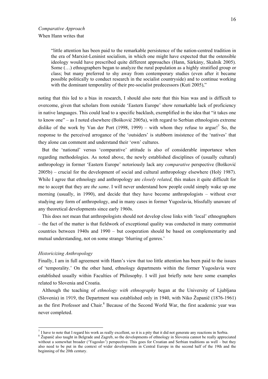### When Hann writes that

"little attention has been paid to the remarkable persistence of the nation-centred tradition in the era of Marxist-Leninist socialism, in which one might have expected that the ostensible ideology would have prescribed quite different approaches (Hann, Sárkány, Skalník 2005). Some (…) ethnographers began to analyze the rural population as a highly stratified group or class; but many preferred to shy away from contemporary studies (even after it became possible politically to conduct research in the socialist countryside) and to continue working with the dominant temporality of their pre-socialist predecessors (Kuti 2005)."

noting that this led to a bias in research, I should also note that this bias was and is difficult to overcome, given that scholars from outside 'Eastern Europe' show remarkable lack of proficiency in native languages. This could lead to a specific backlash, exemplified in the idea that "it takes one to know one" – as I noted elsewhere (Bošković 2005a), with regard to Serbian ethnologists extreme dislike of the work by Van der Port (1998, 1999) – with whom they refuse to argue!<sup>7</sup> So, the response to the perceived arrogance of the 'outsiders' is stubborn insistence of the 'natives' that they alone can comment and understand their 'own' cultures.

But the 'national' versus 'comparative' attitude is also of considerable importance when regarding methodologies. As noted above, the newly established disciplines of (usually cultural) anthropology in former 'Eastern Europe' notoriously lack any *comparative* perspective (Bošković 2005b) – crucial for the development of social and cultural anthropology elsewhere (Holý 1987). While I agree that ethnology and anthropology are *closely related*, this makes it quite difficult for me to accept that they are *the same*. I will never understand how people could simply wake up one morning (usually, in 1990), and decide that they have become anthropologists – without ever studying any form of anthropology, and in many cases in former Yugoslavia, blissfully unaware of any theoretical developments since early 1960s.

This does not mean that anthropologists should not develop close links with 'local' ethnographers – the fact of the matter is that fieldwork of exceptional quality was conducted in many communist countries between 1940s and 1990 – but cooperation should be based on complementarity and mutual understanding, not on some strange 'blurring of genres.'

### *Historicizing Anthropology*

Finally, I am in full agreement with Hann's view that too little attention has been paid to the issues of 'temporality.' On the other hand, ethnology departments within the former Yugoslavia were established usually within Faculties of Philosophy. I will just briefly note here some examples related to Slovenia and Croatia.

Although the teaching of *ethnology with ethnography* began at the University of Ljubljana (Slovenia) in 1919, the Department was established only in 1940, with Niko Županič (1876-1961) as the first Professor and Chair.<sup>8</sup> Because of the Second World War, the first academic year was never completed.

 $\frac{7}{1}$  have to note that I regard his work as really excellent, so it is a pity that it did not generate any reactions in Serbia.

<sup>&</sup>lt;sup>8</sup> Županič also taught in Belgrade and Zagreb, so the developments of ethnology in Slovenia cannot be really appreciated without a somewhat broader ('Yugoslav') perspective. This goes for Croatian and Serbian traditions as well – but they also need to be put in the context of wider developments in Central Europe in the second half of the 19th and the beginning of the 20th century.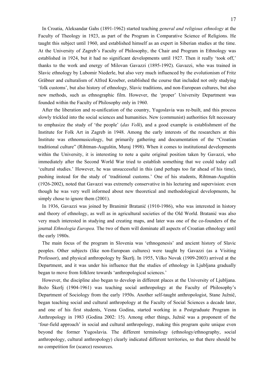In Croatia, Aleksandar Gahs (1891-1962) started teaching *general and religious ethnology* at the Faculty of Theology in 1923, as part of the Program in Comparative Science of Religions. He taught this subject until 1960, and established himself as an expert in Siberian studies at the time. At the University of Zagreb's Faculty of Philosophy, the Chair and Program in Ethnology was established in 1924, but it had no significant developments until 1927. Then it really 'took off,' thanks to the work and energy of Milovan Gavazzi (1895-1992). Gavazzi, who was trained in Slavic ethnology by Lubomir Niederle, but also very much influenced by the evolutionism of Fritz Gräbner and culturalism of Alfred Kroeber, established the course that included not only studying 'folk customs', but also history of ethnology, Slavic traditions, and non-European cultures, but also new methods, such as ethnographic film. However, the 'proper' University Department was founded within the Faculty of Philosophy only in 1960.

After the liberation and re-unification of the country, Yugoslavia was re-built, and this process slowly trickled into the social sciences and humanities. New (communist) authorities felt necessary to emphasize the study of 'the people' (*das Volk*), and a good example is establishment of the Institute for Folk Art in Zagreb in 1948. Among the early interests of the researchers at this Institute was ethnomusicology, but primarily gathering and documentation of the "Croatian traditional culture" (Rihtman-Auguštin, Muraj 1998). When it comes to institutional developments within the University, it is interesting to note a quite original position taken by Gavazzi, who immediately after the Second World War tried to establish something that we could today call 'cultural studies.' However, he was unsuccessful in this (and perhaps too far ahead of his time), pushing instead for the study of 'traditional customs.' One of his students, Rihtman-Auguštin (1926-2002), noted that Gavazzi was extremely conservative in his lecturing and supervision: even though he was very well informed about new theoretical and methodological developments, he simply chose to ignore them  $(2001)$ .

In 1936, Gavazzi was joined by Branimir Bratanić (1910-1986), who was interested in history and theory of ethnology, as well as in agricultural societies of the Old World. Bratanić was also very much interested in studying and creating maps, and later was one of the co-founders of the journal *Ethnologia Europea.* The two of them will dominate all aspects of Croatian ethnology until the early 1980s.

The main focus of the program in Slovenia was 'ethnogenesis' and ancient history of Slavic peoples. Other subjects (like non-European cultures) were taught by Gavazzi (as a Visiting Professor), and physical anthropology by Škerlj. In 1955, Vilko Novak (1909-2003) arrived at the Department, and it was under his influence that the studies of ethnology in Ljubljana gradually began to move from folklore towards 'anthropological sciences.'

However, the discipline also began to develop in different places at the University of Ljubljana. Božo Škerlj (1904-1961) was teaching social anthropology at the Faculty of Philosophy's Department of Sociology from the early 1950s. Another self-taught anthropologist, Stane Južnič, began teaching social and cultural anthropology at the Faculty of Social Sciences a decade later, and one of his first students, Vesna Godina, started working in a Postgraduate Program in Anthropology in 1983 (Godina 2002: 15). Among other things, Južnič was a proponent of the 'four-field approach' in social and cultural anthropology, making this program quite unique even beyond the former Yugoslavia. The different terminology (ethnology/ethnography, social anthropology, cultural anthropology) clearly indicated different territories, so that there should be no competition for (scarce) resources.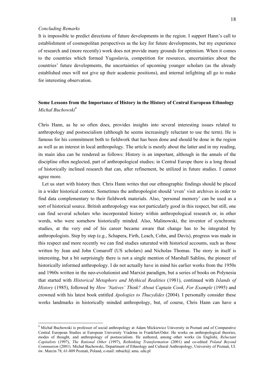### *Concluding Remarks*

1

It is impossible to predict directions of future developments in the region. I support Hann's call to establishment of cosmopolitan perspectives as the key for future developments, but my experience of research and (more recently) work does not provide many grounds for optimism. When it comes to the countries which formed Yugoslavia, competition for resources, uncertainties about the countries' future developments, the uncertainties of upcoming younger scholars (as the already established ones will not give up their academic positions), and internal infighting all go to make for interesting observation.

## **Some Lessons from the Importance of History in the History of Central European Ethnology**  *Michał Buchowski<sup>9</sup>*

Chris Hann, as he so often does, provides insights into several interesting issues related to anthropology and postsocialism (although he seems increasingly reluctant to use the term). He is famous for his commitment both to fieldwork that has been done and should be done in the region as well as an interest in local anthropology. The article is mostly about the latter and in my reading, its main idea can be rendered as follows: History is an important, although in the annals of the discipline often neglected, part of anthropological studies; in Central Europe there is a long thread of historically inclined research that can, after refinement, be utilized in future studies. I cannot agree more.

Let us start with history then. Chris Hann writes that our ethnographic findings should be placed in a wider historical context. Sometimes the anthropologist should 'even' visit archives in order to find data complementary to their fieldwork materials. Also, 'personal memory' can be used as a sort of historical source. British anthropology was not particularly good in this respect, but still, one can find several scholars who incorporated history within anthropological research or, in other words, who were somehow historically minded. Also, Malinowski, the inventor of synchronic studies, at the very end of his career became aware that change has to be integrated by anthropologists. Step by step (e.g., Schapera, Firth, Leach, Cohn, and Davis), progress was made in this respect and more recently we can find studies saturated with historical accounts, such as those written by Jean and John Comaroff (US scholars) and Nicholas Thomas. The story in itself is interesting, but a bit surprisingly there is not a single mention of Marshall Sahlins, the pioneer of historically informed anthropology. I do not actually have in mind his earlier works from the 1950s and 1960s written in the neo-evolutionist and Marxist paradigm, but a series of books on Polynesia that started with *Historical Metaphors and Mythical Realities* (1981), continued with *Islands of History* (1985), followed by *How 'Natives' Think? About Captain Cook, For Example* (1995) and crowned with his latest book entitled *Apologies to Thucydides* (2004). I personally consider these works landmarks in historically minded anthropology, but, of course, Chris Hann can have a

<sup>9</sup> Michał Buchowski is professor of social anthropology at Adam Mickiewicz University in Poznań and of Comparative Central European Studies at European University Viadrina in Frankfurt/Oder. He works on anthropological theories, modes of thought, and anthropology of postsocialism. He authored, among other works (in English), *Reluctant Capitalists* (1997), *The Rational Other* (1997), *Rethinking Transformation* (2001) and co-edited *Poland Beyond Communism* (2001). Michał Buchowski, Department of Ethnology and Cultural Anthropology, University of Poznań, Ul. św. Marcin 78, 61-809 Poznań, Poland, e-mail: mbuch@ amu. edu.pl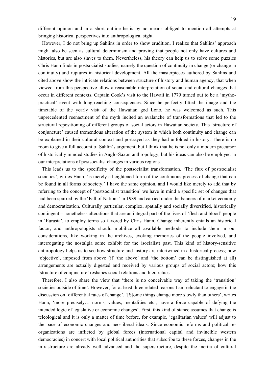different opinion and in a short outline he is by no means obliged to mention all attempts at bringing historical perspectives into anthropological sight.

However, I do not bring up Sahlins in order to show erudition. I realize that Sahlins' approach might also be seen as cultural determinism and proving that people not only have cultures and histories, but are also slaves to them. Nevertheless, his theory can help us to solve some puzzles Chris Hann finds in postsocialist studies, namely the question of continuity in change (or change in continuity) and ruptures in historical development. All the masterpieces authored by Sahlins and cited above show the intricate relations between structure of history and human agency, that when viewed from this perspective allow a reasonable interpretation of social and cultural changes that occur in different contexts. Captain Cook's visit to the Hawaii in 1779 turned out to be a 'mythopractical' event with long-reaching consequences. Since he perfectly fitted the image and the timetable of the yearly visit of the Hawaiian god Lono, he was welcomed as such. This unprecedented reenactment of the myth incited an avalanche of transformations that led to the structural repositioning of different groups of social actors in Hawaiian society. This 'structure of conjuncture' caused tremendous alteration of the system in which both continuity and change can be explained in their cultural context and portrayed as they had unfolded in history. There is no room to give a full account of Sahlin's argument, but I think that he is not only a modern precursor of historically minded studies in Anglo-Saxon anthropology, but his ideas can also be employed in our interpretations of postsocialist changes in various regions.

This leads us to the specificity of the postsocialist transformation. 'The flux of postsocialist societies', writes Hann, 'is merely a heightened form of the continuous process of change that can be found in all forms of society.' I have the same opinion, and I would like merely to add that by referring to the concept of 'postsocialist transition' we have in mind a specific set of changes that had been spurred by the 'Fall of Nations' in 1989 and carried under the banners of market economy and democratization. Culturally particular, complex, spatially and socially diversified, historically contingent – nonetheless alterations that are an integral part of the lives of 'flesh and blood' people in 'Eurasia', to employ terms so favored by Chris Hann. Change inherently entails an historical factor, and anthropologists should mobilize all available methods to include them in our considerations, like working in the archives, evoking memories of the people involved, and interrogating the nostalgia some exhibit for the (socialist) past. This kind of history-sensitive anthropology helps us to see how structure and history are intertwined in a historical process; how 'objective', imposed from above (if 'the above' and 'the bottom' can be distinguished at all) arrangements are actually digested and received by various groups of social actors; how this 'structure of conjuncture' reshapes social relations and hierarchies.

Therefore, I also share the view that 'there is no conceivable way of taking the 'transition' societies outside of time'. However, for at least three related reasons I am reluctant to engage in the discussion on 'differential rates of change'. '[S]ome things change more slowly than others', writes Hann, 'more precisely… norms, values, mentalities etc., have a force capable of defying the intended logic of legislative or economic changes'. First, this kind of stance assumes that change is teleological and it is only a matter of time before, for example, 'egalitarian values' will adjust to the pace of economic changes and neo-liberal ideals. Since economic reforms and political reorganizations are inflicted by global forces (international capital and invincible western democracies) in concert with local political authorities that subscribe to these forces, changes in the infrastructure are already well advanced and the superstructure, despite the inertia of cultural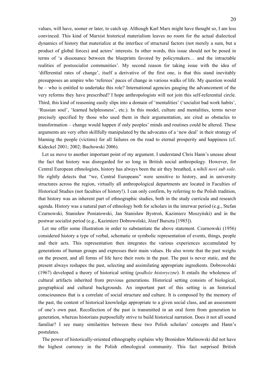values, will have, sooner or later, to catch up. Although Karl Marx might have thought so, I am less convinced. This kind of Marxist historical materialism leaves no room for the actual dialectical dynamics of history that materialize at the interface of structural factors (not merely a sum, but a product of global forces) and actors' interests. In other words, this issue should not be posed in terms of 'a dissonance between the blueprints favored by policymakers… and the intractable realities of postsocialist communities'. My second reason for taking issue with the idea of 'differential rates of change', itself a derivative of the first one, is that this stand inevitably presupposes an umpire who 'referees' paces of change in various walks of life. My question would be – who is entitled to undertake this role? International agencies gauging the advancement of the very reforms they have prescribed? I hope anthropologists will not join this self-referential circle. Third, this kind of reasoning easily slips into a domain of 'mentalities' ('socialist bad work habits', 'Russian soul', 'learned helplessness', etc.). In this model, culture and mentalities, terms never precisely specified by those who used them in their argumentation, are cited as obstacles to transformation – change would happen if only peoples' minds and routines could be altered. These arguments are very often skillfully manipulated by the advocates of a 'new deal' in their strategy of blaming the people (victims) for all failures on the road to eternal prosperity and happiness (cf. Kideckel 2001; 2002; Buchowski 2006).

Let us move to another important point of my argument. I understand Chris Hann's unease about the fact that history was disregarded for so long in British social anthropology. However, for Central European ethnologists, history has always been the air they breathed, a *nihili novi sub sole*. He rightly detects that "we, Central Europeans" were sensitive to history, and in university structures across the region, virtually all anthropological departments are located in Faculties of Historical Studies (not faculties of history!). I can only confirm, by referring to the Polish tradition, that history was an inherent part of ethnographic studies, both in the study curricula and research agenda. History was a natural part of ethnology both for scholars in the interwar period (e.g., Stefan Czarnowski, Stanisław Poniatowski, Jan Stanisław Bystroń, Kazimierz Moszyński) and in the postwar socialist period (e.g., Kazimierz Dobrowolski, Józef Burszta [1985]).

Let me offer some illustration in order to substantiate the above statement. Czarnowski (1956) considered history a type of verbal, schematic or symbolic representation of events, things, people and their acts. This representation then integrates the various experiences accumulated by generations of human groups and expresses their main values. He also wrote that the past weighs on the present, and all forms of life have their roots in the past. The past is never static, and the present always reshapes the past, selecting and assimilating appropriate ingredients. Dobrowolski (1967) developed a theory of historical setting (*podłoże historyczne*). It entails the wholeness of cultural artifacts inherited from previous generations. Historical setting consists of biological, geographical and cultural backgrounds. An important part of this setting is an historical consciousness that is a correlate of social structure and culture. It is composed by the memory of the past, the content of historical knowledge appropriate to a given social class, and an assessment of one's own past. Recollection of the past is transmitted in an oral form from generation to generation, whereas historians purposefully strive to build historical narration. Does it not all sound familiar? I see many similarities between these two Polish scholars' concepts and Hann's postulates.

The power of historically-oriented ethnography explains why Bronisław Malinowski did not have the highest currency in the Polish ethnological community. This fact surprised British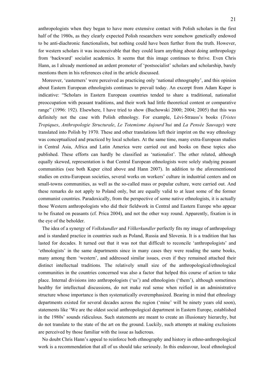anthropologists when they began to have more extensive contact with Polish scholars in the first half of the 1980s, as they clearly expected Polish researchers were somehow genetically endowed to be anti-diachronic functionalists, but nothing could have been further from the truth. However, for western scholars it was inconceivable that they could learn anything about doing anthropology from 'backward' socialist academics. It seems that this image continues to thrive. Even Chris Hann, as I already mentioned an ardent promoter of 'postsocialist' scholars and scholarship, barely mentions them in his references cited in the article discussed.

Moreover, 'easterners' were perceived as practicing only 'national ethnography', and this opinion about Eastern European ethnologists continues to prevail today. An excerpt from Adam Kuper is indicative: "Scholars in Eastern European countries tended to share a traditional, nationalist preoccupation with peasant traditions, and their work had little theoretical content or comparative range" (1996: 192). Elsewhere, I have tried to show (Buchowski 2000; 2004; 2005) that this was definitely not the case with Polish ethnology. For example, Lévi-Strauss's books (*Tristes Tropiques*, *Anthropologie Structurale*, *Le Totemisme Aujourd'hui* and *La Pensée Sauvage*) were translated into Polish by 1970. These and other translations left their imprint on the way ethnology was conceptualized and practiced by local scholars. At the same time, many extra-European studies in Central Asia, Africa and Latin America were carried out and books on these topics also published. These efforts can hardly be classified as 'nationalist'. The other related, although equally skewed, representation is that Central European ethnologists were solely studying peasant communities (see both Kuper cited above and Hann 2007). In addition to the aforementioned studies on extra-European societies, several works on workers' culture in industrial centers and on small-towns communities, as well as the so-called mass or popular culture, were carried out. And these remarks do not apply to Poland only, but are equally valid to at least some of the former communist countries. Paradoxically, from the perspective of some native ethnologists, it is actually those Western anthropologists who did their fieldwork in Central and Eastern Europe who appear to be fixated on peasants (cf. Prica 2004), and not the other way round. Apparently, fixation is in the eye of the beholder.

The idea of a synergy of *Volkskundler* and *Völkerkundler* perfectly fits my image of anthropology and is standard practice in countries such as Poland, Russia and Slovenia. It is a tradition that has lasted for decades. It turned out that it was not that difficult to reconcile 'anthropologists' and 'ethnologists' in the same departments since in many cases they were reading the same books, many among them 'western', and addressed similar issues, even if they remained attached their distinct intellectual traditions. The relatively small size of the anthropological/ethnological communities in the countries concerned was also a factor that helped this course of action to take place. Internal divisions into anthropologists ('us') and ethnologists ('them'), although sometimes healthy for intellectual discussions, do not make real sense when reified in an administrative structure whose importance is then systematically overemphasized. Bearing in mind that ethnology departments existed for several decades across the region ('mine' will be ninety years old soon), statements like 'We are the oldest social anthropological department in Eastern Europe, established in the 1980s' sounds ridiculous. Such statements are meant to create an illusionary hierarchy, but do not translate to the state of the art on the ground. Luckily, such attempts at making exclusions are perceived by those familiar with the issue as ludicrous.

No doubt Chris Hann's appeal to reinforce both ethnography and history in ethno-anthropological work is a recommendation that all of us should take seriously. In this endeavour, local ethnological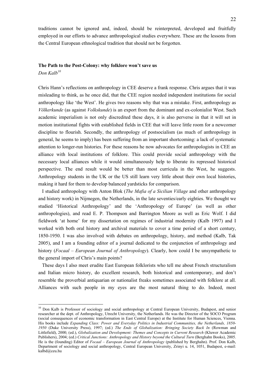traditions cannot be ignored and, indeed, should be reinterpreted, developed and fruitfully employed in our efforts to advance anthropological studies everywhere. These are the lessons from the Central European ethnological tradition that should not be forgotten.

#### **The Path to the Post-Colony: why folklore won't save us**

*Don Kalb10*

1

Chris Hann's reflections on anthropology in CEE deserve a frank response. Chris argues that it was misleading to think, as he once did, that the CEE region needed independent institutions for social anthropology like 'the West'. He gives two reasons why that was a mistake. First, anthropology as *Völkerkunde* (as against *Volkskunde*) is an export from the dominant and ex-colonialist West. Such academic imperialism is not only discredited these days, it is also perverse in that it will set in motion institutional fights with established fields in CEE that will leave little room for a newcomer discipline to flourish. Secondly, the anthropology of postsocialism (as much of anthropology in general, he seems to imply) has been suffering from an important shortcoming: a lack of systematic attention to longer-run histories. For these reasons he now advocates for anthropologists in CEE an alliance with local institutions of folklore. This could provide social anthropology with the necessary local alliances while it would simultaneously help to liberate its repressed historical perspective. The end result would be better than most curricula in the West, he suggests. Anthropology students in the UK or the US still learn very little about their own local histories, making it hard for them to develop balanced yardsticks for comparison.

I studied anthropology with Anton Blok (*The Mafia of a Sicilian Village* and other anthropology and history work) in Nijmegen, the Netherlands, in the late seventies/early eighties. We thought we studied 'Historical Anthropology' and the 'Anthropology of Europe' (as well as other anthropologies), and read E. P. Thompson and Barrington Moore as well as Eric Wolf. I did fieldwork 'at home' for my dissertation on regimes of industrial modernity (Kalb 1997) and I worked with both oral history and archival materials to cover a time period of a short century, 1850-1950. I was also involved with debates on anthropology, history, and method (Kalb, Tak 2005), and I am a founding editor of a journal dedicated to the conjunction of anthropology and history (*Focaal – European Journal of Anthropology*). Clearly, how could I be unsympathetic to the general import of Chris's main points?

These days I also meet erudite East European folklorists who tell me about French structuralism and Italian micro history, do excellent research, both historical and contemporary, and don't resemble the proverbial antiquarian or nationalist freaks sometimes associated with folklore at all. Alliances with such people in my eyes are the most natural thing to do. Indeed, most

<sup>&</sup>lt;sup>10</sup> Don Kalb is Professor of sociology and social anthropology at Central European University, Budapest, and senior researcher at the dept. of Anthropology, Utrecht University, the Netherlands. He was the Director of the SOCO Program (social consequences of economic transformation in East Central Europe) at the Institute for Human Sciences, Vienna. His books include *Expanding Class: Power and Everyday Politics in Industrial Communities, the Netherlands, 1850- 1950* (Duke University Press), 1997; (ed.) *The Ends of Globalization: Bringing Society Back In* (Rowman and Littlefield), 2000; (ed.), *Globalization and Development: Themes and Concepts in Current Research* (Kluwer Academic Publishers), 2004; (ed.) *Critical Junctions: Anthropology and History beyond the Cultural Turn* (Berghahn Books), 2005. He is the (founding) Editor of *Focaal – European Journal of Anthropology* (published by Berghahn). Prof. Don Kalb, Department of sociology and social anthropology, Central European University, Zrinyi u. 14, 1051, Budapest, e-mail: kalbd@ceu.hu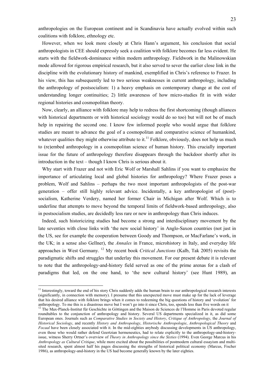anthropologies on the European continent and in Scandinavia have actually evolved within such coalitions with folklore, ethnology etc.

However, when we look more closely at Chris Hann's argument, his conclusion that social anthropologists in CEE should expressly seek a coalition with folklore becomes far less evident. He starts with the fieldwork-dominance within modern anthropology. Fieldwork in the Malinowskian mode allowed for rigorous empirical research, but it also served to sever the earlier close link in the discipline with the evolutionary history of mankind, exemplified in Chris's reference to Frazer. In his view, this has subsequently led to two serious weaknesses in current anthropology, including the anthropology of postsocialism: 1) a heavy emphasis on contemporary change at the cost of understanding longer continuities; 2) little awareness of how micro-studies fit in with wider regional histories and cosmopolitan theory.

Now, clearly, an alliance with folklore may help to redress the first shortcoming (though alliances with historical departments or with historical sociology would do so too) but will not be of much help in repairing the second one. I know few informed people who would argue that folklore studies are meant to advance the goal of a cosmopolitan and comparative science of humankind, whatever qualities they might otherwise attribute to it.<sup>11</sup> Folklore, obviously, does not help us much to (re)embed anthropology in a cosmopolitan science of human history. This crucially important issue for the future of anthropology therefore disappears through the backdoor shortly after its introduction in the text – though I know Chris is serious about it.

Why start with Frazer and not with Eric Wolf or Marshall Sahlins if you want to emphasize the importance of articulating local and global histories for anthropology? Where Frazer poses a problem, Wolf and Sahlins – perhaps the two most important anthropologists of the post-war generation – offer still highly relevant advice. Incidentally, a key anthropologist of (post) socialism, Katherine Verdery, named her former Chair in Michigan after Wolf. Which is to underline that attempts to move beyond the temporal limits of fieldwork-based anthropology, also in postsocialism studies, are decidedly less rare or new in anthropology than Chris induces.

Indeed, such historicizing studies had become a strong and interdisciplinary movement by the late seventies with close links with 'the new social history' in Anglo-Saxon countries (not just in the US, see for example the cooperation between Goody and Thompson, or MacFarlane's work, in the UK; in a sense also Gellner), the *Annales* in France, microhistory in Italy, and everyday life approaches in West Germany. 12 My recent book *Critical Junctions* (Kalb, Tak 2005) revisits the paradigmatic shifts and struggles that underlay this movement. For our present debate it is relevant to note that the anthropology-and-history field served as one of the prime arenas for a clash of paradigms that led, on the one hand, to 'the new cultural history' (see Hunt 1989), an

<sup>&</sup>lt;sup>11</sup> Interestingly, toward the end of his story Chris suddenly adds the human brain to our anthropological research interests (significantly, in connection with memory). I presume that this unexpected move must make up for the lack of leverage that his desired alliance with folklore brings when it comes to redeeming the big questions of history and 'evolution' for anthropology. To me this is a disastrous move but I won't go into it since Chris, too, spends less than five words on it <sup>12</sup> The Max-Planck-Institut für Geschichte in Göttingen and the Maison de Sciences de l'Homme in Par

roundtables to the conjunction of anthropology and history. Several US departments specialized in it, as did some European ones. Journals such as *Comparative Studies in Society and History*, *Critique of Anthropology*, the *Journal of Historical Sociology*, and recently *History and Anthropology*, *Historische Anthropologie*, *Anthropological Theory* and *Focaal* have been closely associated with it. In the mid-eighties anybody discussing developments in US anthropology, even those who would rather defend Geertzian hermeneutics, had to relate explicitly to the anthropology-and-historyissue, witness Sherry Ortner's overview of *Theory in Anthropology since the Sixties* (1994). Even George Marcus in his *Anthropology as Cultural Critique*, while more excited about the possibilities of postmodern cultural essayism and multisited research, spent almost half his pages discussing the strengths of historical political economy (Marcus, Fischer 1986), as anthropology-and-history in the US had become generally known by the later eighties.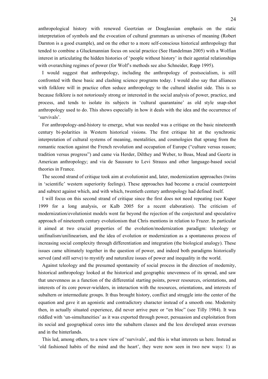anthropological history with renewed Geertzian or Douglassian emphasis on the static interpretation of symbols and the evocation of cultural grammars as universes of meaning (Robert Darnton is a good example), and on the other to a more self-conscious historical anthropology that tended to combine a Gluckmannian focus on social practice (See Handelman 2005) with a Wolfian interest in articulating the hidden histories of 'people without history' in their agential relationships with overarching regimes of power (for Wolf's methods see also Schneider, Rapp 1995).

I would suggest that anthropology, including the anthropology of postsocialism, is still confronted with these basic and clashing science programs today. I would also say that alliances with folklore will in practice often seduce anthropology to the cultural idealist side. This is so because folklore is not notoriously strong or interested in the social analysis of power, practice, and process, and tends to isolate its subjects in 'cultural quarantaine' as old style snap-shot anthropology used to do. This shows especially in how it deals with the idea and the occurrence of 'survivals'.

For anthropology-and-history to emerge, what was needed was a critique on the basic nineteenth century bi-polarities in Western historical visions. The first critique hit at the synchronic interpretation of cultural systems of meaning, mentalities, and cosmologies that sprang from the romantic reaction against the French revolution and occupation of Europe ("culture versus reason; tradition versus progress") and came via Herder, Dilthey and Weber, to Boas, Mead and Geertz in American anthropology; and via de Saussure to Levi Strauss and other language-based social theories in France.

The second strand of critique took aim at evolutionist and, later, modernization approaches (twins in 'scientific' western superiority feelings). These approaches had become a crucial counterpoint and subtext against which, and with which, twentieth century anthropology had defined itself.

I will focus on this second strand of critique since the first does not need repeating (see Kuper 1999 for a long analysis, or Kalb 2005 for a recent elaboration). The criticism of modernization/evolutionist models went far beyond the rejection of the conjectural and speculative approach of nineteenth century evolutionism that Chris mentions in relation to Frazer. In particular it aimed at two crucial properties of the evolution/modernization paradigm: teleology or unifinalism/unilinearism, and the idea of evolution or modernization as a spontaneous process of increasing social complexity through differentiation and integration (the biological analogy). These issues came ultimately together in the question of power, and indeed both paradigms historically served (and still serve) to mystify and naturalize issues of power and inequality in the world.

Against teleology and the presumed spontaneity of social process in the direction of modernity, historical anthropology looked at the historical and geographic unevenness of its spread, and saw that unevenness as a function of the differential starting points, power resources, orientations, and interests of its core power-wielders, in interaction with the resources, orientations, and interests of subaltern or intermediate groups. It thus brought history, conflict and struggle into the center of the equation and gave it an agonistic and contradictory character instead of a smooth one. Modernity then, in actually situated experience, did never arrive pure or "en bloc" (see Tilly 1984). It was riddled with 'un-simultaneities' as it was exported through power, persuasion and exploitation from its social and geographical cores into the subaltern classes and the less developed areas overseas and in the hinterlands.

This led, among others, to a new view of 'survivals', and this is what interests us here. Instead as 'old fashioned habits of the mind and the heart', they were now seen in two new ways: 1) as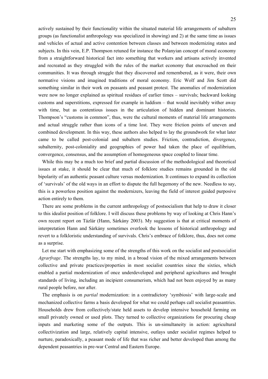actively sustained by their functionality within the situated material life arrangements of subaltern groups (as functionalist anthropology was specialized in showing) and 2) at the same time as issues and vehicles of actual and active contention between classes and between modernizing states and subjects. In this vein, E.P. Thompson retuned for instance the Polanyian concept of moral economy from a straightforward historical fact into something that workers and artisans actively invented and recreated as they struggled with the rules of the market economy that encroached on their communities. It was through struggle that they discovered and remembered, as it were, their own normative visions and imagined traditions of moral economy. Eric Wolf and Jim Scott did something similar in their work on peasants and peasant protest. The anomalies of modernization were now no longer explained as spiritual residues of earlier times – survivals; backward looking customs and superstitions, expressed for example in luddism – that would inevitably wither away with time, but as contentious issues in the articulation of hidden and dominant histories. Thompson's "customs in common", thus, were the cultural moments of material life arrangements and actual struggle rather than icons of a time lost. They were friction points of uneven and combined development. In this way, these authors also helped to lay the groundwork for what later came to be called post-colonial and subaltern studies. Friction, contradiction, divergence, subalternity, post-coloniality and geographies of power had taken the place of equilibrium, convergence, consensus, and the assumption of homogeneous space coupled to linear time.

While this may be a much too brief and partial discussion of the methodological and theoretical issues at stake, it should be clear that much of folklore studies remains grounded in the old bipolarity of an authentic peasant culture versus modernization. It continues to expand its collection of 'survivals' of the old ways in an effort to dispute the full hegemony of the new. Needless to say, this is a powerless position against the modernizers, leaving the field of interest guided purposive action entirely to them.

There are some problems in the current anthropology of postsocialism that help to draw it closer to this idealist position of folklore. I will discuss these problems by way of looking at Chris Hann's own recent report on Tázlár (Hann, Sárkány 2003). My suggestion is that at critical moments of interpretation Hann and Sárkány sometimes overlook the lessons of historical anthropology and revert to a folkloristic understanding of survivals. Chris's embrace of folklore, thus, does not come as a surprise.

Let me start with emphasizing some of the strengths of this work on the socialist and postsocialist *Agrarfrage*. The strengths lay, to my mind, in a broad vision of the mixed arrangements between collective and private practices/properties in most socialist countries since the sixties, which enabled a partial modernization of once underdeveloped and peripheral agricultures and brought standards of living, including an incipient consumerism, which had not been enjoyed by as many rural people before, nor after.

The emphasis is on *partial* modernization: in a contradictory 'symbiosis' with large-scale and mechanized collective farms a basis developed for what we could perhaps call socialist peasantries. Households drew from collectively/state held assets to develop intensive household farming on small privately owned or used plots. They turned to collective organizations for procuring cheap inputs and marketing some of the outputs. This is un-simultaneity in action: agricultural collectivization and large, relatively capital intensive, outlays under socialist regimes helped to nurture, paradoxically, a peasant mode of life that was richer and better developed than among the dependent peasantries in pre-war Central and Eastern Europe.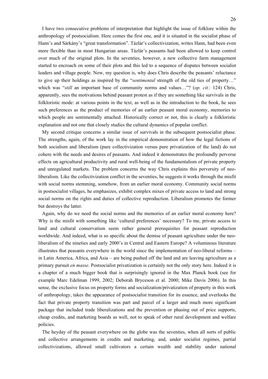I have two consecutive problems of interpretation that highlight the issue of folklore within the anthropology of postsocialism. Here comes the first one, and it is situated in the socialist phase of Hann's and Sárkány's "great transformation". Tázlár's collectivization, writes Hann, had been even more flexible than in most Hungarian areas. Tázlár's peasants had been allowed to keep control over much of the original plots. In the seventies, however, a new collective farm management started to encroach on some of their plots and this led to a sequence of disputes between socialist leaders and village people. Now, my question is, why does Chris describe the peasants' reluctance to give up their holdings as inspired by the "*sentimental* strength of the old ties of property…" which was "*still* an important base of community norms and values…"? (*op. cit.*: 124) Chris, apparently, sees the motivations behind peasant protest as if they are something like survivals in the folkloristic mode: at various points in the text, as well as in the introduction to the book, he sees such preferences as the product of memories of an earlier peasant moral economy, memories to which people are sentimentally attached. Historically correct or not, this is clearly a folkloristic explanation and not one that closely studies the cultural dynamics of popular conflict.

My second critique concerns a similar issue of survivals in the subsequent postsocialist phase. The strengths, again, of the work lay in the empirical demonstration of how the legal fictions of both socialism and liberalism (pure collectivization versus pure privatization of the land) do not cohere with the needs and desires of peasants. And indeed it demonstrates the profoundly perverse effects on agricultural productivity and rural well-being of the fundamentalism of private property and unregulated markets. The problem concerns the way Chris explains this perversity of neoliberalism. Like the collectivization conflict in the seventies, he suggests it works through the misfit with social norms stemming, somehow, from an earlier moral economy. Community social norms in postsocialist villages, he emphasizes, exhibit complex mixes of private access to land and strong social norms on the rights and duties of collective reproduction. Liberalism promotes the former but destroys the latter.

Again, why do we need the social norms and the memories of an earlier moral economy here? Why is the misfit with something like 'cultural preferences' necessary? To me, private access to land and cultural conservatism seem rather general prerequisites for peasant reproduction worldwide. And indeed, what is so specific about the demise of peasant agriculture under the neoliberalism of the nineties and early 2000's in Central and Eastern Europe? A voluminous literature illustrates that peasants everywhere in the world since the implementation of neo-liberal reforms – in Latin America, Africa, and Asia – are being pushed off the land and are leaving agriculture as a primary pursuit *en masse*. Postsocialist privatization is certainly not the only story here. Indeed it is a chapter of a much bigger book that is surprisingly ignored in the Max Planck book (see for example Marc Edelman 1999, 2002; Deborah Bryceson et al. 2000; Mike Davis 2006). In this sense, the exclusive focus on property forms and socialization/privatization of property in this work of anthropology, takes the appearance of postsocialist transition for its essence, and overlooks the fact that private property transition was part and parcel of a larger and much more significant package that included trade liberalizations and the prevention or phasing out of price supports, cheap credits, and marketing boards as well, not to speak of other rural development and welfare policies.

The heyday of the peasant everywhere on the globe was the seventies, when all sorts of public and collective arrangements in credits and marketing, and, under socialist regimes, partial collectivizations, allowed small cultivators a certain wealth and stability under national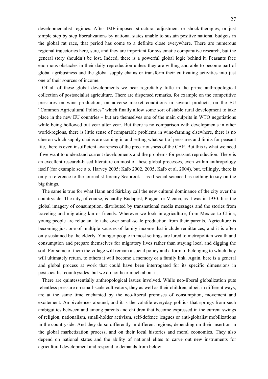developmentalist regimes. After IMF-imposed structural adjustment or shock-therapies, or just simple step by step liberalizations by national states unable to sustain positive national budgets in the global rat race, that period has come to a definite close everywhere. There are numerous regional trajectories here, sure, and they are important for systematic comparative research, but the general story shouldn't be lost. Indeed, there is a powerful global logic behind it. Peasants face enormous obstacles in their daily reproduction unless they are willing and able to become part of global agribusiness and the global supply chains or transform their cultivating activities into just one of their sources of income.

Of all of these global developments we hear regrettably little in the prime anthropological collection of postsocialist agriculture. There are dispersed remarks, for example on the competitive pressures on wine production, on adverse market conditions in several products, on the EU "Common Agricultural Policies" which finally allow some sort of stable rural development to take place in the new EU countries – but are themselves one of the main culprits in WTO negotiations while being hollowed out year after year. But there is no comparison with developments in other world-regions, there is little sense of comparable problems in wine-farming elsewhere, there is no clue on which supply chains are coming in and setting what sort of pressures and limits for peasant life, there is even insufficient awareness of the precariousness of the CAP. But this is what we need if we want to understand current developments and the problems for peasant reproduction. There is an excellent research-based literature on most of these global processes, even within anthropology itself (for example see a.o. Harvey 2005; Kalb 2002, 2005, Kalb et al. 2004), but, tellingly, there is only a reference to the journalist Jeremy Seabrook – as if social science has nothing to say on the big things.

The same is true for what Hann and Sárkány call the new cultural dominance of the city over the countryside. The city, of course, is hardly Budapest, Prague, or Vienna, as it was in 1930. It is the global imagery of consumption, distributed by transnational media messages and the stories from traveling and migrating kin or friends. Wherever we look in agriculture, from Mexico to China, young people are reluctant to take over small-scale production from their parents. Agriculture is becoming just one of multiple sources of family income that include remittances; and it is often only sustained by the elderly. Younger people in most settings are lured to metropolitan wealth and consumption and prepare themselves for migratory lives rather than staying local and digging the soil. For some of them the village will remain a social policy and a form of belonging to which they will ultimately return, to others it will become a memory or a family link. Again, here is a general and global process at work that could have been interrogated for its specific dimensions in postsocialist countrysides, but we do not hear much about it.

There are quintessentially anthropological issues involved. While neo-liberal globalization puts relentless pressure on small-scale cultivators, they as well as their children, albeit in different ways, are at the same time enchanted by the neo-liberal promises of consumption, movement and excitement. Ambivalences abound, and it is the volatile everyday politics that springs from such ambiguities between and among parents and children that become expressed in the current swings of religion, nationalism, small-holder activism, self-defence leagues or anti-globalist mobilizations in the countryside. And they do so differently in different regions, depending on their insertion in the global marketization process, and on their local histories and moral economies. They also depend on national states and the ability of national elites to carve out new instruments for agricultural development and respond to demands from below.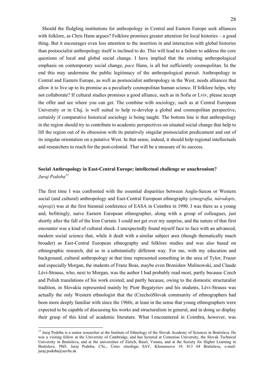Should the fledgling institutions for anthropology in Central and Eastern Europe seek alliances with folklore, as Chris Hann argues? Folklore promises greater attention for local histories – a good thing. But it encourages even less attention to the insertion in and interaction with global histories than postsocialist anthropology itself is inclined to do. This will lead to a failure to address the core questions of local and global social change. I have implied that the existing anthropological emphasis on contemporary social change, *pace* Hann, is all but sufficiently cosmopolitan. In the end this may undermine the public legitimacy of the anthropological pursuit. Anthropology in Central and Eastern Europe, as well as postsocialist anthropology in the West, needs alliances that allow it to live up to its promise as a peculiarly cosmopolitan human science. If folklore helps, why not collaborate? If cultural studies promises a good alliance, such as in Sofia or Lviv, please accept the offer and see where you can get. The combine with sociology, such as at Central European University or in Cluj, is well suited to help re-develop a global and cosmopolitan perspective, certainly if comparative historical sociology is being taught. The bottom line is that anthropology in the region should try to contribute to academic perspectives on situated social change that help to lift the region out of its obsession with its putatively singular postsocialist predicament and out of its singular orientation on a putative West. In that sense, indeed, it should help regional intellectuals and researchers to reach for the post-colonial. That will be a measure of its success.

### **Social Anthropology in East-Central Europe: intellectual challenge or anachronism?**  *Juraj Podoba13*

The first time I was confronted with the essential disparities between Anglo-Saxon or Western social (and cultural) anthropology and East-Central European ethnography (*etnografia, národopis, néprajz*) was at the first biennial conference of EASA in Coimbra in 1990. I was there as a young and, befittingly, naive Eastern European ethnographer, along with a group of colleagues, just shortly after the fall of the Iron Curtain. I could not get over my surprise, and the nature of that first encounter was a kind of cultural shock. I unexpectedly found myself face to face with an advanced, modern social science that, while it dealt with a similar subject area (though thematically much broader) as East-Central European ethnography and folklore studies and was also based on ethnographic research, did so in a substantially different way. For me, with my education and background, cultural anthropology at that time represented something in the area of Tylor, Frazer and especially Morgan, the students of Franz Boas, maybe even Bronisław Malinowski, and Claude Lévi-Strauss, who, next to Morgan, was the author I had probably read most, partly because Czech and Polish translations of his work existed, and partly because, owing to the domestic structuralist tradition, in Slovakia represented mainly by Piotr Bogatyriov and his students, Lévi-Strauss was actually the only Western ethnologist that the (Czecho)Slovak community of ethnographers had been more deeply familiar with since the 1960s, at least in the sense that young ethnographers were expected to be capable of discussing his works and structuralism in general, and in doing so display their grasp of this kind of academic literature. What I encountered in Coimbra, however, was

<sup>&</sup>lt;sup>13</sup> Juraj Podoba is a senior researcher at the Institute of Ethnology of the Slovak Academy of Sciences in Bratislava. He was a visiting fellow at the University of Cambridge, and has lectured at Comenius University, the Slovak Technical University in Bratislava, and at the universities of Zürich, Basel, Vienna, and at the Society for Higher Learning in Bratislava. PhD. Juraj Podoba, CSc., Ústav etnológie SAV, Klemensova 19, 813 64 Bratislava, e-mail: juraj.podoba@savba.sk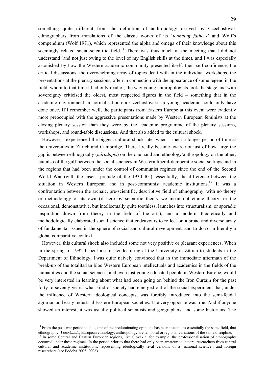something quite different from the definition of anthropology derived by Czechoslovak ethnographers from translations of the classic works of its '*founding fathers'* and Wolf's compendium (Wolf 1971), which represented the alpha and omega of their knowledge about this seemingly related social-scientific field.<sup>14</sup> There was thus much at the meeting that I did not understand (and not just owing to the level of my English skills at the time), and I was especially astonished by how the Western academic community presented itself: their self-confidence, the critical discussions, the overwhelming array of topics dealt with in the individual workshops, the presentations at the plenary sessions, often in connection with the appearance of some legend in the field, whom to that time I had only read of, the way young anthropologists took the stage and with sovereignty criticised the oldest, most respected figures in the field – something that in the academic environment in normalisation-era Czechoslovakia a young academic could only have done once. If I remember well, the participants from Eastern Europe at this event were evidently more preoccupied with the aggressive presentations made by Western European feminists at the closing plenary session than they were by the academic programme of the plenary sessions, workshops, and round-table discussions. And that also added to the cultural shock.

However, I experienced the biggest cultural shock later when I spent a longer period of time at the universities in Zürich and Cambridge. There I really became aware not just of how large the gap is between ethnography (*národopis*) on the one hand and ethnology/anthropology on the other, but also of the gulf between the social sciences in Western liberal-democratic social settings and in the regions that had been under the control of communist regimes since the end of the Second World War (with the fascist prelude of the 1930-40s); essentially, the difference between the situation in Western European and in post-communist academic institutions.<sup>15</sup> It was a confrontation between the archaic, pre-scientific, descriptive field of ethnography, with no theory or methodology of its own (if here by scientific theory we mean not ethnic theory, or the occasional, demonstrative, but intellectually quite toothless, launches into structuralism, or sporadic inspiration drawn from theory in the field of the arts), and a modern, theoretically and methodologically elaborated social science that endeavours to reflect on a broad and diverse array of fundamental issues in the sphere of social and cultural development, and to do so in literally a global comparative context.

However, this cultural shock also included some not very positive or pleasant experiences. When in the spring of 1992 I spent a semester lecturing at the University in Zürich to students in the Department of Ethnology, I was quite naively convinced that in the immediate aftermath of the break-up of the totalitarian bloc Western European intellectuals and academics in the fields of the humanities and the social sciences, and even just young educated people in Western Europe, would be very interested in learning about what had been going on behind the Iron Curtain for the past forty to seventy years, what kind of society had emerged out of the social experiment that, under the influence of Western ideological concepts, was forcibly introduced into the semi-feudal agrarian and early industrial Eastern European societies. The very opposite was true. And if anyone showed an interest, it was usually political scientists and geographers, and some historians. The

<sup>&</sup>lt;sup>14</sup> From the post-war period to date, one of the predominating opinions has been that this is essentially the same field, that ethnography, Volkskunde, European ethnology, anthropology are temporal or regional variations of the same discipline.<br><sup>15</sup> In some Central and Eastern European regions, like Slovakia, for example, the professionalisation o

occurred under these regimes. In the period prior to that there had only been amateur collectors, researchers from central cultural and academic institutions, representing ideologically rival versions of a 'national science', and foreign researchers (see Podoba 2005, 2006).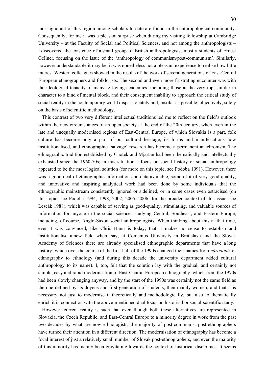most ignorant of this region among scholars to date are found in the anthropological community. Consequently, for me it was a pleasant surprise when during my visiting fellowship at Cambridge University – at the Faculty of Social and Political Sciences, and not among the anthropologists – I discovered the existence of a small group of British anthropologists, mostly students of Ernest Gellner, focusing on the issue of the 'anthropology of communism/post-communism'. Similarly, however understandable it may be, it was nonetheless not a pleasant experience to realise how little interest Western colleagues showed in the results of the work of several generations of East-Central European ethnographers and folklorists. The second and even more frustrating encounter was with the ideological tenacity of many left-wing academics, including those at the very top, similar in character to a kind of mental block, and their consequent inability to approach the critical study of social reality in the contemporary world dispassionately and, insofar as possible, objectively, solely on the basis of scientific methodology.

This contrast of two very different intellectual traditions led me to reflect on the field's outlook within the new circumstances of an open society at the end of the 20th century, when even in the late and unequally modernised regions of East-Central Europe, of which Slovakia is a part, folk culture has become only a part of our cultural heritage, its forms and manifestations now institutionalised, and ethnographic 'salvage' research has become a permanent anachronism. The ethnographic tradition established by Chotek and Mjartan had been thematically and intellectually exhausted since the 1960-70s; in this situation a focus on social history or social anthropology appeared to be the most logical solution (for more on this topic, see Podoba 1991). However, there was a good deal of ethnographic information and data available, some of it of very good quality, and innovative and inspiring analytical work had been done by some individuals that the ethnographic mainstream consistently ignored or sidelined, or in some cases even ostracised (on this topic, see Podoba 1994, 1998, 2002, 2005, 2006; for the broader context of this issue, see Leščák 1988), which was capable of serving as good-quality, stimulating, and valuable sources of information for anyone in the social sciences studying Central, Southeast, and Eastern Europe, including, of course, Anglo-Saxon social anthropologists. When thinking about this at that time, even I was convinced, like Chris Hann is today, that it makes no sense to establish and institutionalise a new field when, say, at Comenius University in Bratislava and the Slovak Academy of Sciences there are already specialised ethnographic departments that have a long history; which over the course of the first half of the 1990s changed their names from *národopis* or ethnography to ethnology (and during this decade the university department added cultural anthropology to its name). I, too, felt that the solution lay with the gradual, and certainly not simple, easy and rapid modernisation of East-Central European ethnography, which from the 1970s had been slowly changing anyway, and by the start of the 1990s was certainly not the same field as the one defined by its doyens and first generation of students, then mainly women; and that it is necessary not just to modernise it theoretically and methodologically, but also to thematically enrich it in connection with the above-mentioned dual focus on historical or social-scientific study.

However, current reality is such that even though both these alternatives are represented in Slovakia, the Czech Republic, and East-Central Europe to a minority degree in work from the past two decades by what are now ethnologists, the majority of post-communist post-ethnographers have turned their attention in a different direction. The modernisation of ethnography has become a focal interest of just a relatively small number of Slovak post-ethnographers, and even the majority of this minority has mainly been gravitating towards the context of historical disciplines. It seems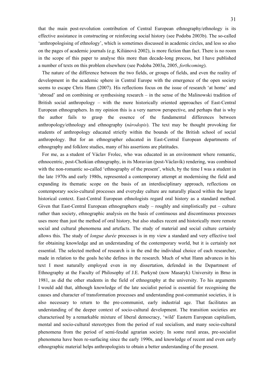that the main post-revolution contribution of Central European ethnography/ethnology is its effective assistance in constructing or reinforcing social history (see Podoba 2003b). The so-called 'anthropologising of ethnology', which is sometimes discussed in academic circles, and less so also on the pages of academic journals (e.g. Kiliánová 2002), is more fiction than fact. There is no room in the scope of this paper to analyse this more than decade-long process, but I have published a number of texts on this problem elsewhere (see Podoba 2003a, 2005, *forthcoming*).

The nature of the difference between the two fields, or groups of fields, and even the reality of development in the academic sphere in Central Europe with the emergence of the open society seems to escape Chris Hann (2007). His reflections focus on the issue of research 'at home' and 'abroad' and on combining or synthesising research – in the sense of the Malinowski tradition of British social anthropology – with the more historically oriented approaches of East-Central European ethnographers. In my opinion this is a very narrow perspective, and perhaps that is why the author fails to grasp the essence of the fundamental differences between anthropology/ethnology and ethnography (*národopis*). The text may be thought provoking for students of anthropology educated strictly within the bounds of the British school of social anthropology. But for an ethnographer educated in East-Central European departments of ethnography and folklore studies, many of his assertions are platitudes.

For me, as a student of Václav Frolec, who was educated in an environment where romantic, ethnocentric, post-Chotkian ethnography, in its Moravian (post-Václavík) rendering, was combined with the non-romantic so-called 'ethnography of the present', which, by the time I was a student in the late 1970s and early 1980s, represented a contemporary attempt at modernising the field and expanding its thematic scope on the basis of an interdisciplinary approach, reflections on contemporary socio-cultural processes and everyday culture are naturally placed within the larger historical context. East-Central European ethnologists regard oral history as a standard method. Given that East-Central European ethnographers study – roughly and simplistically put – culture rather than society, ethnographic analysis on the basis of continuous and discontinuous processes uses more than just the method of oral history, but also studies recent and historically more remote social and cultural phenomena and artefacts. The study of material and social culture certainly allows this. The study of *longue durée* processes is in my view a standard and very effective tool for obtaining knowledge and an understanding of the contemporary world, but it is certainly not essential. The selected method of research is in the end the individual choice of each researcher, made in relation to the goals he/she defines in the research. Much of what Hann advances in his text I most naturally employed even in my dissertation, defended in the Department of Ethnography at the Faculty of Philosophy of J.E. Purkyně (now Masaryk) University in Brno in 1981, as did the other students in the field of ethnography at the university. To his arguments I would add that, although knowledge of the late socialist period is essential for recognising the causes and character of transformation processes and understanding post-communist societies, it is also necessary to return to the pre-communist, early industrial age. That facilitates an understanding of the deeper context of socio-cultural development. The transition societies are characterised by a remarkable mixture of liberal democracy, 'wild' Eastern European capitalism, mental and socio-cultural stereotypes from the period of real socialism, and many socio-cultural phenomena from the period of semi-feudal agrarian society. In some rural areas, pre-socialist phenomena have been re-surfacing since the early 1990s, and knowledge of recent and even early ethnographic material helps anthropologists to obtain a better understanding of the present.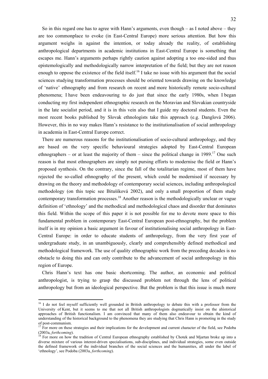So in this regard one has to agree with Hann's arguments, even though – as I noted above – they are too commonplace to evoke (in East-Central Europe) more serious attention. But how this argument weighs in against the intention, or today already the reality, of establishing anthropological departments in academic institutions in East-Central Europe is something that escapes me. Hann's arguments perhaps rightly caution against adopting a too one-sided and thus epistemologically and methodologically narrow interpretation of the field; but they are not reason enough to oppose the existence of the field itself.<sup>16</sup> I take no issue with his argument that the social sciences studying transformation processes should be oriented towards drawing on the knowledge of 'native' ethnography and from research on recent and more historically remote socio-cultural phenomena; I have been endeavouring to do just that since the early 1980s, when I began conducting my first independent ethnographic research on the Moravian and Slovakian countryside in the late socialist period, and it is in this vein also that I guide my doctoral students. Even the most recent books published by Slovak ethnologists take this approach (e.g. Danglová 2006). However, this in no way makes Hann's resistance to the institutionalisation of social anthropology in academia in East-Central Europe correct.

There are numerous reasons for the institutionalisation of socio-cultural anthropology, and they are based on the very specific behavioural strategies adopted by East-Central European ethnographers – or at least the majority of them – since the political change in  $1989$ <sup>17</sup> One such reason is that most ethnographers are simply not pursing efforts to modernise the field or Hann's proposed synthesis. On the contrary, since the fall of the totalitarian regime, most of them have rejected the so-called ethnography of the present, which could be modernised if necessary by drawing on the theory and methodology of contemporary social sciences, including anthropological methodology (on this topic see Bitušíková 2002), and only a small proportion of them study contemporary transformation processes.<sup>18</sup> Another reason is the methodologically unclear or vague definition of 'ethnology' and the methodical and methodological chaos and disorder that dominates this field. Within the scope of this paper it is not possible for me to devote more space to this fundamental problem in contemporary East-Central European post-ethnography, but the problem itself is in my opinion a basic argument in favour of institutionalising social anthropology in East-Central Europe: in order to educate students of anthropology, from the very first year of undergraduate study, in an unambiguously, clearly and comprehensibly defined methodical and methodological framework. The use of quality ethnographic work from the preceding decades is no obstacle to doing this and can only contribute to the advancement of social anthropology in this region of Europe.

Chris Hann's text has one basic shortcoming. The author, an economic and political anthropologist, is trying to grasp the discussed problem not through the lens of political anthropology but from an ideological perspective. But the problem is that this issue is much more

<sup>&</sup>lt;sup>16</sup> I do not feel myself sufficiently well grounded in British anthropology to debate this with a professor from the University of Kent, but it seems to me that not all British anthropologists dogmatically insist on the ahistorical approaches of British functionalism. I am convinced that many of them also endeavour to obtain the kind of understanding of the historical background to the phenomena they are studying that Chris Hann is promoting in the study of post-communism.

<sup>&</sup>lt;sup>17</sup> For more on these strategies and their implications for the development and current character of the field, see Podoba (2003a, *forthcoming*).<br><sup>18</sup> For more on how the tradition of Central European ethnography established by Chotek and Mjartan broke up into a

diverse mixture of various interest-driven specialisations, sub-disciplines, and individual strategies, some even outside the defined framework of the individual branches of the social sciences and the humanities, all under the label of 'ethnology', see Podoba (2003a, *forthcoming*).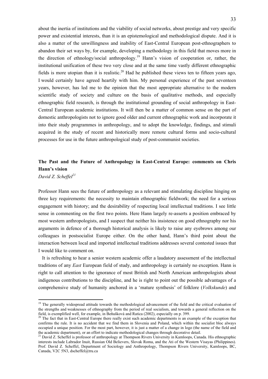about the inertia of institutions and the viability of social networks, about prestige and very specific power and existential interests, than it is an epistemological and methodological dispute. And it is also a matter of the unwillingness and inability of East-Central European post-ethnographers to abandon their set ways by, for example, developing a methodology in this field that moves more in the direction of ethnology/social anthropology.19 Hann's vision of cooperation or, rather, the institutional unification of these two very close and at the same time vastly different ethnographic fields is more utopian than it is realistic.<sup>20</sup> Had he published these views ten to fifteen years ago, I would certainly have agreed heartily with him. My personal experience of the past seventeen years, however, has led me to the opinion that the most appropriate alternative to the modern scientific study of society and culture on the basis of qualitative methods, and especially ethnographic field research, is through the institutional grounding of social anthropology in East-Central European academic institutions. It will then be a matter of common sense on the part of domestic anthropologists not to ignore good older and current ethnographic work and incorporate it into their study programmes in anthropology, and to adopt the knowledge, findings, and stimuli acquired in the study of recent and historically more remote cultural forms and socio-cultural processes for use in the future anthropological study of post-communist societies.

# **The Past and the Future of Anthropology in East-Central Europe: comments on Chris Hann's vision**

*David Z. Scheffel<sup>21</sup>*

1

Professor Hann sees the future of anthropology as a relevant and stimulating discipline hinging on three key requirements: the necessity to maintain ethnographic fieldwork; the need for a serious engagement with history; and the desirability of respecting local intellectual traditions. I see little sense in commenting on the first two points. Here Hann largely re-asserts a position embraced by most western anthropologists, and I suspect that neither his insistence on good ethnography nor his arguments in defence of a thorough historical analysis is likely to raise any eyebrows among our colleagues in postsocialist Europe either. On the other hand, Hann's third point about the interaction between local and imported intellectual traditions addresses several contested issues that I would like to comment on.

It is refreshing to hear a senior western academic offer a laudatory assessment of the intellectual traditions of any *East* European field of study, and anthropology is certainly no exception. Hann is right to call attention to the ignorance of most British and North American anthropologists about indigenous contributions to the discipline, and he is right to point out the possible advantages of a comprehensive study of humanity anchored in a 'mature synthesis' of folklore (*Volkskunde*) and

 $19$  The generally widespread attitude towards the methodological advancement of the field and the critical evaluation of the strengths and weaknesses of ethnography from the period of real socialism, and towards a general reflection on the field, is exemplified well, for example, in Beňušková and Ratica (2002), especially on p. 399.

The fact that in East-Central Europe there really exist such academic departments is an example of the exception that confirms the rule. It is no accident that we find them in Slovenia and Poland, which within the socialist bloc always occupied a unique position. For the most part, however, it is just a matter of a change in logo (the name of the field and the academic department), or an effort to indicate methodological changes through decorative detail

<sup>&</sup>lt;sup>21</sup> David Z. Scheffel is professor of anthropology at Thompson Rivers University in Kamloops, Canada. His ethnographic interests include Labrador Inuit, Russian Old Believers, Slovak Roma, and the Ati of the Western Visayas (Philippines). Prof. David Z. Scheffel, Department of Sociology and Anthropology, Thompson Rivers University, Kamloops, BC, Canada, V2C 5N3, dscheffel@tru.ca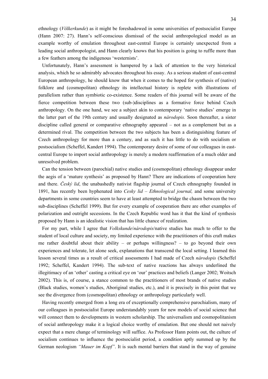ethnology (*Völkerkunde*) as it might be foreshadowed in some universities of postsocialist Europe (Hann 2007: 27). Hann's self-conscious dismissal of the social anthropological model as an example worthy of emulation throughout east-central Europe is certainly unexpected from a leading social anthropologist, and Hann clearly knows that his position is going to ruffle more than a few feathers among the indigenous 'westernists'.

Unfortunately, Hann's assessment is hampered by a lack of attention to the very historical analysis, which he so admirably advocates throughout his essay. As a serious student of east-central European anthropology, he should know that when it comes to the hoped for synthesis of (native) folklore and (cosmopolitan) ethnology its intellectual history is replete with illustrations of parallelism rather than symbiotic co-existence. Some readers of this journal will be aware of the fierce competition between these two (sub-)disciplines as a formative force behind Czech anthropology. On the one hand, we see a subject akin to contemporary 'native studies' emerge in the latter part of the 19th century and usually designated as *národopis.* Soon thereafter, a sister discipline called general or comparative ethnography appeared – not as a complement but as a determined rival. The competition between the two subjects has been a distinguishing feature of Czech anthropology for more than a century, and as such it has little to do with socialism or postsocialism (Scheffel, Kandert 1994). The contemporary desire of some of our colleagues in eastcentral Europe to import social anthropology is merely a modern reaffirmation of a much older and unresolved problem.

Can the tension between (parochial) native studies and (cosmopolitan) ethnology disappear under the aegis of a 'mature synthesis' as proposed by Hann? There are indications of cooperation here and there. *Český lid*, the unabashedly nativist flagship journal of Czech ethnography founded in 1891, has recently been hyphenated into *Cesky lid – Ethnological journal,* and some university departments in some countries seem to have at least attempted to bridge the chasm between the two sub-disciplines (Scheffel 1999). But for every example of cooperation there are other examples of polarization and outright secessions. In the Czech Republic word has it that the kind of synthesis proposed by Hann is an idealistic vision that has little chance of realization.

For my part, while I agree that *Volkskunde*/*národopis*/native studies has much to offer to the student of local culture and society, my limited experience with the practitioners of this craft makes me rather doubtful about their ability – or perhaps willingness?  $-$  to go beyond their own experiences and tolerate, let alone seek, explanations that transcend the local setting. I learned this lesson several times as a result of critical assessments I had made of Czech *národopis* (Scheffel 1992; Scheffel, Kandert 1994). The sub-text of native reactions has always underlined the illegitimacy of an 'other' casting a critical eye on 'our' practices and beliefs (Langer 2002; Woitsch 2002). This is, of course, a stance common to the practitioners of most brands of native studies (Black studies, women's studies, Aboriginal studies, etc.), and it is precisely in this point that we see the divergence from (cosmopolitan) ethnology or anthropology particularly well.

Having recently emerged from a long era of exceptionally comprehensive parochialism, many of our colleagues in postsocialist Europe understandably yearn for new models of social science that will connect them to developments in western scholarship. The universalism and cosmopolitanism of social anthropology make it a logical choice worthy of emulation. But one should not naively expect that a mere change of terminology will suffice. As Professor Hann points out, the culture of socialism continues to influence the postsocialist period, a condition aptly summed up by the German neologism *"Mauer im Kopf"*. It is such mental barriers that stand in the way of genuine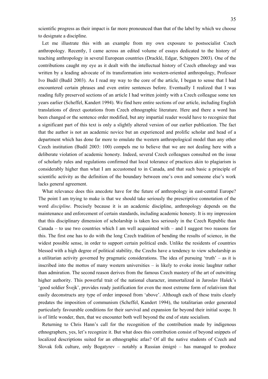scientific progress as their impact is far more pronounced than that of the label by which we choose to designate a discipline.

Let me illustrate this with an example from my own exposure to postsocialist Czech anthropology. Recently, I came across an edited volume of essays dedicated to the history of teaching anthropology in several European countries (Dracklé, Edgar, Schippers 2003). One of the contributions caught my eye as it dealt with the intellectual history of Czech ethnology and was written by a leading advocate of its transformation into western-oriented anthropology, Professor Ivo Budil (Budil 2003). As I read my way to the core of the article, I began to sense that I had encountered certain phrases and even entire sentences before. Eventually I realized that I was reading fully preserved sections of an article I had written jointly with a Czech colleague some ten years earlier (Scheffel, Kandert 1994). We find here entire sections of our article, including English translations of direct quotations from Czech ethnographic literature. Here and there a word has been changed or the sentence order modified, but any impartial reader would have to recognize that a significant part of this text is only a slightly altered version of our earlier publication. The fact that the author is not an academic novice but an experienced and prolific scholar and head of a department which has done far more to emulate the western anthropological model than any other Czech institution (Budil 2003: 100) compels me to believe that we are not dealing here with a deliberate violation of academic honesty. Indeed, several Czech colleagues consulted on the issue of scholarly rules and regulations confirmed that local tolerance of practices akin to plagiarism is considerably higher than what I am accustomed to in Canada, and that such basic a principle of scientific activity as the definition of the boundary between one's own and someone else's work lacks general agreement.

What relevance does this anecdote have for the future of anthropology in east-central Europe? The point I am trying to make is that we should take seriously the prescriptive connotation of the word *discipline*. Precisely because it is an academic discipline, anthropology depends on the maintenance and enforcement of certain standards, including academic honesty. It is my impression that this disciplinary dimension of scholarship is taken less seriously in the Czech Republic than Canada – to use two countries which I am well acquainted with – and I suggest two reasons for this. The first one has to do with the long Czech tradition of bending the results of science, in the widest possible sense, in order to support certain political ends. Unlike the residents of countries blessed with a high degree of political stability, the Czechs have a tendency to view scholarship as a utilitarian activity governed by pragmatic considerations. The idea of pursuing 'truth' – as it is inscribed into the mottos of many western universities – is likely to evoke ironic laughter rather than admiration. The second reason derives from the famous Czech mastery of the art of outwitting higher authority. This powerful trait of the national character, immortalized in Jaroslav Hašek's 'good soldier Švejk', provides ready justification for even the most extreme form of relativism that easily deconstructs any type of order imposed from 'above'. Although each of these traits clearly predates the imposition of communism (Scheffel, Kandert 1994), the totalitarian order generated particularly favourable conditions for their survival and expansion far beyond their initial scope. It is of little wonder, then, that we encounter both well beyond the end of state socialism.

Returning to Chris Hann's call for the recognition of the contribution made by indigenous ethnographers, yes, let's recognize it. But what does this contribution consist of beyond snippets of localized descriptions suited for an ethnographic atlas? Of all the native students of Czech and Slovak folk culture, only Bogatyrev – notably a Russian émigré – has managed to produce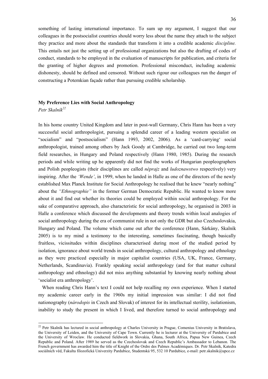something of lasting international importance. To sum up my argument, I suggest that our colleagues in the postsocialist countries should worry less about the name they attach to the subject they practice and more about the standards that transform it into a credible academic *discipline.* This entails not just the setting up of professional organizations but also the drafting of codes of conduct, standards to be employed in the evaluation of manuscripts for publication, and criteria for the granting of higher degrees and promotion. Professional misconduct, including academic dishonesty, should be defined and censored. Without such rigour our colleagues run the danger of constructing a Potemkian façade rather than pursuing credible scholarship.

### **My Preference Lies with Social Anthropology**

Petr Skalník<sup>22</sup>

1

In his home country United Kingdom and later in post-wall Germany, Chris Hann has been a very successful social anthropologist, pursuing a splendid career of a leading western specialist on "socialism" and "postsocialism" (Hann 1993, 2002, 2006). As a 'card-carrying' social anthropologist, trained among others by Jack Goody at Cambridge, he carried out two long-term field researches, in Hungary and Poland respectively (Hann 1980, 1985). During the research periods and while writing up he apparently did not find the works of Hungarian peopleographers and Polish peopleogists (their disciplines are called *néprajz* and *ludoznawstwo* respectively) very inspiring. After the *'Wende'*, in 1999, when he landed in Halle as one of the directors of the newly established Max Planck Institute for Social Anthropology he realised that he knew "nearly nothing" about the *"Ethnographie"* in the former German Democratic Republic. He wanted to know more about it and find out whether its theories could be employed within social anthropology. For the sake of comparative approach, also characteristic for social anthropology, he organised in 2003 in Halle a conference which discussed the developments and theory trends within local analogies of social anthropology during the era of communist rule in not only the GDR but also Czechoslovakia, Hungary and Poland. The volume which came out after the conference (Hann, Sárkány, Skalník 2005) is to my mind a testimony to the interesting, sometimes fascinating, though basically fruitless, vicissitudes within disciplines characterised during most of the studied period by isolation, ignorance about world trends in social anthropology, cultural anthropology and ethnology as they were practiced especially in major capitalist countries (USA, UK, France, Germany, Netherlands, Scandinavia). Frankly speaking social anthropology (and for that matter cultural anthropology and ethnology) did not miss anything substantial by knowing nearly nothing about 'socialist era anthropology'.

When reading Chris Hann's text I could not help recalling my own experience. When I started my academic career early in the 1960s my initial impression was similar: I did not find nationography (*národopis* in Czech and Slovak) of interest for its intellectual sterility, isolationism, inability to study the present in which I lived, and therefore turned to social anthropology and

 $22$  Petr Skalník has lectured in social anthropology at Charles University in Prague, Comenius University in Bratislava, the University of Leiden, and the University of Cape Town. Currently he is lecturer at the University of Pardubice and the University of Wroclaw. He conducted fieldwork in Slovakia, Ghana, South Africa, Papua New Guinea, Czech Republic and Poland. After 1989 he served as the Czechoslovak and Czech Republic's Ambassador to Lebanon. The French government has awarded him the title of Knight of the Ordre des Palmes Académiques. Dr. Petr Skalník, Katedra sociálních věd, Fakulta filozofická Univerzity Pardubice, Studentská 95, 532 10 Pardubice, e-mail: petr.skalnik@upce.cz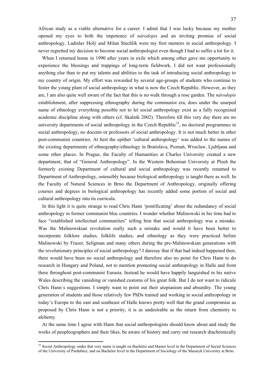African study as a viable alternative for a career. I admit that I was lucky because my mother opened my eyes to both the impotence of *národopis* and an inviting promise of social anthropology. Ladislav Holý and Milan Stuchlík were my first mentors in social anthropology. I never regretted my decision to become social anthropologist even though I had to suffer a lot for it.

When I returned home in 1990 after years in exile which among other gave me opportunity to experience the blessings and trappings of long-term fieldwork, I did not want professionally anything else than to put my talents and abilities to the task of introducing social anthropology to my country of origin. My effort was rewarded by several age-groups of students who continue to foster the young plant of social anthropology in what is now the Czech Republic. However, as they are, I am also quite well aware of the fact that this is no walk through a rose garden. The *národopis* establishment, after suppressing ethnography during the communist era, does under the usurped name of ethnology everything possible not to let social anthropology exist as a fully recognized academic discipline along with others (cf. Skalník 2002). Therefore till this very day there are no university departments of social anthropology in the Czech Republic<sup>23</sup>, no doctoral programmes in social anthropology, no docents or professors of social anthropology. It is not much better in other post-communist countries. At best the epithet 'cultural anthropology' was added to the names of the existing departments of ethnography/ethnology in Bratislava, Poznań, Wroclaw, Ljubljana and some other places. In Prague, the Faculty of Humanities at Charles University created a new department, that of "General Anthropology". In the Western Bohemian University at Plzeň the formerly existing Department of cultural and social anthropology was recently renamed to Department of Anthropology, ostensibly because biological anthropology is taught there as well. In the Faculty of Natural Sciences in Brno the Department of Anthropology, originally offering courses and degrees in biological anthropology has recently added some portion of social and cultural anthropology into its curricula.

In this light it is quite strange to read Chris Hann 'pontificating' about the redundancy of social anthropology in former communist bloc countries. I wonder whether Malinowski in his time had to face "established intellectual communities" telling him that social anthropology was a mistake. Was the Malinowskian revolution really such a mistake and would it have been better to incorporate folklore studies, folklife studies, and ethnology as they were practiced before Malinowski by Frazer, Seligman and many others during the pre-Malinowskian generations with the revolutionary principles of social anthropology? I daresay that if that had indeed happened then, there would have been no social anthropology and therefore also no point for Chris Hann to do research in Hungary and Poland, not to mention promoting social anthropology in Halle and from there throughout post-communist Eurasia. Instead he would have happily languished in his native Wales describing the vanishing or vanished customs of his great folk. But I do not want to ridicule Chris Hann´s suggestions. I simply want to point out their utopianism and absurdity. The young generation of students and those relatively few PhDs trained and working in social anthropology in today's Europe to the east and southeast of Halle knows pretty well that the grand compromise as proposed by Chris Hann is not a priority, it is as undesirable as the return from chemistry to alchemy.

At the same time I agree with Hann that social anthropologists should know about and study the works of peopleographers and their likes, be aware of history and carry out research diachronically

<u>.</u>

 $23$  Social Anthropology under that very name is taught on Bachelor and Master level in the Department of Social Sciences of the University of Pardubice, and on Bachelor level in the Department of Sociology of the Masaryk University at Brno.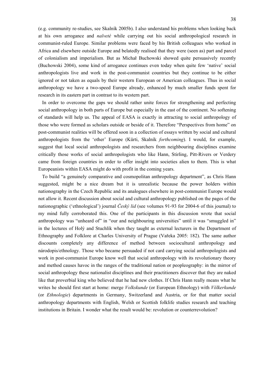(e.g. community re-studies, see Skalník 2005b). I also understand his problems when looking back at his own arrogance and *naїveté* while carrying out his social anthropological research in communist-ruled Europe. Similar problems were faced by his British colleagues who worked in Africa and elsewhere outside Europe and belatedly realised that they were (seen as) part and parcel of colonialism and imperialism. But as Michał Buchowski showed quite persuasively recently (Buchowski 2004), some kind of arrogance continues even today when quite few 'native' social anthropologists live and work in the post-communist countries but they continue to be either ignored or not taken as equals by their western European or American colleagues. Thus in social anthropology we have a two-speed Europe already, enhanced by much smaller funds spent for research in its eastern part in contrast to its western part.

In order to overcome the gaps we should rather unite forces for strengthening and perfecting social anthropology in both parts of Europe but especially in the east of the continent. No softening of standards will help us. The appeal of EASA is exactly in attracting to social anthropology of those who were formed as scholars outside or beside of it. Therefore "Perspectives from home" on post-communist realities will be offered soon in a collection of essays written by social and cultural anthropologists from the 'other' Europe (Kürti, Skalník *forthcoming*). I would, for example, suggest that local social anthropologists and researchers from neighbouring disciplines examine critically those works of social anthropologists who like Hann, Stirling, Pitt-Rivers or Verdery came from foreign countries in order to offer insight into societies alien to them. This is what Europeanists within EASA might do with profit in the coming years.

To build "a genuinely comparative and cosmopolitan anthropology department", as Chris Hann suggested, might be a nice dream but it is unrealistic because the power holders within nationography in the Czech Republic and its analogues elsewhere in post-communist Europe would not allow it. Recent discussion about social and cultural anthropology published on the pages of the nationographic ('ethnological') journal *Český lid* (see volumes 91-93 for 2004-6 of this journal) to my mind fully corroborated this. One of the participants in this discussion wrote that social anthropology was "unheard of" in "our and neighbouring universities" until it was "smuggled in" in the lectures of Holý and Stuchlík when they taught as external lecturers in the Department of Ethnography and Folklore at Charles University of Prague (Vařeka 2005: 182). The same author discounts completely any difference of method between sociocultural anthropology and národopis/ethnology. Those who became persuaded if not card carrying social anthropologists and work in post-communist Europe know well that social anthropology with its revolutionary theory and method causes havoc in the ranges of the traditional nation or peopleography: in the mirror of social anthropology these nationalist disciplines and their practitioners discover that they are naked like that proverbial king who believed that he had new clothes. If Chris Hann really means what he writes he should first start at home: merge *Volkskunde* (or European Ethnology) with *Völkerkunde* (or *Ethnologie*) departments in Germany, Switzerland and Austria, or for that matter social anthropology departments with English, Welsh or Scottish folklife studies research and teaching institutions in Britain. I wonder what the result would be: revolution or counterrevolution?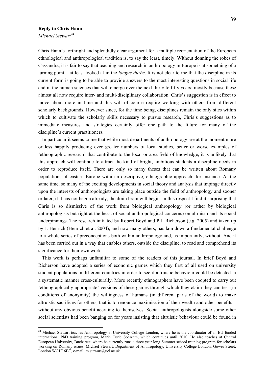### **Reply to Chris Hann**

*Michael Stewart*<sup>24</sup>

1

Chris Hann's forthright and splendidly clear argument for a multiple reorientation of the European ethnological and anthropological tradition is, to say the least, timely. Without donning the robes of Cassandra, it is fair to say that teaching and research in anthropology in Europe is at something of a turning point – at least looked at in the *longue durée*. It is not clear to me that the discipline in its current form is going to be able to provide answers to the most interesting questions in social life and in the human sciences that will emerge over the next thirty to fifty years: mostly because these almost all now require inter- and multi-disciplinary collaboration. Chris's suggestion is in effect to move about more in time and this will of course require working with others from different scholarly backgrounds. However since, for the time being, disciplines remain the only sites within which to cultivate the scholarly skills necessary to pursue research, Chris's suggestions as to immediate measures and strategies certainly offer one path to the future for many of the discipline's current practitioners.

In particular it seems to me that while most departments of anthropology are at the moment more or less happily producing ever greater numbers of local studies, better or worse examples of 'ethnographic research' that contribute to the local or area field of knowledge, it is unlikely that this approach will continue to attract the kind of bright, ambitious students a discipline needs in order to reproduce itself. There are only so many theses that can be written about Romany populations of eastern Europe within a descriptive, ethnographic approach, for instance. At the same time, so many of the exciting developments in social theory and analysis that impinge directly upon the interests of anthropologists are taking place outside the field of anthropology and sooner or later, if it has not begun already, the drain brain will begin. In this respect I find it surprising that Chris is so dismissive of the work from biological anthropology (or rather by biological anthropologists but right at the heart of social anthropological concerns) on altruism and its social underpinnings. The research initiated by Robert Boyd and P.J. Richerson (e.g. 2005) and taken up by J. Henrich (Henrich et al. 2004), and now many others, has lain down a fundamental challenge to a whole series of preconceptions both within anthropology and, as importantly, without. And it has been carried out in a way that enables others, outside the discipline, to read and comprehend its significance for their own work.

This work is perhaps unfamiliar to some of the readers of this journal. In brief Boyd and Richerson have adopted a series of economic games which they first of all used on university student populations in different countries in order to see if altruistic behaviour could be detected in a systematic manner cross-culturally. More recently ethnographers have been coopted to carry out 'ethnographically appropriate' versions of these games through which they claim they can test (in conditions of anonymity) the willingness of humans (in different parts of the world) to make altruistic sacrifices for others, that is to renounce maximisation of their wealth and other benefits – without any obvious benefit accruing to themselves. Social anthropologists alongside some other social scientists had been banging on for years insisting that altruistic behaviour could be found in

<sup>&</sup>lt;sup>24</sup> Michael Stewart teaches Anthropology at University College London, where he is the coordinator of an EU funded international PhD training program, Marie Curie SocAnth, which continues until 2010. He also teaches at Central European University, Bucharest, where he currently runs a three year long Summer school training program for scholars working on Romany issues. Michael Stewart, Department of Anthropology, University College London, Gower Street, London WC1E 6BT, e-mail: m.stewart@ucl.ac.uk.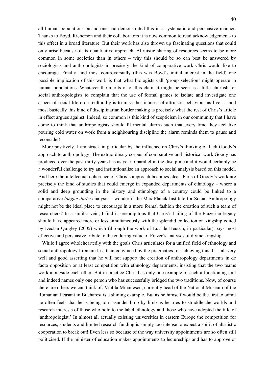all human populations but no one had demonstrated this in a systematic and persuasive manner. Thanks to Boyd, Richerson and their collaborators it is now common to read acknowledgements to this effect in a broad literature. But their work has also thrown up fascinating questions that could only arise because of its quantitative approach. Altruistic sharing of resources seems to be more common in some societies than in others – why this should be so can best be answered by sociologists and anthropologists in precisely the kind of comparative work Chris would like to encourage. Finally, and most controversially (this was Boyd's initial interest in the field) one possible implication of this work is that what biologists call 'group selection' might operate in human populations. Whatever the merits of of this claim it might be seen as a little churlish for social anthropologists to complain that the use of formal games to isolate and investigate one aspect of social life cross culturally is to miss the richness of altruistic behaviour as live … and most basically this kind of disciplinarian border making is precisely what the rest of Chris's article in effect argues against. Indeed, so common is this kind of scepticism in our community that I have come to think that anthropologists should fit mental alarms such that every time they feel like pouring cold water on work from a neighbouring discipline the alarm reminds them to pause and reconsider!

More positively, I am struck in particular by the influence on Chris's thinking of Jack Goody's approach to anthropology. The extraordinary corpus of comparative and historical work Goody has produced over the past thirty years has as yet no parallel in the discipline and it would certainly be a wonderful challenge to try and institutionalise an approach to social analysis based on this model. And here the intellectual coherence of Chris's approach becomes clear. Parts of Goody's work are precisely the kind of studies that could emerge in expanded departments of ethnology – where a solid and deep grounding in the history and ethnology of a country could be linked to a comparative *longue durée* analysis. I wonder if the Max Planck Institute for Social Anthropology might not be the ideal place to encourage in a more formal fashion the creation of such a team of researchers? In a similar vein, I find it serendipitous that Chris's hailing of the Frazerian legacy should have appeared more or less simultaneously with the splendid collection on kingship edited by Declan Quigley (2005) which (through the work of Luc de Heusch, in particular) pays most effective and persuasive tribute to the enduring value of Frazer's analyses of divine kingship.

While I agree wholeheartedly with the goals Chris articulates for a unified field of ethnology and social anthropology I remain less than convinced by the pragmatics for achieving this. It is all very well and good asserting that he will not support the creation of anthropology departments in de facto opposition or at least competition with ethnology departments, insisting that the two teams work alongside each other. But in practice Chris has only one example of such a functioning unit and indeed names only one person who has successfully bridged the two traditions. Now, of course there are others we can think of: Vintila Mihailescu, currently head of the National Museum of the Romanian Peasant in Bucharest is a shining example. But as he himself would be the first to admit he often feels that he is being torn asunder limb by limb as he tries to straddle the worlds and research interests of those who hold to the label ethnology and those who have adopted the title of 'anthropologist.' In almost all actually existing universities in eastern Europe the competition for resources, students and limited research funding is simply too intense to expect a spirit of altruistic cooperation to break out! Even less so because of the way university appointments are so often still politicised. If the minister of education makes appointments to lectureships and has to approve or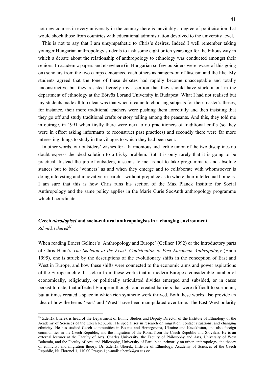not new courses in every university in the country there is inevitably a degree of politicisation that would shock those from countries with educational administration devolved to the university level.

This is not to say that I am unsympathetic to Chris's desires. Indeed I well remember taking younger Hungarian anthropology students to task some eight or ten years ago for the bilious way in which a debate about the relationship of anthropology to ethnology was conducted amongst their seniors. In academic papers and elsewhere (in Hungarian so few outsiders were aware of this going on) scholars from the two camps denounced each others as hangers-on of fascism and the like. My students agreed that the tone of these debates had rapidly become unacceptable and totally unconstructive but they resisted fiercely my assertion that they should have stuck it out in the department of ethnology at the Eötvös Lorand University in Budapest. What I had not realised but my students made all too clear was that when it came to choosing subjects for their master's theses, for instance, their more traditional teachers were pushing them forcefully and then insisting that they go off and study traditional crafts or story telling among the peasants. And this, they told me in outrage, in 1991 when firstly there were next to no practitioners of traditional crafts (so they were in effect asking informants to reconstruct past practices) and secondly there were far more interesting things to study in the villages to which they had been sent.

In other words, our outsiders' wishes for a harmonious and fertile union of the two disciplines no doubt express the ideal solution to a tricky problem. But it is only rarely that it is going to be practical. Instead the job of outsiders, it seems to me, is not to take programmatic and absolute stances but to back 'winners' as and when they emerge and to collaborate with whomsoever is doing interesting and innovative research – without prejudice as to where their intellectual home is. I am sure that this is how Chris runs his section of the Max Planck Institute for Social Anthropology and the same policy applies in the Marie Curie SocAnth anthropology programme which I coordinate.

### **Czech** *národopisci* **and socio-cultural anthropologists in a changing environment**  *Zdeněk Uherek<sup>25</sup>*

1

When reading Ernest Gellner's 'Anthropology and Europe' (Gellner 1992) or the introductory parts of Chris Hann's *The Skeleton at the Feast. Contribution to East European Anthropology* (Hann 1995), one is struck by the descriptions of the evolutionary shifts in the conception of East and West in Europe, and how these shifts were connected to the economic aims and power aspirations of the European elite. It is clear from these works that in modern Europe a considerable number of economically, religiously, or politically articulated divides emerged and subsided, or in cases persist to date, that affected European thought and created barriers that were difficult to surmount, but at times created a space in which rich synthetic work thrived. Both these works also provide an idea of how the terms 'East' and 'West' have been manipulated over time. The East-West polarity

<sup>&</sup>lt;sup>25</sup> Zdeněk Uherek is head of the Department of Ethnic Studies and Deputy Director of the Institute of Ethnology of the Academy of Sciences of the Czech Republic. He specialises in research on migration, contact situations, and changing ethnicity. He has studied Czech communities in Bosnia and Herzegovina, Ukraine and Kazakhstan, and also foreign communities in the Czech Republic, and the migration of the Roma from the Czech Republic and Slovakia. He is an external lecturer at the Faculty of Arts, Charles University, the Faculty of Philosophy and Arts, University of West Bohemia, and the Faculty of Arts and Philosophy, University of Pardubice, primarily on urban anthropology, the theory of ethnicity, and migration theory. Dr. Zdeněk Uherek, Institute of Ethnology, Academy of Sciences of the Czech Republic, Na Florenci 3, 110 00 Prague 1; e-mail: uherek@eu.cas.cz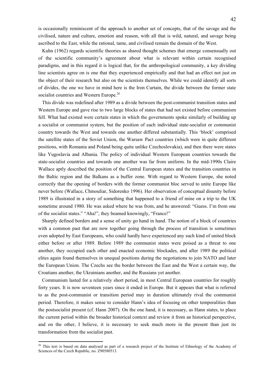is occasionally reminiscent of the approach to another set of concepts, that of the savage and the civilised, nature and culture, emotion and reason, with all that is wild, natural, and savage being ascribed to the East, while the rational, tame, and civilised remain the domain of the West.

Kuhn (1962) regards scientific theories as shared thought schemes that emerge consensually out of the scientific community's agreement about what is relevant within certain recognised paradigms, and in this regard it is logical that, for the anthropological community, a key dividing line scientists agree on is one that they experienced empirically and that had an effect not just on the object of their research but also on the scientists themselves. While we could identify all sorts of divides, the one we have in mind here is the Iron Curtain, the divide between the former state socialist countries and Western Europe.<sup>26</sup>

This divide was redefined after 1989 as a divide between the post-communist transition states and Western Europe and gave rise to two large blocks of states that had not existed before communism fell. What had existed were certain states in which the governments spoke similarly of building up a socialist or communist system, but the position of each individual state-socialist or communist country towards the West and towards one another differed substantially. This 'block' comprised the satellite states of the Soviet Union, the Warsaw Pact countries (which were in quite different positions, with Romania and Poland being quite unlike Czechoslovakia), and then there were states like Yugoslavia and Albania. The policy of individual Western European countries towards the state-socialist countries and towards one another was far from uniform. In the mid-1990s Claire Wallace aptly described the position of the Central European states and the transition countries in the Baltic region and the Balkans as a buffer zone. With regard to Western Europe, she noted correctly that the opening of borders with the former communist bloc served to unite Europe like never before (Wallace, Chmouliar, Sidorenko 1996). Her observation of conceptual disunity before 1989 is illustrated in a story of something that happened to a friend of mine on a trip to the UK sometime around 1980. He was asked where he was from, and he answered: "Guess. I'm from one of the socialist states." "Aha!", they beamed knowingly, "France!"

Sharply defined borders and a sense of unity go hand in hand. The notion of a block of countries with a common past that are now together going through the process of transition is sometimes even adopted by East Europeans, who could hardly have experienced any such kind of united block either before or after 1989. Before 1989 the communist states were poised as a threat to one another, they occupied each other and enacted economic blockades, and after 1989 the political elites again found themselves in unequal positions during the negotiations to join NATO and later the European Union. The Czechs see the border between the East and the West a certain way, the Croatians another, the Ukrainians another, and the Russians yet another.

Communism lasted for a relatively short period, in most Central European countries for roughly forty years. It is now seventeen years since it ended in Europe. But it appears that what is referred to as the post-communist or transition period may in duration ultimately rival the communist period. Therefore, it makes sense to consider Hann's idea of focusing on other temporalities than the postsocialist present (cf. Hann 2007). On the one hand, it is necessary, as Hann states, to place the current period within the broader historical context and review it from an historical perspective, and on the other, I believe, it is necessary to seek much more in the present than just its transformation from the socialist past.

<u>.</u>

<sup>&</sup>lt;sup>26</sup> This text is based on data analysed as part of a research project of the Institute of Ethnology of the Academy of Sciences of the Czech Republic, no. Z90580513.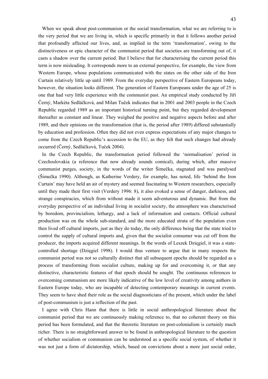When we speak about post-communism or the social transformation, what we are referring to is the very period that we are living in, which is specific primarily in that it follows another period that profoundly affected our lives, and, as implied in the term 'transformation', owing to the distinctiveness or epic character of the communist period that societies are transforming out of, it casts a shadow over the current period. But I believe that for characterising the current period this term is now misleading. It corresponds more to an external perspective, for example, the view from Western Europe, whose populations communicated with the states on the other side of the Iron Curtain relatively little up until 1989. From the everyday perspective of Eastern Europeans today, however, the situation looks different. The generation of Eastern Europeans under the age of 25 is one that had very little experience with the communist past. An empirical study conducted by Jiří Černý, Markéta Sedláčková, and Milan Tuček indicates that in 2001 and 2003 people in the Czech Republic regarded 1989 as an important historical turning point, but they regarded development thereafter as constant and linear. They weighed the positive and negative aspects before and after 1989, and their opinions on the transformation (that is, the period after 1989) differed substantially by education and profession. Often they did not even express expectations of any major changes to come from the Czech Republic's accession to the EU, as they felt that such changes had already occurred (Černý, Sedláčková, Tuček 2004).

In the Czech Republic, the transformation period followed the 'normalisation' period in Czechoslovakia (a reference that now already sounds comical), during which, after massive communist purges, society, in the words of the writer Šimečka, stagnated and was paralysed (Šimečka 1990). Although, as Katherine Verdery, for example, has noted, life 'behind the Iron Curtain' may have held an air of mystery and seemed fascinating to Western researchers, especially until they made their first visit (Verdery 1996: 8), it also evoked a sense of danger, darkness, and strange conspiracies, which from without made it seem adventurous and dynamic. But from the everyday perspective of an individual living in socialist society, the atmosphere was characterised by boredom, provincialism, lethargy, and a lack of information and contacts. Official cultural production was on the whole sub-standard, and the more educated strata of the population even then lived off cultural imports, just as they do today, the only difference being that the state tried to control the supply of cultural imports and, given that the socialist consumer was cut off from the producer, the imports acquired different meanings. In the words of Leszek Dzięgiel, it was a statecontrolled shortage (Dzięgiel 1998). I would thus venture to argue that in many respects the communist period was not so culturally distinct that all subsequent epochs should be regarded as a process of transforming from socialist culture, making up for and overcoming it, or that any distinctive, characteristic features of that epoch should be sought. The continuous references to overcoming communism are more likely indicative of the low level of creativity among authors in Eastern Europe today, who are incapable of detecting contemporary meanings in current events. They seem to have shed their role as the social diagnosticians of the present, which under the label of post-communism is just a reflection of the past.

I agree with Chris Hann that there is little in social anthropological literature about the communist period that we are continuously making reference to, that no coherent theory on this period has been formulated, and that the theoretic literature on post-colonialism is certainly much richer. There is no straightforward answer to be found in anthropological literature to the question of whether socialism or communism can be understood as a specific social system, of whether it was not just a form of dictatorship, which, based on convictions about a more just social order,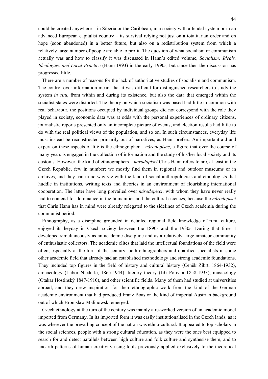could be created anywhere – in Siberia or the Caribbean, in a society with a feudal system or in an advanced European capitalist country – its survival relying not just on a totalitarian order and on hope (soon abandoned) in a better future, but also on a redistribution system from which a relatively large number of people are able to profit. The question of what socialism or communism actually was and how to classify it was discussed in Hann's edited volume, *Socialism: Ideals, Ideologies, and Local Practice* (Hann 1993) in the early 1990s, but since then the discussion has progressed little.

There are a number of reasons for the lack of authoritative studies of socialism and communism. The control over information meant that it was difficult for distinguished researchers to study the system *in situ*, from within and during its existence, but also the data that emerged within the socialist states were distorted. The theory on which socialism was based had little in common with real behaviour, the positions occupied by individual groups did not correspond with the role they played in society, economic data was at odds with the personal experiences of ordinary citizens, journalistic reports presented only an incomplete picture of events, and election results had little to do with the real political views of the population, and so on. In such circumstances, everyday life must instead be reconstructed primarily out of narratives, as Hann prefers. An important aid and expert on these aspects of life is the ethnographer – *národopisec*, a figure that over the course of many years is engaged in the collection of information and the study of his/her local society and its customs. However, the kind of ethnographers – *národopisci* Chris Hann refers to are, at least in the Czech Republic, few in number; we mostly find them in regional and outdoor museums or in archives, and they can in no way vie with the kind of social anthropologists and ethnologists that huddle in institutions, writing texts and theories in an environment of flourishing international cooperation. The latter have long prevailed over *národopisci*, with whom they have never really had to contend for dominance in the humanities and the cultural sciences, because the *národopisci* that Chris Hann has in mind were already relegated to the sidelines of Czech academia during the communist period.

Ethnography, as a discipline grounded in detailed regional field knowledge of rural culture, enjoyed its heyday in Czech society between the 1890s and the 1930s. During that time it developed simultaneously as an academic discipline and as a relatively large amateur community of enthusiastic collectors. The academic elites that laid the intellectual foundations of the field were often, especially at the turn of the century, both ethnographers and qualified specialists in some other academic field that already had an established methodology and strong academic foundations. They included top figures in the field of history and cultural history (Čeněk Zíbrt, 1864-1932), archaeology (Lubor Niederle, 1865-1944), literary theory (Jiří Polívka 1858-1933), musicology (Otakar Hostinský 1847-1910), and other scientific fields. Many of them had studied at universities abroad, and they drew inspiration for their ethnographic work from the kind of the German academic environment that had produced Franz Boas or the kind of imperial Austrian background out of which Bronisław Malinowski emerged.

Czech ethnology at the turn of the century was mainly a re-worked version of an academic model imported from Germany. In its imported form it was easily institutionalised in the Czech lands, as it was wherever the prevailing concept of the nation was ethno-cultural. It appealed to top scholars in the social sciences, people with a strong cultural education, as they were the ones best equipped to search for and detect parallels between high culture and folk culture and synthesise them, and to unearth patterns of human creativity using tools previously applied exclusively to the theoretical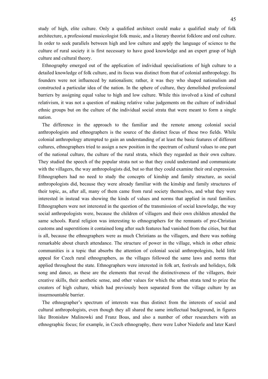study of high, elite culture. Only a qualified architect could make a qualified study of folk architecture, a professional musicologist folk music, and a literary theorist folklore and oral culture. In order to seek parallels between high and low culture and apply the language of science to the culture of rural society it is first necessary to have good knowledge and an expert grasp of high culture and cultural theory.

Ethnography emerged out of the application of individual specialisations of high culture to a detailed knowledge of folk culture, and its focus was distinct from that of colonial anthropology. Its founders were not influenced by nationalism; rather, it was they who shaped nationalism and constructed a particular idea of the nation. In the sphere of culture, they demolished professional barriers by assigning equal value to high and low culture. While this involved a kind of cultural relativism, it was not a question of making relative value judgements on the culture of individual ethnic groups but on the culture of the individual social strata that were meant to form a single nation.

The difference in the approach to the familiar and the remote among colonial social anthropologists and ethnographers is the source of the distinct focus of these two fields. While colonial anthropology attempted to gain an understanding of at least the basic features of different cultures, ethnographers tried to assign a new position in the spectrum of cultural values to one part of the national culture, the culture of the rural strata, which they regarded as their own culture. They studied the speech of the popular strata not so that they could understand and communicate with the villagers, the way anthropologists did, but so that they could examine their oral expression. Ethnographers had no need to study the concepts of kinship and family structure, as social anthropologists did, because they were already familiar with the kinship and family structures of their topic, as, after all, many of them came from rural society themselves, and what they were interested in instead was showing the kinds of values and norms that applied in rural families. Ethnographers were not interested in the question of the transmission of social knowledge, the way social anthropologists were, because the children of villagers and their own children attended the same schools. Rural religion was interesting to ethnographers for the remnants of pre-Christian customs and superstitions it contained long after such features had vanished from the cities, but that is all, because the ethnographers were as much Christians as the villagers, and there was nothing remarkable about church attendance. The structure of power in the village, which in other ethnic communities is a topic that absorbs the attention of colonial social anthropologists, held little appeal for Czech rural ethnographers, as the villages followed the same laws and norms that applied throughout the state. Ethnographers were interested in folk art, festivals and holidays, folk song and dance, as these are the elements that reveal the distinctiveness of the villagers, their creative skills, their aesthetic sense, and other values for which the urban strata tend to prize the creators of high culture, which had previously been separated from the village culture by an insurmountable barrier.

The ethnographer's spectrum of interests was thus distinct from the interests of social and cultural anthropologists, even though they all shared the same intellectual background, in figures like Bronisław Malinowki and Franz Boas, and also a number of other researchers with an ethnographic focus; for example, in Czech ethnography, there were Lubor Niederle and later Karel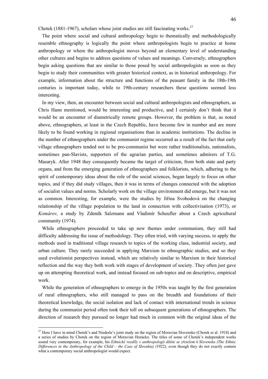Chotek (1881-1967), scholars whose joint studies are still fascinating works.<sup>27</sup>

The point where social and cultural anthropology begin to thematically and methodologically resemble ethnography is logically the point where anthropologists begin to practice at home anthropology or where the anthropologist moves beyond an elementary level of understanding other cultures and begins to address questions of values and meanings. Conversely, ethnographers begin asking questions that are similar to those posed by social anthropologists as soon as they begin to study their communities with greater historical context, as in historical anthropology. For example, information about the structure and functions of the peasant family in the 18th-19th centuries is important today, while to 19th-century researchers these questions seemed less interesting.

In my view, then, an encounter between social and cultural anthropologists and ethnographers, as Chris Hann mentioned, would be interesting and productive, and I certainly don't think that it would be an encounter of diametrically remote groups. However, the problem is that, as noted above, ethnographers, at least in the Czech Republic, have become few in number and are more likely to be found working in regional organisations than in academic institutions. The decline in the number of ethnographers under the communist regime occurred as a result of the fact that early village ethnographers tended not to be pro-communist but were rather traditionalists, nationalists, sometimes pan-Slavists, supporters of the agrarian parties, and sometimes admirers of T.G. Masaryk. After 1948 they consequently became the target of criticism, from both state and party organs, and from the emerging generation of ethnographers and folklorists, which, adhering to the spirit of contemporary ideas about the role of the social sciences, began largely to focus on other topics, and if they did study villages, then it was in terms of changes connected with the adoption of socialist values and norms. Scholarly work on the village environment did emerge, but it was not as common. Interesting, for example, were the studies by Jiřina Svobodová on the changing relationship of the village population to the land in connection with collectivisation (1973), or *Komárov,* a study by Zdeněk Salzmann and Vladimír Scheufler about a Czech agricultural community (1974).

While ethnographers proceeded to take up new themes under communism, they still had difficulty addressing the issue of methodology. They often tried, with varying success, to apply the methods used in traditional village research to topics of the working class, industrial society, and urban culture. They rarely succeeded in applying Marxism to ethnographic studies, and so they used evolutionist perspectives instead, which are relatively similar to Marxism in their historical reflection and the way they both work with stages of development of society. They often just gave up on attempting theoretical work, and instead focused on sub-topics and on descriptive, empirical work.

While the generation of ethnographers to emerge in the 1950s was taught by the first generation of rural ethnographers, who still managed to pass on the breadth and foundations of their theoretical knowledge, the social isolation and lack of contact with international trends in science during the communist period often took their toll on subsequent generations of ethnographers. The direction of research they pursued no longer had much in common with the original ideas of the

<sup>&</sup>lt;sup>27</sup> Here I have in mind Chotek's and Niederle's joint study on the region of Moravian Slovensko (Chotek et al. 1918) and a series of studies by Chotek on the region of Moravian Horácko. The titles of some of Chotek's independent works sound very contemporary, for example, his *Ethnické rozdíly v anthropologii dítěte se zřetelem k Slovensku (The Ethnic Differences in the Anthropology of the Child – the Case of Slovakia) (*1922)*,* even though they do not exactly contain what a contemporary social anthropologist would expect.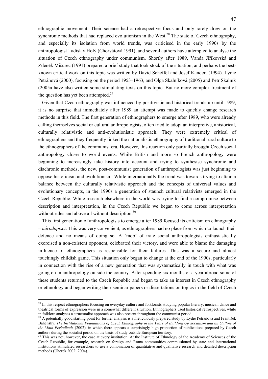ethnographic movement. Their science had a retrospective focus and only rarely drew on the synchronic methods that had replaced evolutionism in the West.<sup>28</sup> The state of Czech ethnography, and especially its isolation from world trends, was criticised in the early 1990s by the anthropologist Ladislav Holý (Chorvátová 1991), and several authors have attempted to analyse the situation of Czech ethnography under communism. Shortly after 1989, Vanda Jiříkovská and Zdeněk Mišurec (1991) prepared a brief study that took stock of the situation, and perhaps the bestknown critical work on this topic was written by David Scheffel and Josef Kandert (1994). Lydie Petráňová (2000), focusing on the period 1953–1963, and Olga Skalníková (2005) and Petr Skalník (2005a have also written some stimulating texts on this topic. But no more complex treatment of the question has yet been attempted.<sup>29</sup>

Given that Czech ethnography was influenced by positivistic and historical trends up until 1989, it is no surprise that immediately after 1989 an attempt was made to quickly change research methods in this field. The first generation of ethnographers to emerge after 1989, who were already calling themselves social or cultural anthropologists, often tried to adopt an interpretive, ahistorical, culturally relativistic and anti-evolutionistic approach. They were extremely critical of ethnographers and they frequently linked the nationalistic ethnography of traditional rural culture to the ethnographers of the communist era. However, this reaction only partially brought Czech social anthropology closer to world events. While British and more so French anthropology were beginning to increasingly take history into account and trying to synthesise synchronic and diachronic methods, the new, post-communist generation of anthropologists was just beginning to oppose historicism and evolutionism. While internationally the trend was towards trying to attain a balance between the culturally relativistic approach and the concepts of universal values and evolutionary concepts, in the 1990s a generation of staunch cultural relativists emerged in the Czech Republic. While research elsewhere in the world was trying to find a compromise between description and interpretation, in the Czech Republic we began to come across interpretation without rules and above all without description.<sup>30</sup>

This first generation of anthropologists to emerge after 1989 focused its criticism on ethnography – *národopisci*. This was very convenient, as ethnographers had no place from which to launch their defence and no means of doing so. A 'mob' of irate social anthropologists enthusiastically exorcised a non-existent opponent, celebrated their victory, and were able to blame the damaging influence of ethnographers as responsible for their failures. This was a secure and almost touchingly childish game. This situation only began to change at the end of the 1990s, particularly in connection with the rise of a new generation that was systematically in touch with what was going on in anthropology outside the country. After spending six months or a year abroad some of these students returned to the Czech Republic and began to take an interest in Czech ethnography or ethnology and began writing their seminar papers or dissertations on topics in the field of Czech

 $2<sup>8</sup>$  In this respect ethnographers focusing on everyday culture and folklorists studying popular literary, musical, dance and theatrical forms of expression were in a somewhat different situation. Ethnographers used historical retrospectives, while in folklore analyses a structuralist approach was also present throughout the communist period.<br><sup>29</sup> A potentially good starting point for further analysis is a meticulously prepared study by Lydie Petráňová and František

Bahenský, *The Institutional Foundations of Czech Ethnography in the Years of Building Up Socialism and an Outline of the Main Periodicals* (2002), in which there appears a surprisingly high proportion of publications prepared by Czech authors during the socialist period on the basis of study outside European territory.

<sup>&</sup>lt;sup>30</sup> This was not, however, the case at every institution. At the Institute of Ethnology of the Academy of Sciences of the Czech Republic, for example, research on foreign and Roma communities commissioned by state and international institutions stimulated researchers to use a combination of quantitative and qualitative research and detailed description methods (Uherek 2002; 2004).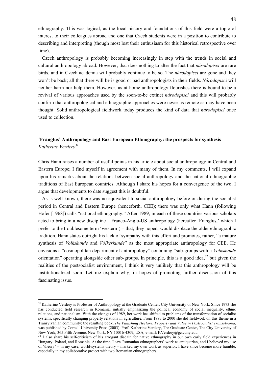ethnography. This was logical, as the local history and foundations of this field were a topic of interest to their colleagues abroad and one that Czech students were in a position to contribute to describing and interpreting (though most lost their enthusiasm for this historical retrospective over time).

Czech anthropology is probably becoming increasingly in step with the trends in social and cultural anthropology abroad. However, that does nothing to alter the fact that *národopisci* are rare birds, and in Czech academia will probably continue to be so. The *národopisci* are gone and they won't be back; all that there will be is good or bad anthropologists in their fields. *Národopisci* will neither harm nor help them. However, as at home anthropology flourishes there is bound to be a revival of various approaches used by the soon-to-be extinct *národopisci* and this will probably confirm that anthropological and ethnographic approaches were never as remote as may have been thought. Solid anthropological fieldwork today produces the kind of data that *národopisci* once used to collection.

### **'Franglus' Anthropology and East European Ethnography: the prospects for synthesis**  *Katherine Verdery<sup>31</sup>*

Chris Hann raises a number of useful points in his article about social anthropology in Central and Eastern Europe; I find myself in agreement with many of them. In my comments, I will expand upon his remarks about the relations between social anthropology and the national ethnographic traditions of East European countries. Although I share his hopes for a convergence of the two, I argue that developments to date suggest this is doubtful.

As is well known, there was no equivalent to social anthropology before or during the socialist period in Central and Eastern Europe (henceforth, CEE); there was only what Hann (following Hofer [1968]) calls "national ethnography." After 1989, in each of these countries various scholars acted to bring in a new discipline – Franco-Anglo-US anthropology (hereafter 'Franglus,' which I prefer to the troublesome term 'western') – that, they hoped, would displace the older ethnographic tradition. Hann states outright his lack of sympathy with this effort and promotes, rather, "a mature synthesis of *Volkskunde* and *Völkerkunde*" as the most appropriate anthropology for CEE. He envisions a "cosmopolitan department of anthropology" containing "sub-groups with a *Volkskunde* orientation" operating alongside other sub-groups. In principle, this is a good idea,  $32$  but given the realities of the postsocialist environment, I think it very unlikely that this anthropology will be institutionalized soon. Let me explain why, in hopes of promoting further discussion of this fascinating issue.

 $31$  Katherine Verdery is Professor of Anthropology at the Graduate Center. City University of New York. Since 1973 she has conducted field research in Romania, initially emphasizing the political economy of social inequality, ethnic relations, and nationalism. With the changes of 1989, her work has shifted to problems of the transformation of socialist systems, specifically changing property relations in agriculture. From 1993 to 2000 she did fieldwork on this theme in a Transylvanian community; the resulting book, *The Vanishing Hectare: Property and Value in Postsocialist Transylvania*, was published by Cornell University Press (2003). Prof. Katherine Verdery, The Graduate Center, The City University of New York, 365 Fifth Avenue, New York, NY 10016-4309, USA, e-mail: KVerdery@gc.cuny.edu

<sup>&</sup>lt;sup>32</sup> I also share his self-criticism of his arrogant disdain for native ethnography in our own early field experiences in Hungary, Poland, and Romania. At the time, I saw Romanian ethnographers' work as antiquarian, and I believed my use of 'theory' – in my case, world-systems theory – marked my own work as superior. I have since become more humble, especially in my collaborative project with two Romanian ethnographers.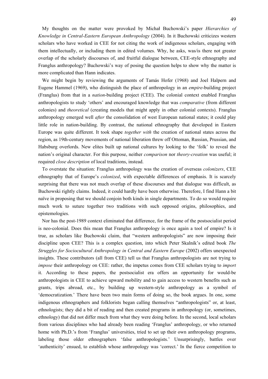My thoughts on the matter were provoked by Michał Buchowski's paper *Hierarchies of Knowledge in Central-Eastern European Anthropology* (2004). In it Buchowski criticizes western scholars who have worked in CEE for not citing the work of indigenous scholars, engaging with them intellectually, or including them in edited volumes. Why, he asks, was/is there not greater overlap of the scholarly discourses of, and fruitful dialogue between, CEE-style ethnography and Franglus anthropology? Buchowski's way of posing the question helps to show why the matter is more complicated than Hann indicates.

We might begin by reviewing the arguments of Tamás Hofer (1968) and Joel Halpern and Eugene Hammel (1969), who distinguish the place of anthropology in an *empire*-building project (Franglus) from that in a *nation*-building project (CEE). The colonial context enabled Franglus anthropologists to study 'others' and encouraged knowledge that was *comparative* (from different colonies) and *theoretical* (creating models that might apply in other colonial contexts). Franglus anthropology emerged well *after* the consolidation of west European national states; it could play little role in nation-building. By contrast, the national ethnography that developed in Eastern Europe was quite different. It took shape *together with* the creation of national states across the region, as 19th-century movements of national liberation threw off Ottoman, Russian, Prussian, and Habsburg overlords. New elites built up national cultures by looking to the 'folk' to reveal the nation's original character. For this purpose, neither *comparison* nor *theory-creation* was useful; it required *close description* of local traditions, instead.

To overstate the situation: Franglus anthropology was the creation of overseas *colonizers*, CEE ethnography that of Europe's *colonized*, with expectable differences of emphasis. It is scarcely surprising that there was not much overlap of these discourses and that dialogue was difficult, as Buchowski rightly claims. Indeed, it could hardly have been otherwise. Therefore, I find Hann a bit naïve in proposing that we should conjoin both kinds in single departments. To do so would require much work to suture together two traditions with such opposed origins, philosophies, and epistemologies.

Nor has the post-1989 context eliminated that difference, for the frame of the postsocialist period is neo-colonial. Does this mean that Franglus anthropology is once again a tool of empire? Is it true, as scholars like Buchowski claim, that "western anthropologists" are now imposing their discipline upon CEE? This is a complex question, into which Peter Skalník's edited book *The Struggles for Sociocultural Anthropology in Central and Eastern Europe* (2002) offers unexpected insights. These contributors (all from CEE) tell us that Franglus anthropologists are not trying to *impose* their anthropology on CEE: rather, the impetus comes from CEE scholars trying to *import* it. According to these papers, the postsocialist era offers an opportunity for would-be anthropologists in CEE to achieve upward mobility and to gain access to western benefits such as grants, trips abroad, etc., by building up western-style anthropology as a symbol of 'democratization.' There have been two main forms of doing so, the book argues. In one, some indigenous ethnographers and folklorists began calling themselves "anthropologists" or, at least, ethnologists; they did a bit of reading and then created programs in anthropology (or, sometimes, ethnology) that did not differ much from what they were doing before. In the second, local scholars from various disciplines who had already been reading 'Franglus' anthropology, or who returned home with Ph.D.'s from 'Franglus' universities, tried to set up their own anthropology programs, labeling those older ethnographers 'false anthropologists.' Unsurprisingly, battles over 'authenticity' ensued, to establish whose anthropology was 'correct.' In the fierce competition to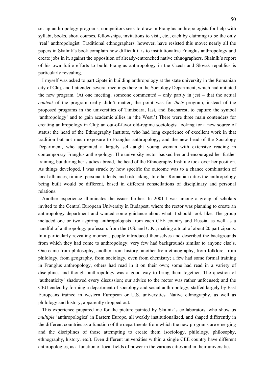set up anthropology programs, competitors seek to draw in Franglus anthropologists for help with syllabi, books, short courses, fellowships, invitations to visit, etc., each by claiming to be the only 'real' anthropologist. Traditional ethnographers, however, have resisted this move: nearly all the papers in Skalník's book complain how difficult it is to institutionalize Franglus anthropology and create jobs in it, against the opposition of already-entrenched native ethnographers. Skalník's report of his own futile efforts to build Franglus anthropology in the Czech and Slovak republics is particularly revealing.

I myself was asked to participate in building anthropology at the state university in the Romanian city of Cluj, and I attended several meetings there in the Sociology Department, which had initiated the new program. (At one meeting, someone commented – only partly in jest – that the actual *content* of the program really didn't matter; the point was for *their* program, instead of the proposed programs in the universities of Timisoara, Iasi, and Bucharest, to capture the symbol 'anthropology' and to gain academic allies in 'the West.') There were three main contenders for creating anthropology in Cluj: an out-of-favor old-regime sociologist looking for a new source of status; the head of the Ethnography Institute, who had long experience of excellent work in that tradition but not much exposure to Franglus anthropology; and the new head of the Sociology Department, who appointed a largely self-taught young woman with extensive reading in contemporary Franglus anthropology. The university rector backed her and encouraged her further training, but during her studies abroad, the head of the Ethnography Institute took over her position. As things developed, I was struck by how specific the outcome was to a chance combination of local alliances, timing, personal talents, and risk-taking. In other Romanian cities the anthropology being built would be different, based in different constellations of disciplinary and personal relations.

Another experience illuminates the issues further. In 2001 I was among a group of scholars invited to the Central European University in Budapest, where the rector was planning to create an anthropology department and wanted some guidance about what it should look like. The group included one or two aspiring anthropologists from each CEE country and Russia, as well as a handful of anthropology professors from the U.S. and U.K., making a total of about 20 participants. In a particularly revealing moment, people introduced themselves and described the backgrounds from which they had come to anthropology: very few had backgrounds similar to anyone else's. One came from philosophy, another from history, another from ethnography, from folklore, from philology, from geography, from sociology, even from chemistry; a few had some formal training in Franglus anthropology, others had read in it on their own; some had read in a variety of disciplines and thought anthropology was a good way to bring them together. The question of 'authenticity' shadowed every discussion; our advice to the rector was rather unfocused; and the CEU ended by forming a department of sociology and social anthropology, staffed largely by East Europeans trained in western European or U.S. universities. Native ethnography, as well as philology and history, apparently dropped out.

This experience prepared me for the picture painted by Skalnik's collaborators, who show us *multiple* 'anthropologies' in Eastern Europe, all weakly institutionalized, and shaped differently in the different countries as a function of the departments from which the new programs are emerging and the disciplines of those attempting to create them (sociology, philology, philosophy, ethnography, history, etc.). Even different universities within a single CEE country have different anthropologies, as a function of local fields of power in the various cities and in their universities.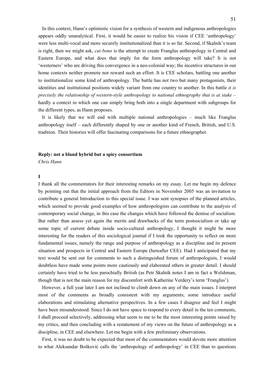In this context, Hann's optimistic vision for a synthesis of western and indigenous anthropologies appears oddly unanalytical. First, it would be easier to realize his vision if CEE 'anthropology' were less multi-vocal and more securely institutionalized than it is so far. Second, if Skalnik's team is right, then we might ask, *cui bono* is the attempt to create Franglus anthropology in Central and Eastern Europe, and what does that imply for the form anthropology will take? It is not 'westerners' who are driving this convergence in a neo-colonial way; the incentive structures in our home contexts neither promote nor reward such an effort. It is CEE scholars, battling one another to institutionalize some kind of anthropology. The battle has not two but many protagonists, their identities and institutional positions widely variant from one country to another. In this battle *it is precisely the relationship of western-style anthropology to national ethnography that is at stake* – hardly a context in which one can simply bring both into a single department with subgroups for the different types, as Hann proposes.

It is likely that we will end with multiple national anthropologies – much like Franglus anthropology itself – each differently shaped by one or another kind of French, British, and U.S. tradition. Their histories will offer fascinating comparisons for a future ethnographer.

#### **Reply: not a bland hybrid but a spicy consortium**

*Chris Hann* 

### **I**

I thank all the commentators for their interesting remarks on my essay. Let me begin my defence by pointing out that the initial approach from the Editors in November 2005 was an invitation to contribute a general Introduction to this special issue. I was sent synopses of the planned articles, which seemed to provide good examples of how anthropologists can contribute to the analysis of contemporary social change, in this case the changes which have followed the demise of socialism. But rather than assess yet again the merits and drawbacks of the term postsocialism or take up some topic of current debate inside socio-cultural anthropology, I thought it might be more interesting for the readers of this sociological journal if I took the opportunity to reflect on more fundamental issues, namely the range and purpose of anthropology as a discipline and its present situation and prospects in Central and Eastern Europe (hereafter CEE). Had I anticipated that my text would be sent out for comments to such a distinguished forum of anthropologists, I would doubtless have made some points more cautiously and elaborated others in greater detail. I should certainly have tried to be less parochially British (as Petr Skalník notes I am in fact a Welshman, though that is not the main reason for my discomfort with Katherine Verdery's term 'Franglus').

However, a full year later I am not inclined to climb down on any of the main issues. I interpret most of the comments as broadly consistent with my arguments; some introduce useful elaborations and stimulating alternative perspectives. In a few cases I disagree and feel I might have been misunderstood. Since I do not have space to respond to every detail in the ten comments, I shall proceed selectively, addressing what seem to me to be the most interesting points raised by my critics, and then concluding with a restatement of my views on the future of anthropology as a discipline, in CEE and elsewhere. Let me begin with a few preliminary observations.

First, it was no doubt to be expected that most of the commentators would devote more attention to what Aleksandar Bošković calls the 'anthropology of anthropology' in CEE than to questions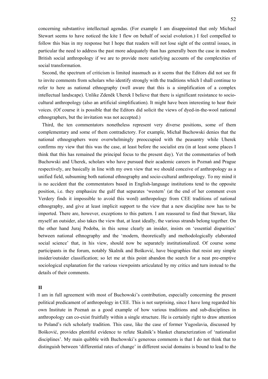concerning substantive intellectual agendas. (For example I am disappointed that only Michael Stewart seems to have noticed the kite I flew on behalf of social evolution.) I feel compelled to follow this bias in my response but I hope that readers will not lose sight of the central issues, in particular the need to address the past more adequately than has generally been the case in modern British social anthropology if we are to provide more satisfying accounts of the complexities of social transformation.

Second, the spectrum of criticism is limited inasmuch as it seems that the Editors did not see fit to invite comments from scholars who identify strongly with the traditions which I shall continue to refer to here as national ethnography (well aware that this is a simplification of a complex intellectual landscape). Unlike Zdeněk Uherek I believe that there is significant resistance to sociocultural anthropology (also an artificial simplification). It might have been interesting to hear their voices. (Of course it is possible that the Editors did solicit the views of dyed-in-the-wool national ethnographers, but the invitation was not accepted.)

Third, the ten commentators nonetheless represent very diverse positions, some of them complementary and some of them contradictory. For example, Michał Buchowski denies that the national ethnographers were overwhelmingly preoccupied with the peasantry while Uherek confirms my view that this was the case, at least before the socialist era (in at least some places I think that this has remained the principal focus to the present day). Yet the commentaries of both Buchowski and Uherek, scholars who have pursued their academic careers in Poznań and Prague respectively, are basically in line with my own view that we should conceive of anthropology as a unified field, subsuming both national ethnography and socio-cultural anthropology. To my mind it is no accident that the commentators based in English-language institutions tend to the opposite position, i.e. they emphasize the gulf that separates 'western' (at the end of her comment even Verdery finds it impossible to avoid this word) anthropology from CEE traditions of national ethnography, and give at least implicit support to the view that a new discipline now has to be imported. There are, however, exceptions to this pattern. I am reassured to find that Stewart, like myself an outsider, also takes the view that, at least ideally, the various strands belong together. On the other hand Juraj Podoba, in this sense clearly an insider, insists on 'essential disparities' between national ethnography and the 'modern, theoretically and methodologically elaborated social science' that, in his view, should now be separately institutionalized. Of course some participants in the forum, notably Skalník and Bošković, have biographies that resist any simple insider/outsider classification; so let me at this point abandon the search for a neat pre-emptive sociological explanation for the various viewpoints articulated by my critics and turn instead to the details of their comments.

### **II**

I am in full agreement with most of Buchowski's contribution, especially concerning the present political predicament of anthropology in CEE. This is not surprising, since I have long regarded his own Institute in Poznań as a good example of how various traditions and sub-disciplines in anthropology can co-exist fruitfully within a single structure. He is certainly right to draw attention to Poland's rich scholarly tradition. This case, like the case of former Yugoslavia, discussed by Bošković, provides plentiful evidence to refute Skalník's blanket characterization of 'nationalist disciplines'. My main quibble with Buchowski's generous comments is that I do not think that to distinguish between 'differential rates of change' in different social domains is bound to lead to the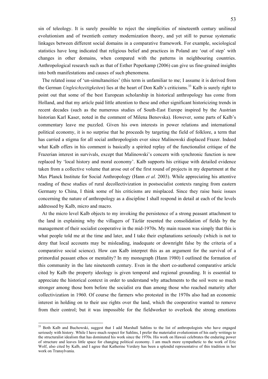sin of teleology. It is surely possible to reject the simplicities of nineteenth century unilineal evolutionism and of twentieth century modernization theory, and yet still to pursue systematic linkages between different social domains in a comparative framework. For example, sociological statistics have long indicated that religious belief and practices in Poland are 'out of step' with changes in other domains, when compared with the patterns in neighbouring countries. Anthropological research such as that of Esther Peperkamp (2006) can give us fine-grained insights into both manifestations and causes of such phenomena.

The related issue of 'un-simultaneities' (this term is unfamiliar to me; I assume it is derived from the German *Ungleichzeitigkeiten*) lies at the heart of Don Kalb's criticisms.33 Kalb is surely right to point out that some of the best European scholarship in historical anthropology has come from Holland, and that my article paid little attention to these and other significant historicizing trends in recent decades (such as the numerous studies of South-East Europe inspired by the Austrian historian Karl Kaser, noted in the comment of Milena Benovska). However, some parts of Kalb's commentary leave me puzzled. Given his own interests in power relations and international political economy, it is no surprise that he proceeds by targeting the field of folklore, a term that has carried a stigma for all social anthropologists ever since Malinowski displaced Frazer. Indeed what Kalb offers in his comment is basically a spirited replay of the functionalist critique of the Frazerian interest in survivals, except that Malinowski's concern with synchronic function is now replaced by 'local history and moral economy'. Kalb supports his critique with detailed evidence taken from a collective volume that arose out of the first round of projects in my department at the Max Planck Institute for Social Anthropology (Hann *et al.* 2003). While appreciating his attentive reading of these studies of rural decollectivization in postsocialist contexts ranging from eastern Germany to China, I think some of his criticisms are misplaced. Since they raise basic issues concerning the nature of anthropology as a discipline I shall respond in detail at each of the levels addressed by Kalb, micro and macro.

At the micro level Kalb objects to my invoking the persistence of a strong peasant attachment to the land in explaining why the villagers of Tázlár resented the consolidation of fields by the management of their socialist cooperative in the mid-1970s. My main reason was simply that this is what people told me at the time and later, and I take their explanations seriously (which is not to deny that local accounts may be misleading, inadequate or downright false by the criteria of a comparative social science). How can Kalb interpret this as an argument for the survival of a primordial peasant ethos or mentality? In my monograph (Hann 1980) I outlined the formation of this community in the late nineteenth century. Even in the short co-authored comparative article cited by Kalb the property ideology is given temporal and regional grounding. It is essential to appreciate the historical context in order to understand why attachments to the soil were so much stronger among those born before the socialist era than among those who reached maturity after collectivization in 1960. Of course the farmers who protested in the 1970s also had an economic interest in holding on to their use rights over the land, which the cooperative wanted to remove from their control; but it was impossible for the fieldworker to overlook the strong emotions

<sup>&</sup>lt;sup>33</sup> Both Kalb and Buchowski, suggest that I add Marshall Sahlins to the list of anthropologists who have engaged seriously with history. While I have much respect for Sahlins, I prefer the materialist evolutionism of his early writings to the structuralist idealism that has dominated his work since the 1970s. His work on Hawaii celebrates the enduring power of structure and leaves little space for changing political economy. I am much more sympathetic to the work of Eric Wolf, also cited by Kalb, and I agree that Katherine Verdery has been a splendid representative of this tradition in her work on Transylvania.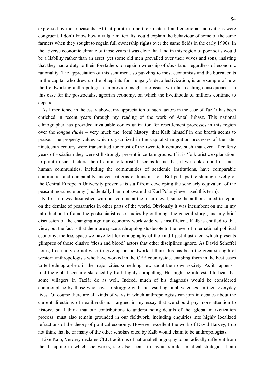expressed by those peasants. At that point in time their material and emotional motivations were congruent. I don't know how a vulgar materialist could explain the behaviour of some of the same farmers when they sought to regain full ownership rights over the same fields in the early 1990s. In the adverse economic climate of those years it was clear that land in this region of poor soils would be a liability rather than an asset; yet some old men prevailed over their wives and sons, insisting that they had a duty to their forefathers to regain ownership of *their* land, regardless of economic rationality. The appreciation of this sentiment, so puzzling to most economists and the bureaucrats in the capital who drew up the blueprints for Hungary's decollectivization, is an example of how the fieldworking anthropologist can provide insight into issues with far-reaching consequences, in this case for the postsocialist agrarian economy, on which the livelihoods of millions continue to depend.

As I mentioned in the essay above, my appreciation of such factors in the case of Tázlár has been enriched in recent years through my reading of the work of Antal Juhász. This national ethnographer has provided invaluable contextualization for resettlement processes in this region over the *longue durée* – very much the 'local history' that Kalb himself in one breath seems to praise. The property values which crystallized in the capitalist migration processes of the later nineteenth century were transmitted for most of the twentieth century, such that even after forty years of socialism they were still strongly present in certain groups. If it is 'folkloristic explanation' to point to such factors, then I am a folklorist! It seems to me that, if we look around us, most human communities, including the communities of academic institutions, have comparable continuities and comparably uneven patterns of transmission. But perhaps the shining novelty of the Central European University prevents its staff from developing the scholarly equivalent of the peasant moral economy (incidentally I am not aware that Karl Polanyi ever used this term).

Kalb is no less dissatisfied with our volume at the macro level, since the authors failed to report on the demise of peasantries in other parts of the world. Obviously it was incumbent on me in my introduction to frame the postsocialist case studies by outlining 'the general story', and my brief discussion of the changing agrarian economy worldwide was insufficient. Kalb is entitled to that view, but the fact is that the more space anthropologists devote to the level of international political economy, the less space we have left for ethnography of the kind I just illustrated, which presents glimpses of those elusive 'flesh and blood' actors that other disciplines ignore. As David Scheffel notes, I certainly do not wish to give up on fieldwork. I think this has been the great strength of western anthropologists who have worked in the CEE countryside, enabling them in the best cases to tell ethnographers in the major cities something new about their own society. As it happens I find the global scenario sketched by Kalb highly compelling. He might be interested to hear that some villagers in Tázlár do as well. Indeed, much of his diagnosis would be considered commonplace by those who have to struggle with the resulting 'ambivalences' in their everyday lives. Of course there are all kinds of ways in which anthropologists can join in debates about the current directions of neoliberalism. I argued in my essay that we should pay more attention to history, but I think that our contributions to understanding details of the 'global marketization process' must also remain grounded in our fieldwork, including enquiries into highly localized refractions of the theory of political economy. However excellent the work of David Harvey, I do not think that he or many of the other scholars cited by Kalb would claim to be anthropologists.

Like Kalb, Verdery declares CEE traditions of national ethnography to be radically different from the discipline in which she works; she also seems to favour similar practical strategies. I am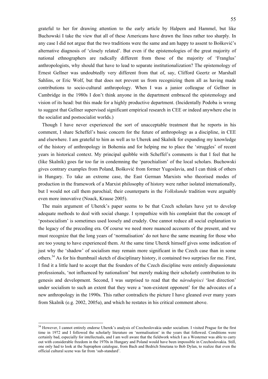grateful to her for drawing attention to the early article by Halpern and Hammel, but like Buchowski I take the view that all of these Americans have drawn the lines rather too sharply. In any case I did not argue that the two traditions were the same and am happy to assent to Bošković's alternative diagnosis of 'closely related'. But even if the epistemologies of the great majority of national ethnographers are radically different from those of the majority of 'Franglus' anthropologists, why should that have to lead to separate institutionalization? The epistemology of Ernest Gellner was undoubtedly very different from that of, say, Clifford Geertz or Marshall Sahlins, or Eric Wolf, but that does not prevent us from recognizing them all as having made contributions to socio-cultural anthropology. When I was a junior colleague of Gellner in Cambridge in the 1980s I don't think anyone in the department embraced the epistemology and vision of its head: but this made for a highly productive department. (Incidentally Podoba is wrong to suggest that Gellner supervised significant empirical research in CEE or indeed anywhere else in the socialist and postsocialist worlds.)

Though I have never experienced the sort of unacceptable treatment that he reports in his comment, I share Scheffel's basic concern for the future of anthropology as a discipline, in CEE and elsewhere. I am grateful to him as well as to Uherek and Skalník for expanding my knowledge of the history of anthropology in Bohemia and for helping me to place the 'struggles' of recent years in historical context. My principal quibble with Scheffel's comments is that I feel that he (like Skalník) goes far too far in condemning the 'parochialism' of the local scholars. Buchowski gives contrary examples from Poland, Bošković from former Yugoslavia, and I can think of others in Hungary. To take an extreme case, the East German Marxists who theorised modes of production in the framework of a Marxist philosophy of history were rather isolated internationally, but I would not call them parochial; their counterparts in the *Volkskunde* tradition were arguably even more innovative (Noack, Krause 2005).

The main argument of Uherek's paper seems to be that Czech scholars have yet to develop adequate methods to deal with social change. I sympathize with his complaint that the concept of 'postsocialism' is sometimes used loosely and crudely. One cannot reduce all social explanation to the legacy of the preceding era. Of course we need more nuanced accounts of the present, and we must recognize that the long years of 'normalisation' do not have the same meaning for those who are too young to have experienced them. At the same time Uherek himself gives some indication of just why the 'shadow' of socialism may remain more significant in the Czech case than in some others.34 As for his thumbnail sketch of disciplinary history, it contained two surprises for me. First, I find it a little hard to accept that the founders of the Czech discipline were entirely dispassionate professionals, 'not influenced by nationalism' but merely making their scholarly contribution to its genesis and development. Second, I was surprised to read that the *národopisci* 'lost direction' under socialism to such an extent that they were a 'non-existent opponent' for the advocates of a new anthropology in the 1990s. This rather contradicts the picture I have gleaned over many years from Skalník (e.g. 2002, 2005a), and which he restates in his critical comment above.

<sup>&</sup>lt;sup>34</sup> However, I cannot entirely endorse Uherek's analysis of Czechoslovakia under socialism. I visited Prague for the first time in 1972 and I followed the scholarly literature on 'normalisation' in the years that followed. Conditions were certainly bad, especially for intellectuals, and I am well aware that the fieldwork which I as a Westerner was able to carry out with considerable freedom in the 1970s in Hungary and Poland would have been impossible in Czechoslovakia. Still, one only had to look at the Supraphon catalogue, from Bach and Bedrich Smetana to Bob Dylan, to realize that even the official cultural scene was far from 'sub-standard'.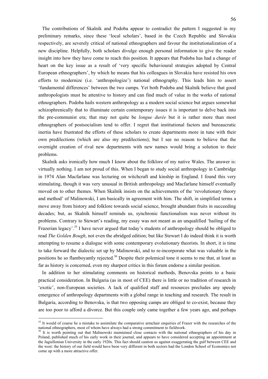The contributions of Skalník and Podoba appear to contradict the pattern I suggested in my preliminary remarks, since these 'local scholars', based in the Czech Republic and Slovakia respectively, are severely critical of national ethnographers and favour the institutionalization of a new discipline. Helpfully, both scholars divulge enough personal information to give the reader insight into how they have come to reach this position. It appears that Podoba has had a change of heart on the key issue as a result of 'very specific behavioural strategies adopted by Central European ethnographers', by which he means that his colleagues in Slovakia have resisted his own efforts to modernize (i.e. 'anthropologize') national ethnography. This leads him to assert 'fundamental differences' between the two camps. Yet both Podoba and Skalník believe that good anthropologists must be attentive to history and can find much of value in the works of national ethnographers. Podoba hails western anthropology as a modern social science but argues somewhat schizophrenically that to illuminate certain contemporary issues it is important to delve back into the pre-communist era; that may not quite be *longue durée* but it is rather more than most ethnographers of postsocialism tend to offer. I regret that institutional factors and bureaucratic inertia have frustrated the efforts of these scholars to create departments more in tune with their own predilections (which are also my predilections); but I see no reason to believe that the overnight creation of rival new departments with new names would bring a solution to their problems.

Skalník asks ironically how much I know about the folklore of my native Wales. The answer is: virtually nothing. I am not proud of this. When I began to study social anthropology in Cambridge in 1974 Alan Macfarlane was lecturing on witchcraft and kinship in England. I found this very stimulating, though it was very unusual in British anthropology and Macfarlane himself eventually moved on to other themes. When Skalník insists on the achievements of the 'revolutionary theory and method' of Malinowski, I am basically in agreement with him. The shift, in simplified terms a move away from history and folklore towards social science, brought abundant fruits in succeeding decades; but, as Skalník himself reminds us, synchronic functionalism was never without its problems. Contrary to Stewart's reading, my essay was not meant as an unqualified 'hailing of the Frazerian legacy'.<sup>35</sup> I have never argued that today's students of anthropology should be obliged to read *The Golden Bough*, not even the abridged edition; but like Stewart I do indeed think it is worth attempting to resume a dialogue with some contemporary evolutionary theorists. In short, it is time to take forward the dialectic set up by Malinowski, and to re-incorporate what was valuable in the positions he so flamboyantly rejected.<sup>36</sup> Despite their polemical tone it seems to me that, at least as far as history is concerned, even my sharpest critics in this forum endorse a similar position.

In addition to her stimulating comments on historical methods, Benovska points to a basic practical consideration. In Bulgaria (as in most of CEE) there is little or no tradition of research in 'exotic', non-European societies. A lack of qualified staff and resources precludes any speedy emergence of anthropology departments with a global range in teaching and research. The result in Bulgaria, according to Benovska, is that two opposing camps are obliged to co-exist, because they are too poor to afford a divorce. But this couple only came together a few years ago, and perhaps

<u>.</u>

<sup>&</sup>lt;sup>35</sup> It would of course be a mistake to assimilate the comparative armchair enquiries of Frazer with the researches of the national ethnographers, most of whom have always had a strong commitment to fieldwork.<br><sup>36</sup> It is worth pointing out that Malinowski maintained close contacts with the national ethnographers of his day in

Poland, published much of his early work in their journal, and appears to have considered accepting an appointment at the Jagiellonian University in the early 1920s. This fact should caution us against exaggerating the gulf between CEE and the west: the history of our field would have been very different in both sectors had the London School of Economics not come up with a more attractive offer.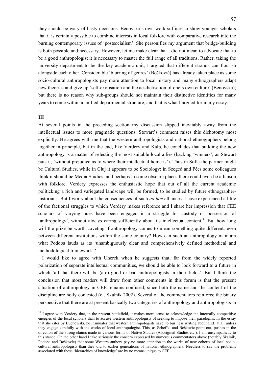they should be wary of hasty decisions. Benovska's own work suffices to show younger scholars that it is certainly possible to combine interests in local folklore with comparative research into the burning contemporary issues of 'postsocialism'. She personifies my argument that bridge-building is both possible and necessary. However, let me make clear that I did not mean to advocate that to be a good anthropologist it is necessary to master the full range of all traditions. Rather, taking the university department to be the key academic unit, I argued that different strands can flourish alongside each other. Considerable 'blurring of genres' (Bošković) has already taken place as some socio-cultural anthropologists pay more attention to local history and many ethnographers adapt new theories and give up 'self-exotisation and the aesthetisation of one's own culture' (Benovska); but there is no reason why sub-groups should not maintain their distinctive identities for many years to come within a unified departmental structure, and that is what I argued for in my essay.

### **III**

1

At several points in the preceding section my discussion slipped inevitably away from the intellectual issues to more pragmatic questions. Stewart's comment raises this dichotomy most explicitly. He agrees with me that the western anthropologists and national ethnographers belong together in principle, but in the end, like Verdery and Kalb, he concludes that building the new anthropology is a matter of selecting the most suitable local allies (backing 'winners', as Stewart puts it, 'without prejudice as to where their intellectual home is'). Thus in Sofia the partner might be Cultural Studies, while in Cluj it appears to be Sociology; in Szeged and Pécs some colleagues think it should be Media Studies, and perhaps in some obscure places there could even be a liaison with folklore. Verdery expresses the enthusiastic hope that out of all the current academic politicking a rich and variegated landscape will be formed, to be studied by future ethnographerhistorians. But I worry about the consequences of such *ad hoc* alliances. I have experienced a little of the factional struggles to which Verdery makes reference and I share her impression that CEE scholars of varying hues have been engaged in a struggle for custody or possession of 'anthropology', without always caring sufficiently about its intellectual content.<sup>37</sup> But how long will the prize be worth coveting if anthropology comes to mean something quite different, even between different institutions within the same country? How can such an anthropology maintain what Podoba lauds as its 'unambiguously clear and comprehensively defined methodical and methodological framework'?

I would like to agree with Uherek when he suggests that, far from the widely reported polarization of separate intellectual communities, we should be able to look forward to a future in which 'all that there will be (are) good or bad anthropologists in their fields'. But I think the conclusion that most readers will draw from other comments in this forum is that the present situation of anthropology in CEE remains confused, since both the name and the content of the discipline are hotly contested (cf. Skalník 2002). Several of the commentators reinforce the binary perspective that there are at present basically two categories of anthropology and anthropologists in

 $37$  I agree with Verdery that, in the present battlefield, it makes more sense to acknowledge the internally competitive energies of the local scholars than to accuse western anthropologists of seeking to impose their paradigms. In the essay that she cites by Buchowski, he insinuates that western anthropologists have no business writing about CEE at all unless they engage carefully with the works of local anthropologist. This, as Scheffel and Bošković point out, pushes in the direction of the strong claims made in various forms of Native Studies (Aboriginal Studies etc.). I am unsympathetic to this stance. On the other hand I take seriously the concern expressed by numerous commentators above (notably Skalník, Podoba and Bošković) that some Western authors pay no more attention to the works of new cohorts of local sociocultural anthropologists than they did to earlier generations of national ethnographers. Needless to say the problems associated with these 'hierarchies of knowledge' are by no means unique to CEE.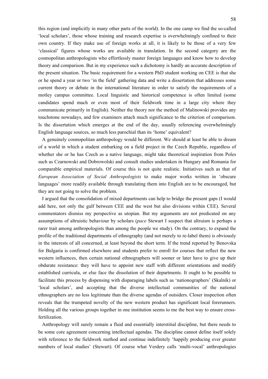this region (and implicitly in many other parts of the world). In the one camp we find the so-called 'local scholars', those whose training and research expertise is overwhelmingly confined to their own country. If they make use of foreign works at all, it is likely to be those of a very few 'classical' figures whose works are available in translation. In the second category are the cosmopolitan anthropologists who effortlessly master foreign languages and know how to develop theory and comparison. But in my experience such a dichotomy is hardly an accurate description of the present situation. The basic requirement for a western PhD student working on CEE is that she or he spend a year or two 'in the field' gathering data and write a dissertation that addresses some current theory or debate in the international literature in order to satisfy the requirements of a motley campus committee. Local linguistic and historical competence is often limited (some candidates spend much or even most of their fieldwork time in a large city where they communicate primarily in English). Neither the theory nor the method of Malinowski provides any touchstone nowadays, and few examiners attach much significance to the criterion of comparison. Is the dissertation which emerges at the end of the day, usually referencing overwhelmingly English language sources, so much less parochial than its 'home' equivalent?

A genuinely cosmopolitan anthropology would be different. We should at least be able to dream of a world in which a student embarking on a field project in the Czech Republic, regardless of whether she or he has Czech as a native language, might take theoretical inspiration from Poles such as Czarnowski and Dobrowolski and consult studies undertaken in Hungary and Romania for comparable empirical materials. Of course this is not quite realistic. Initiatives such as that of *European Association of Social Anthropologists* to make major works written in 'obscure languages' more readily available through translating them into English are to be encouraged, but they are not going to solve the problem.

I argued that the consolidation of mixed departments can help to bridge the present gaps (I would add here, not only the gulf between CEE and the west but also divisions within CEE). Several commentators dismiss my perspective as utopian. But my arguments are not predicated on any assumptions of altruistic behaviour by scholars (*pace* Stewart I suspect that altruism is perhaps a rarer trait among anthropologists than among the people we study). On the contrary, to expand the profile of the traditional departments of ethnography (and not merely to re-label them) is obviously in the interests of all concerned, at least beyond the short term. If the trend reported by Benovska for Bulgaria is confirmed elsewhere and students prefer to enroll for courses that reflect the new western influences, then certain national ethnographers will sooner or later have to give up their obdurate resistance: they will have to appoint new staff with different orientations and modify established curricula, or else face the dissolution of their departments. It ought to be possible to facilitate this process by dispensing with disparaging labels such as 'nationographers' (Skalník) or 'local scholars', and accepting that the diverse intellectual communities of the national ethnographers are no less legitimate than the diverse agendas of outsiders. Closer inspection often reveals that the trumpeted novelty of the new western product has significant local forerunners. Holding all the various groups together in one institution seems to me the best way to ensure crossfertilization.

Anthropology will surely remain a fluid and essentially interstitial discipline, but there needs to be some core agreement concerning intellectual agendas. The discipline cannot define itself solely with reference to the fieldwork method and continue indefinitely 'happily producing ever greater numbers of local studies' (Stewart). Of course what Verdery calls 'multi-vocal' anthropologies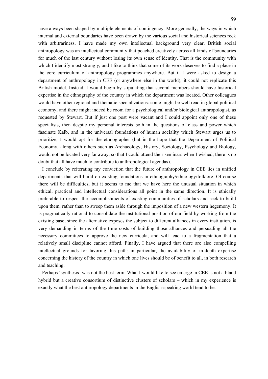have always been shaped by multiple elements of contingency. More generally, the ways in which internal and external boundaries have been drawn by the various social and historical sciences reek with arbitrariness. I have made my own intellectual background very clear. British social anthropology was an intellectual community that poached creatively across all kinds of boundaries for much of the last century without losing its own sense of identity. That is the community with which I identify most strongly, and I like to think that some of its work deserves to find a place in the core curriculum of anthropology programmes anywhere. But if I were asked to design a department of anthropology in CEE (or anywhere else in the world), it could not replicate this British model. Instead, I would begin by stipulating that several members should have historical expertise in the ethnography of the country in which the department was located. Other colleagues would have other regional and thematic specializations: some might be well read in global political economy, and there might indeed be room for a psychological and/or biological anthropologist, as requested by Stewart. But if just one post were vacant and I could appoint only one of these specialists, then despite my personal interests both in the questions of class and power which fascinate Kalb, and in the universal foundations of human sociality which Stewart urges us to prioritize, I would opt for the ethnographer (but in the hope that the Department of Political Economy, along with others such as Archaeology, History, Sociology, Psychology and Biology, would not be located very far away, so that I could attend their seminars when I wished; there is no doubt that all have much to contribute to anthropological agendas).

I conclude by reiterating my conviction that the future of anthropology in CEE lies in unified departments that will build on existing foundations in ethnography/ethnology/folklore. Of course there will be difficulties, but it seems to me that we have here the unusual situation in which ethical, practical and intellectual considerations all point in the same direction. It is ethically preferable to respect the accomplishments of existing communities of scholars and seek to build upon them, rather than to sweep them aside through the imposition of a new western hegemony. It is pragmatically rational to consolidate the institutional position of our field by working from the existing base, since the alternative exposes the subject to different alliances in every institution, is very demanding in terms of the time costs of building those alliances and persuading all the necessary committees to approve the new curricula, and will lead to a fragmentation that a relatively small discipline cannot afford. Finally, I have argued that there are also compelling intellectual grounds for favoring this path: in particular, the availability of in-depth expertise concerning the history of the country in which one lives should be of benefit to all, in both research and teaching.

Perhaps 'synthesis' was not the best term. What I would like to see emerge in CEE is not a bland hybrid but a creative consortium of distinctive clusters of scholars – which in my experience is exactly what the best anthropology departments in the English-speaking world tend to be.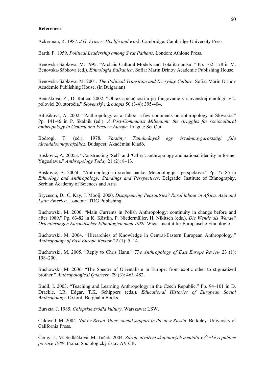### **References**

Ackerman, R. 1987. *J.G. Frazer: His life and work*. Cambridge: Cambridge University Press.

Barth, F. 1959. *Political Leadership among Swat Pathans*. London: Athlone Press.

Benovska-Săbkova, M. 1995. "Archaic Cultural Models and Totalitarianism." Pp. 162–178 in M. Benovska-Săbkova (ed.). *Ethnologia Balkanica*. Sofia: Marin Drinov Academic Publishing House.

Benovska-Săbkova, M. 2001. *The Political Transition and Everyday Culture*. Sofia: Marin Drinov Academic Publishing House. (in Bulgarian)

Beňušková, Z., D. Ratica. 2002. "Obraz spoločnosti a jej fungovanie v slovenskej etnológii v 2. polovici 20. storočia." *Slovenský národopis* 50 (3-4): 395-404.

Bitušíková, A. 2002. "Anthropology as a Taboo: a few comments on anthropology in Slovakia." Pp. 141-46 in P. Skalník (ed.). *A Post-Communist Millenium: the struggles for sociocultural anthropology in Central and Eastern Europe.* Prague: Set Out.

Bodrogi, T. (ed.), 1978. *Varsány: Tanulmányok egy észak-maygarországi falu társadalomnáprajzához.* Budapest: Akadémiai Kiadó.

Bošković, A. 2005a. "Constructing 'Self' and 'Other': anthropology and national identity in former Yugoslavia." *Anthropology Today* 21 (2): 8–13.

Bošković, A. 2005b. "Antropologija i srodne nauke: Metodologije i perspektive." Pp. 77–85 in *Ethnology and Anthropology: Standings and Perspectives*. Belgrade: Institute of Ethnography, Serbian Academy of Sciences and Arts.

Bryceson, D., C. Kay, J. Mooij. 2000. *Disappearing Peasantries? Rural labour in Africa, Asia and Latin America*. London: ITDG Publishing.

Buchowski, M. 2000. "Main Currents in Polish Anthropology: continuity in change before and after 1989." Pp. 63-82 in K. Köstlin, P. Niedermüller, H. Nikitsch (eds.). *Die Wende als Wende? Orientierungen Europäischer Ethnologien nach 1989*. Wien: Institut für Europäische Ethnologie.

Buchowski, M. 2004. "Hierarchies of Knowledge in Central-Eastern European Anthropology." *Anthropology of East Europe Review* 22 (1): 5–14.

Buchowski, M. 2005. "Reply to Chris Hann." *The Anthropology of East Europe Review* 23 (1): 198–200.

Buchowski, M. 2006. "The Spectre of Orientalism in Europe: from exotic other to stigmatized brother." *Anthropological Quarterly* 79 (3): 463–482.

Budil, I. 2003. "Teaching and Learning Anthropology in the Czech Republic." Pp. 94–101 in D. Dracklé, I.R. Edgar, T.K. Schippers (eds.). *Educational Histories of European Social Anthropology*. Oxford: Berghahn Books.

Burszta, J. 1985. *Chłopskie źródła kultury*. Warszawa: LSW.

Caldwell, M. 2004. *Not by Bread Alone: social support in the new Russia*. Berkeley: University of California Press.

Černý, J., M. Sedláčková, M. Tuček. 2004. *Zdroje utváření skupinových mentalit v České republice po roce 1989*. Praha: Sociologický ústav AV ČR.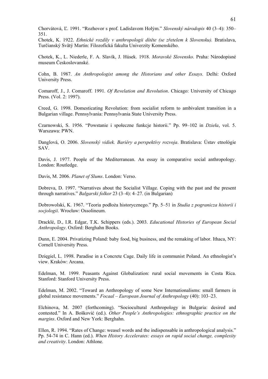Chorvátová, Ľ. 1991. "Rozhovor s prof. Ladislavom Holým." *Slovenský národopis* 40 (3–4): 350– 351.

Chotek, K. 1922. *Ethnické rozdíly v anthropologii dítěte (se zřetelem k Slovensku).* Bratislava, Turčianský Svätý Martin: Filozofická fakulta Univerzity Komenského.

Chotek, K., L. Niederle, F. A. Slavík, J. Húsek. 1918. *Moravské Slovensko*. Praha: Národopisné museum Českoslovanské.

Cohn, B. 1987. *An Anthropologist among the Historians and other Essays.* Delhi: Oxford University Press.

Comaroff, J., J. Comaroff. 1991. *Of Revelation and Revolution*. Chicago: University of Chicago Press. (Vol. 2: 1997).

Creed, G. 1998. Domesticating Revolution: from socialist reform to ambivalent transition in a Bulgarian village. Pennsylvania: Pennsylvania State University Press.

Czarnowski, S. 1956. "Powstanie i społeczne funkcje historii." Pp. 99–102 in *Dzieła*, vol. 5. Warszawa: PWN.

Danglová, O. 2006. *Slovenský vidiek. Bariéry a perspektívy rozvoja*. Bratislava: Ústav etnológie SAV.

Davis, J. 1977. People of the Mediterranean. An essay in comparative social anthropology. London: Routledge.

Davis, M. 2006. *Planet of Slums*. London: Verso.

Dobreva, D. 1997. "Narratives about the Socialist Village. Coping with the past and the present through narratives." *Balgarski folkor* 23 (3–4): 4–27. (in Bulgarian)

Dobrowolski, K. 1967. "Teoria podłoża historycznego." Pp. 5–51 in *Studia z pogranicza historii i socjologii*. Wrocław: Ossolineum.

Dracklé, D., I.R. Edgar, T.K. Schippers (eds.). 2003. *Educational Histories of European Social Anthropology*. Oxford: Berghahn Books.

Dunn, E. 2004. Privatizing Poland: baby food, big business, and the remaking of labor. Ithaca, NY: Cornell University Press.

Dzięgiel, L. 1998. Paradise in a Concrete Cage. Daily life in communist Poland. An ethnologist's view. Kraków: Arcana.

Edelman, M. 1999. Peasants Against Globalization: rural social movements in Costa Rica. Stanford: Stanford University Press.

Edelman, M. 2002. "Toward an Anthropology of some New Internationalisms: small farmers in global resistance movements." *Focaal – European Journal of Anthropology* (40): 103–23.

Elchinova, M. 2007 (forthcoming). "Sociocultural Anthropology in Bulgaria: desired and contested." In A. Bošković (ed.). *Other People's Anthropologies: ethnographic practice on the margins*. Oxford and New York: Berghahn.

Ellen, R. 1994. "Rates of Change: weasel words and the indispensable in anthropological analysis." Pp. 54-74 in C. Hann (ed.). *When History Accelerates: essays on rapid social change, complexity and creativity*. London: Athlone.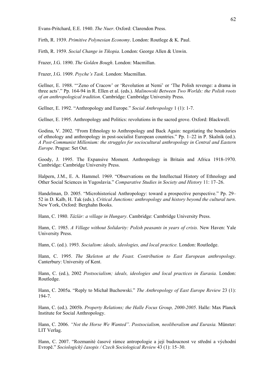Evans-Pritchard, E.E. 1940. *The Nuer*. Oxford: Clarendon Press.

Firth, R. 1939. *Primitive Polynesian Economy*. London: Routlege & K. Paul.

Firth, R. 1959. *Social Change in Tikopia*. London: George Allen & Unwin.

Frazer, J.G. 1890. *The Golden Bough*. London: Macmillan.

Frazer, J.G. 1909. *Psyche's Task*. London: Macmillan.

Gellner, E. 1988. "'Zeno of Cracow' or 'Revolution at Nemi' or 'The Polish revenge: a drama in three acts'." Pp. 164-94 in R. Ellen et al. (eds.). *Malinowski Between Two Worlds: the Polish roots of an anthropological tradition*. Cambridge: Cambridge University Press.

Gellner, E. 1992. "Anthropology and Europe." *Social Anthropology* 1 (1): 1-7.

Gellner, E. 1995. Anthropology and Politics: revolutions in the sacred grove. Oxford: Blackwell.

Godina, V. 2002. "From Ethnology to Anthropology and Back Again: negotiating the boundaries of ethnology and anthropology in post-socialist European countries." Pp. 1–22 in P. Skalník (ed.). *A Post-Communist Millenium: the struggles for sociocultural anthropology in Central and Eastern Europe*. Prague: Set Out.

Goody, J. 1995. The Expansive Moment. Anthropology in Britain and Africa 1918-1970. Cambridge: Cambridge University Press.

Halpern, J.M., E. A. Hammel. 1969. "Observations on the Intellectual History of Ethnology and Other Social Sciences in Yugoslavia." *Comparative Studies in Society and History* 11: 17–26.

Handelman, D. 2005. "Microhistorical Anthropology: toward a prospective perspective." Pp. 29– 52 in D. Kalb, H. Tak (eds.). *Critical Junctions: anthropology and history beyond the cultural turn*. New York, Oxford: Berghahn Books.

Hann, C. 1980. *Tázlár: a village in Hungary*. Cambridge: Cambridge University Press.

Hann, C. 1985. *A Village without Solidarity: Polish peasants in years of crisis.* New Haven: Yale University Press.

Hann, C. (ed.). 1993. *Socialism: ideals, ideologies, and local practice.* London: Routledge.

Hann, C. 1995. *The Skeleton at the Feast. Contribution to East European anthropology.* Canterbury: University of Kent.

Hann, C. (ed.), 2002 *Postsocialism; ideals, ideologies and local practices in Eurasia.* London: Routledge.

Hann, C. 2005a. "Reply to Michał Buchowski." *The Anthropology of East Europe Review* 23 (1): 194-7.

Hann, C. (ed.). 2005b. *Property Relations; the Halle Focus Group, 2000-2005*. Halle: Max Planck Institute for Social Anthropology.

Hann, C. 2006. *"Not the Horse We Wanted". Postsocialism, neoliberalism and Eurasia.* Münster: LIT Verlag.

Hann, C. 2007. "Rozmanité časové rámce antropologie a její budoucnost ve střední a východní Evropě." *Sociologický časopis / Czech Sociological Review* 43 (1): 15–30.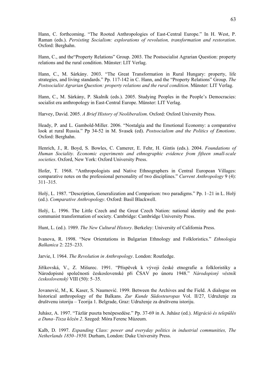Hann, C. forthcoming. "The Rooted Anthropologies of East-Central Europe." In H. West, P. Raman (eds.). *Persisting Socialism: explorations of revolution, transformation and restoration*. Oxford: Berghahn.

Hann, C., and the"Property Relations" Group. 2003. The Postsocialist Agrarian Question: property relations and the rural condition. Münster: LIT Verlag.

Hann, C., M. Sárkány. 2003. "The Great Transformation in Rural Hungary: property, life strategies, and living standards." Pp. 117-142 in C. Hann, and the "Property Relations" Group. *The Postsocialist Agrarian Question: property relations and the rural condition*. Münster: LIT Verlag.

Hann, C., M. Sárkány, P. Skalník (eds.). 2005. Studying Peoples in the People's Democracies: socialist era anthropology in East-Central Europe. Münster: LIT Verlag.

Harvey, David. 2005. *A Brief History of Neoliberalism*. Oxford: Oxford University Press.

Heady, P. and L. Gambold-Miller. 2006. "Nostalgia and the Emotional Economy: a comparative look at rural Russia." Pp 34-52 in M. Svasek (ed). *Postsocialism and the Politics of Emotions*. Oxford: Berghahn.

Henrich, J., R. Boyd, S. Bowles, C. Camerer, E. Fehr, H. Gintis (eds.). 2004. *Foundations of Human Sociality. Economic experiments and ethnographic evidence from fifteen small-scale societies*. Oxford, New York: Oxford University Press.

Hofer, T. 1968. "Anthropologists and Native Ethnographers in Central European Villages: comparative notes on the professional personality of two disciplines." *Current Anthropology* 9 (4): 311–315.

Holý, L. 1987. "Description, Generalization and Comparison: two paradigms." Pp. 1–21 in L. Holý (ed.). *Comparative Anthropology*. Oxford: Basil Blackwell.

Holý, L. 1996. The Little Czech and the Great Czech Nation: national identity and the postcommunist transformation of society. Cambridge: Cambridge University Press.

Hunt, L. (ed.). 1989. *The New Cultural History*. Berkeley: University of California Press.

Ivanova, R. 1998. "New Orientations in Bulgarian Ethnology and Folkloristics." *Ethnologia Balkanica* 2: 225–233.

Jarvie, I. 1964. *The Revolution in Anthropology*. London: Routledge.

Jiříkovská, V., Z. Mišurec. 1991. "Příspěvek k vývoji české etnografie a folkloristiky a Národopisné společnosti československé při ČSAV po únoru 1948." *Národopisný věstník československý* VIII (50): 5–35.

Jovanović, M., K. Kaser, S. Naumović. 1999. Between the Archives and the Field. A dialogue on historical anthropology of the Balkans. *Zur Kunde Südosteuropas* Vol. II/27, Udruženje za društvenu istoriju – Teorija 1. Belgrade, Graz: Udruženje za društvenu istoriju.

Juhász, A. 1997. "Tázlár puszta benépesedése." Pp. 37-69 in A. Juhász (ed.). *Migráció és település a Duna–Tisza közén 2*. Szeged: Móra Ferenc Múzeum.

Kalb, D. 1997. *Expanding Class: power and everyday politics in industrial communities, The Netherlands 1850–1950.* Durham, London: Duke University Press.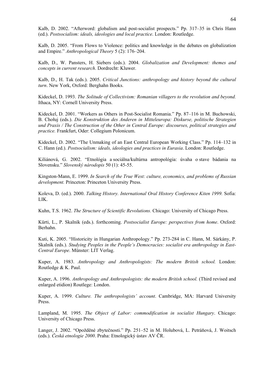Kalb, D. 2002. "Afterword: globalism and post-socialist prospects." Pp. 317–35 in Chris Hann (ed.). *Postsocialism: ideals, ideologies and local practice*. London: Routledge.

Kalb, D. 2005. "From Flows to Violence: politics and knowledge in the debates on globalization and Empire." *Anthropological Theory* 5 (2): 176–204.

Kalb, D., W. Pansters, H. Siebers (eds.). 2004. *Globalization and Development: themes and concepts in current research*. Dordrecht: Kluwer.

Kalb, D., H. Tak (eds.). 2005. *Critical Junctions: anthropology and history beyond the cultural turn*. New York, Oxford: Berghahn Books.

Kideckel, D. 1993. *The Solitude of Collectivism: Romanian villagers to the revolution and beyond.* Ithaca, NY: Cornell University Press.

Kideckel, D. 2001. "Workers as Others in Post-Socialist Romania." Pp. 87–116 in M. Buchowski, B. Chołuj (eds.). *Die Konstruktion des Anderen in Mitteleuropa: Diskurse, politische Strategien und Praxis / The Construction of the Other in Central Europe: discourses, political strategies and practice.* Frankfurt, Oder: Collegium Polonicum.

Kideckel, D. 2002. "The Unmaking of an East Central European Working Class." Pp. 114–132 in C. Hann (ed.). *Postsocialism: ideals, ideologies and practices in Eurasia*. London: Routledge.

Kiliánová, G. 2002. "Etnológia a sociálna/kultúrna antropológia: úvaha o stave bádania na Slovensku." *Slovenský národopis* 50 (1): 45-55.

Kingston-Mann, E. 1999. *In Search of the True West: culture, economics, and problems of Russian development.* Princeton: Princeton University Press.

Koleva, D. (ed.). 2000. *Talking History. International Oral History Conference Kiten 1999.* Sofia: LIK.

Kuhn, T.S. 1962. *The Structure of Scientific Revolutions.* Chicago: University of Chicago Press.

Kürti, L., P. Skalník (eds.). forthcoming. *Postsocialist Europe: perspectives from home*. Oxford: Berhahn.

Kuti, K. 2005. "Historicity in Hungarian Anthropology." Pp. 273-284 in C. Hann, M. Sárkány, P. Skalník (eds.). *Studying Peoples in the People's Democracies: socialist era anthropology in East-Central Europe*. Münster: LIT Verlag.

Kuper, A. 1983. *Anthropology and Anthropologists: The modern British school.* London: Routledge & K. Paul.

Kuper, A. 1996. *Anthropology and Anthropologists: the modern British school.* (Third revised and enlarged etidion) Routlege: London.

Kuper, A. 1999. *Culture. The anthropologists' account*. Cambridge, MA: Harvard University Press.

Lampland, M. 1995. *The Object of Labor: commodification in socialist Hungary*. Chicago: University of Chicago Press.

Langer, J. 2002. "Opožděné zbytečnosti." Pp. 251–52 in M. Holubová, L. Petráňová, J. Woitsch (eds.). *Česká etnologie 2000*. Praha: Etnologický ústav AV ČR.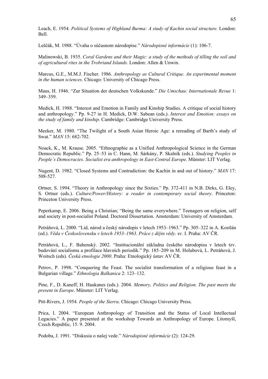Leach, E. 1954. *Political Systems of Highland Burma: A study of Kachin social structure.* London: Bell.

Leščák, M. 1988. "Úvaha o súčasnom národopise." *Národopisné informácie* (1): 106-7.

Malinowski, B. 1935. *Coral Gardens and their Magic: a study of the methods of tilling the soil and of agricultural rites in the Trobriand Islands.* London: Allen & Unwin.

Marcus, G.E., M.M.J. Fischer. 1986. *Anthropology as Cultural Critique. An experimental moment in the human sciences*. Chicago: University of Chicago Press.

Maus, H. 1946. "Zur Situation der deutschen Volkskunde." *Die Umschau: Internationale Revue* 1: 349–359.

Medick, H. 1988. "Interest and Emotion in Family and Kinship Studies. A critique of social history and anthropology." Pp. 9-27 in H. Medick, D.W. Sabean (eds.). *Interest and Emotion: essays on the study of family and kinship*. Cambridge: Cambridge University Press.

Meeker, M. 1980. "The Twilight of a South Asian Heroic Age: a rereading of Barth's study of Swat." *MAN* 15: 682-702.

Noack, K., M. Krause. 2005. "Ethnographie as a Unified Anthropological Science in the German Democratic Republic." Pp. 25–53 in C. Hann, M. Sárkány, P. Skalník (eds.). *Studying Peoples in People´s Democracies. Socialist era anthropology in East-Central Europe*. Münster: LIT Verlag.

Nugent, D. 1982. "Closed Systems and Contradiction: the Kachin in and out of history." *MAN* 17: 508-527.

Ortner, S. 1994. "Theory in Anthropology since the Sixties." Pp. 372-411 in N.B. Dirks, G. Eley, S. Ortner (eds.). *Culture/Power/History: a reader in contemporary social theory*. Princeton: Princeton University Press.

Peperkamp, E. 2006. Being a Christian; "Being the same everywhere." Teenagers on religion, self and society in post-socialist Poland. Doctoral Dissertation. Amsterdam: University of Amsterdam.

Petráňová, L. 2000. "Lid, národ a český národopis v letech 1953–1963." Pp. 305–322 in A. Kostlán (ed.). *Věda v Československu v letech 1953–1963*. *Práce z dějin vědy*. sv. I. Praha: AV ČR.

Petráňová, L., F. Bahenský. 2002. "Institucionální základna českého národopisu v letech tzv. budování socialismu a profilace hlavních periodik." Pp. 185–209 in M. Holubová, L. Petráňová, J. Woitsch (eds). *Česká etnologie 2000*. Praha: Etnologický ústav AV ČR.

Petrov, P. 1998. "Conquering the Feast. The socialist transformation of a religious feast in a Bulgarian village." *Ethnologia Balkanica* 2: 123–132.

Pine, F., D. Kaneff, H. Haukanes (eds.). 2004. *Memory, Politics and Religion. The past meets the present in Europe*. Münster: LIT Verlag.

Pitt-Rivers, J. 1954. *People of the Sierra*. Chicago: Chicago University Press.

Prica, I. 2004. "European Anthropology of Transition and the Status of Local Intellectual Legacies." A paper presented at the workshop Towards an Anthropology of Europe. Litomyšl, Czech Republic, 15. 9. 2004.

Podoba, J. 1991. "Diskusia o našej vede." *Národopisné informácie* (2): 124-29.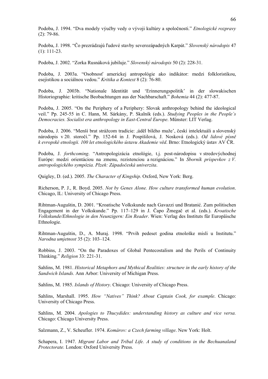Podoba, J. 1994. "Dva modely výučby vedy o vývoji kultúry a spoločnosti." *Etnologické rozpravy*  (2): 79-86.

Podoba, J. 1998. "Čo prezrádzajú ľudové stavby severozápadných Karpát." *Slovenský národopis* 47 (1): 111-23.

Podoba, J. 2002. "Zorka Rusnáková jubiluje." *Slovenský národopis* 50 (2): 228-31.

Podoba, J. 2003a. "Osobnosť americkej antropológie ako indikátor: medzi folkloristikou, esejistikou a sociálnou vedou." *Kritika a Kontext* 8 (2): 76-80.

Podoba, J. 2003b. "Nationale Identität und 'Erinnerungspolitik' in der slowakischen Historiographie: kritische Beobachtungen aus der Nachbarschaft." *Bohemia* 44 (2): 477-87.

Podoba, J. 2005. "On the Periphery of a Periphery: Slovak anthropology behind the ideological veil." Pp. 245-55 in C. Hann, M. Sárkány, P. Skalník (eds.). *Studying Peoples in the People´s Democracies. Socialist era anthropology in East-Central Europe*. Münster: LIT Verlag.

Podoba, J. 2006. "Menší brat strážcom tradície: ,úděl bílého muže', českí intelektuáli a slovenský národopis v 20. storočí." Pp. 152-64 in J. Pospíšilová, J. Nosková (eds.). *Od lidové písně k evropské etnologii. 100 let etnologického ústavu Akademie věd*. Brno: Etnologický ústav AV ČR.

Podoba, J. *forthcoming*. "Antropologizácia etnológie, t.j. post-národopisu v stredovýchodnej Európe: medzi orientáciou na zmenu, rezistenciou a rezignáciou." In *Sborník príspevkov z V. antropologického sympózia. Plzeň: Západočeská univerzita*.

Quigley, D. (ed.). 2005. *The Character of Kingship*. Oxford, New York: Berg.

Richerson, P. J., R. Boyd. 2005. *Not by Genes Alone. How culture transformed human evolution*. Chicago, IL: University of Chicago Press.

Rihtman-Auguštin, D. 2001. "Kroatische Volkskunde nach Gavazzi und Bratanić. Zum politischen Engagement in der Volkskunde." Pp. 117–129 in J. Čapo Žmegač et al. (eds.). *Kroatische Volkskunde/Ethnologie in den Neunzigern: Ein Reader*. Wien: Verlag des Instituts für Europäische Ethnologie.

Rihtman-Auguštin, D., A. Muraj. 1998. "Prvih pedeset godina etnološke misli u Institutu." *Narodna umjetnost* 35 (2): 103–124.

Robbins, J. 2003. "On the Paradoxes of Global Pentecostalism and the Perils of Continuity Thinking." *Religion* 33: 221-31.

Sahlins, M. 1981. *Historical Metaphors and Mythical Realities: structure in the early history of the Sandwich Islands.* Ann Arbor: University of Michigan Press.

Sahlins, M. 1985. *Islands of History*. Chicago: University of Chicago Press.

Sahlins, Marshall. 1995. *How "Natives" Think? About Captain Cook, for example*. Chicago: University of Chicago Press.

Sahlins, M. 2004. *Apologies to Thucydides: understanding history as culture and vice versa.* Chicago: Chicago University Press.

Salzmann, Z., V. Scheufler. 1974. *Komárov: a Czech farming village*. New York: Holt.

Schapera, I. 1947. *Migrant Labor and Tribal Life. A study of conditions in the Bechuanaland Protectorate.* London: Oxford University Press.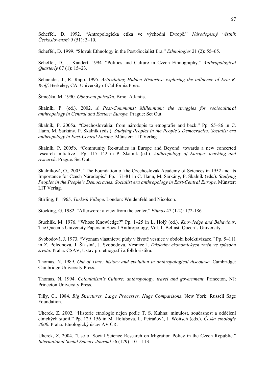Scheffel, D. 1992. "Antropologická etika ve východní Evropě." *Národopisný věstník Československý* 9 (51): 3–10.

Scheffel, D. 1999. "Slovak Ethnology in the Post-Socialist Era." *Ethnologies* 21 (2): 55–65.

Scheffel, D., J. Kandert. 1994. "Politics and Culture in Czech Ethnography." *Anthropological Quarterly* 67 (1): 15–23.

Schneider, J., R. Rapp. 1995. *Articulating Hidden Histories: exploring the influence of Eric R. Wolf*. Berkeley, CA: University of California Press.

Šimečka, M. 1990. *Obnovení pořádku.* Brno: Atlantis.

Skalník, P. (ed.). 2002. *A Post-Communist Millennium: the struggles for sociocultural anthropology in Central and Eastern Europe.* Prague: Set Out.

Skalník, P. 2005a. "Czechoslovakia: from národopis to etnografie and back." Pp. 55–86 in C. Hann, M. Sárkány, P. Skalník (eds.). *Studying Peoples in the People's Democracies. Socialist era anthropology in East-Central Europe*. Münster: LIT Verlag.

Skalník, P. 2005b. "Community Re-studies in Europe and Beyond: towards a new concerted research initiative." Pp. 117–142 in P. Skalník (ed.). *Anthropology of Europe: teaching and research*. Prague: Set Out.

Skalníková, O.. 2005. "The Foundation of the Czechoslovak Academy of Sciences in 1952 and Its Importance for Czech Národopis." Pp. 171-81 in C. Hann, M. Sárkány, P. Skalník (eds.). *Studying Peoples in the People's Democracies. Socialist era anthropology in East-Central Europe*. Münster: LIT Verlag.

Stirling, P. 1965. *Turkish Village*. London: Weidenfeld and Nicolson.

Stocking, G. 1982. "Afterword: a view from the center." *Ethnos* 47 (1-2): 172-186.

Stuchlík, M. 1976. "Whose Knowledge?" Pp. 1–25 in L. Holý (ed.). *Knowledge and Behaviour*. The Queen's University Papers in Social Anthropology, Vol. 1. Belfast: Queen's University.

Svobodová, J. 1973. "Význam vlastnictví půdy v životě vesnice v období kolektivizace." Pp. 5–111 in Z. Polednová, J. Šťastná, J. Svobodová. Vesnice I. *Důsledky ekonomických změn ve způsobu života*. Praha: ČSAV, Ústav pro etnografii a folkloristiku.

Thomas, N. 1989. *Out of Time: history and evolution in anthropological discourse.* Cambridge: Cambridge University Press.

Thomas, N. 1994. *Colonialism's Culture: anthropology, travel and government*. Princeton, NJ: Princeton University Press.

Tilly, C.. 1984. *Big Structures, Large Processes, Huge Comparisons*. New York: Russell Sage Foundation.

Uherek, Z. 2002. "Historie etnologie nejen podle T. S. Kuhna: minulost, současnost a oddělení etnických studií." Pp. 129–156 in M. Holubová, L. Petráňová, J. Woitsch (eds.). *Česká etnologie 2000.* Praha: Etnologický ústav AV ČR.

Uherek, Z. 2004. "Use of Social Science Research on Migration Policy in the Czech Republic." *International Social Science Journal* 56 (179): 101–113.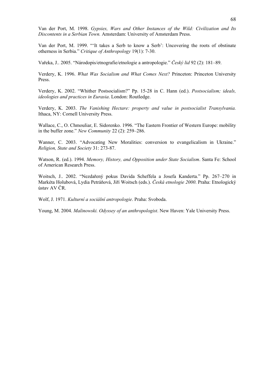Van der Port, M. 1998. *Gypsies, Wars and Other Instances of the Wild: Civilization and Its Discontents in a Serbian Town.* Amsterdam: University of Amsterdam Press.

Van der Port, M. 1999. "'It takes a Serb to know a Serb': Uncovering the roots of obstinate otherness in Serbia." *Critique of Anthropology* 19(1): 7-30.

Vařeka, J.. 2005. "Národopis/etnografie/etnologie a antropologie." *Český lid* 92 (2): 181–89.

Verdery, K. 1996. *What Was Socialism and What Comes Next?* Princeton: Princeton University Press.

Verdery, K. 2002. "Whither Postsocialism?" Pp. 15-28 in C. Hann (ed.). *Postsocialism; ideals, ideologies and practices in Eurasia*. London: Routledge.

Verdery, K. 2003. *The Vanishing Hectare: property and value in postsocialist Transylvania.* Ithaca, NY: Cornell University Press.

Wallace, C., O. Chmouliar, E. Sidorenko. 1996. "The Eastern Frontier of Western Europe: mobility in the buffer zone." *New Community* 22 (2): 259–286.

Wanner, C. 2003. "Advocating New Moralities: conversion to evangelicalism in Ukraine." *Religion, State and Society* 31: 273-87.

Watson, R. (ed.). 1994. *Memory, History, and Opposition under State Socialism*. Santa Fe: School of American Research Press.

Woitsch, J.. 2002. "Nezdařený pokus Davida Scheffela a Josefa Kanderta." Pp. 267–270 in Markéta Holubová, Lydia Petráňová, Jiří Woitsch (eds.). *Česká etnologie 2000*. Praha: Etnologický ústav AV ČR.

Wolf, J. 1971. *Kulturní a sociální antropologie*. Praha: Svoboda.

Young, M. 2004. *Malinowski. Odyssey of an anthropologist*. New Haven: Yale University Press.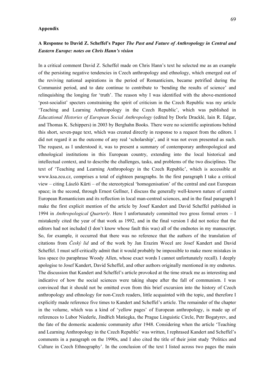### **Appendix**

# **A Response to David Z. Scheffel's Paper** *The Past and Future of Anthropology in Central and Eastern Europe: notes on Chris Hann's vision*

In a critical comment David Z. Scheffel made on Chris Hann's text he selected me as an example of the persisting negative tendencies in Czech anthropology and ethnology, which emerged out of the reviving national aspirations in the period of Romanticism, became petrified during the Communist period, and to date continue to contribute to 'bending the results of science' and relinquishing the longing for 'truth'. The reason why I was identified with the above-mentioned 'post-socialist' specters constraining the spirit of criticism in the Czech Republic was my article 'Teaching and Learning Anthropology in the Czech Republic', which was published in *Educational Histories of European Social Anthropology* (edited by Dorle Dracklé, Iain R. Edgar, and Thomas K. Schippers) in 2003 by Berghahn Books. There were no scientific aspirations behind this short, seven-page text, which was created directly in response to a request from the editors. I did not regard it as the outcome of any real 'scholarship', and it was not even presented as such. The request, as I understood it, was to present a summary of contemporary anthropological and ethnological institutions in this European country, extending into the local historical and intellectual context, and to describe the challenges, tasks, and problems of the two disciplines. The text of 'Teaching and Learning Anthropology in the Czech Republic', which is accessible at www.ksa.zcu.cz, comprises a total of eighteen paragraphs. In the first paragraph I take a critical view – citing László Kürti – of the stereotypical 'homogenisation' of the central and east European space; in the second, through Ernest Gellner, I discuss the generally well-known nature of central European Romanticism and its reflection in local man-centred sciences, and in the final paragraph I make the first explicit mention of the article by Josef Kandert and David Scheffel published in 1994 in *Anthropological Quarterly*. Here I unfortunately committed two gross formal errors – I mistakenly cited the year of that work as 1992, and in the final version I did not notice that the editors had not included (I don't know whose fault this was) all of the endnotes in my manuscript. So, for example, it occurred that there was no reference that the authors of the translation of citations from *Český lid* and of the work by Jan Erazim Wocel are Josef Kandert and David Scheffel. I must self-critically admit that it would probably be impossible to make more mistakes in less space (to paraphrase Woody Allen, whose exact words I cannot unfortunately recall). I deeply apologise to Josef Kandert, David Scheffel, and other authors originally mentioned in my endnotes. The discussion that Kandert and Scheffel's article provoked at the time struck me as interesting and indicative of how the social sciences were taking shape after the fall of communism. I was convinced that it should not be omitted even from this brief excursion into the history of Czech anthropology and ethnology for non-Czech readers, little acquainted with the topic, and therefore I explicitly made reference five times to Kandert and Scheffel's article. The remainder of the chapter in the volume, which was a kind of 'yellow pages' of European anthropology, is made up of references to Lubor Niederle, Jindřich Matiegka, the Prague Linguistic Circle, Petr Bogatyrev, and the fate of the domestic academic community after 1948. Considering when the article 'Teaching and Learning Anthropology in the Czech Republic' was written, I rephrased Kandert and Scheffel's comments in a paragraph on the 1990s, and I also cited the title of their joint study 'Politics and Culture in Czech Ethnography'. In the conclusion of the text I listed across two pages the main